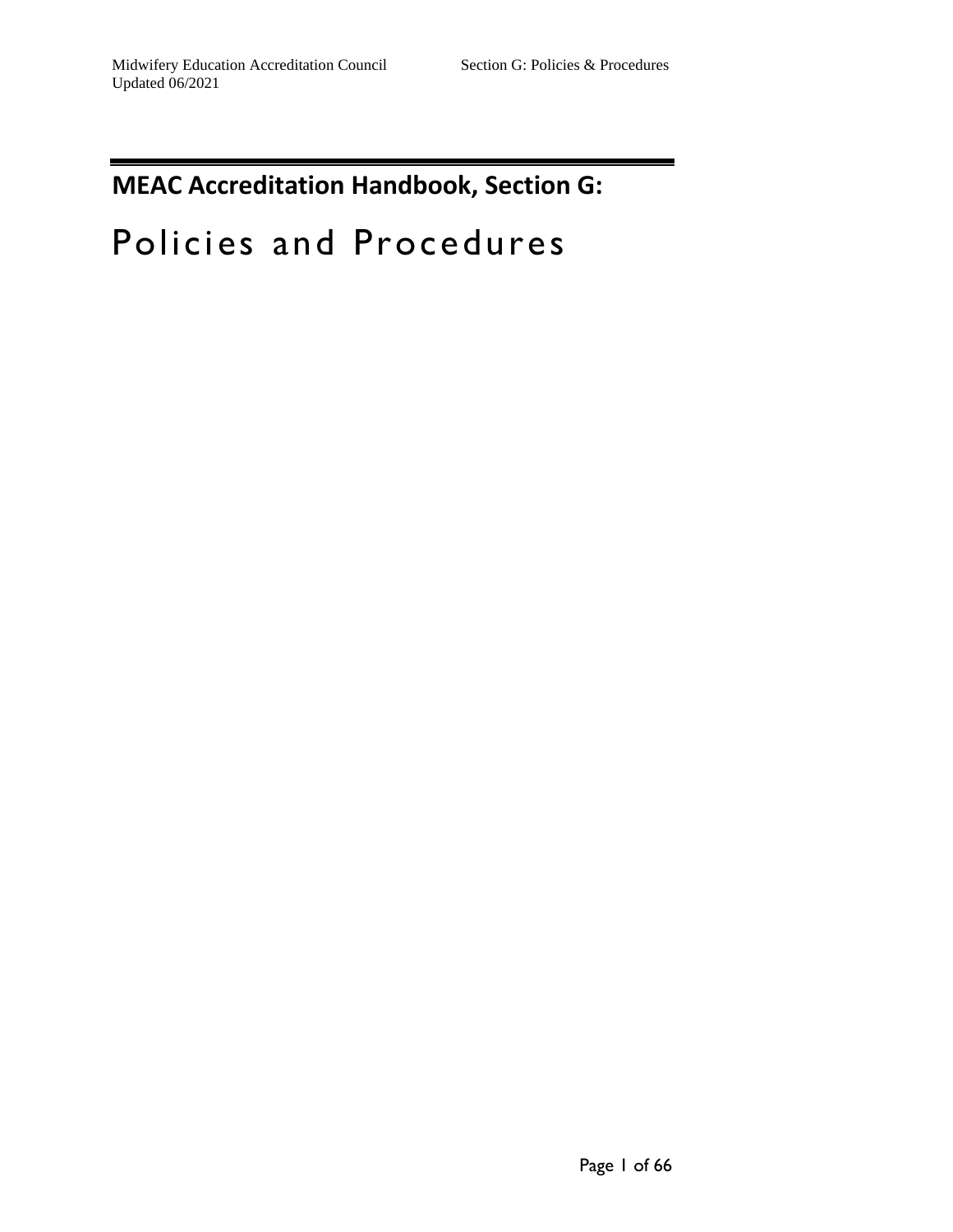# **MEAC Accreditation Handbook, Section G:**

# Policies and Procedures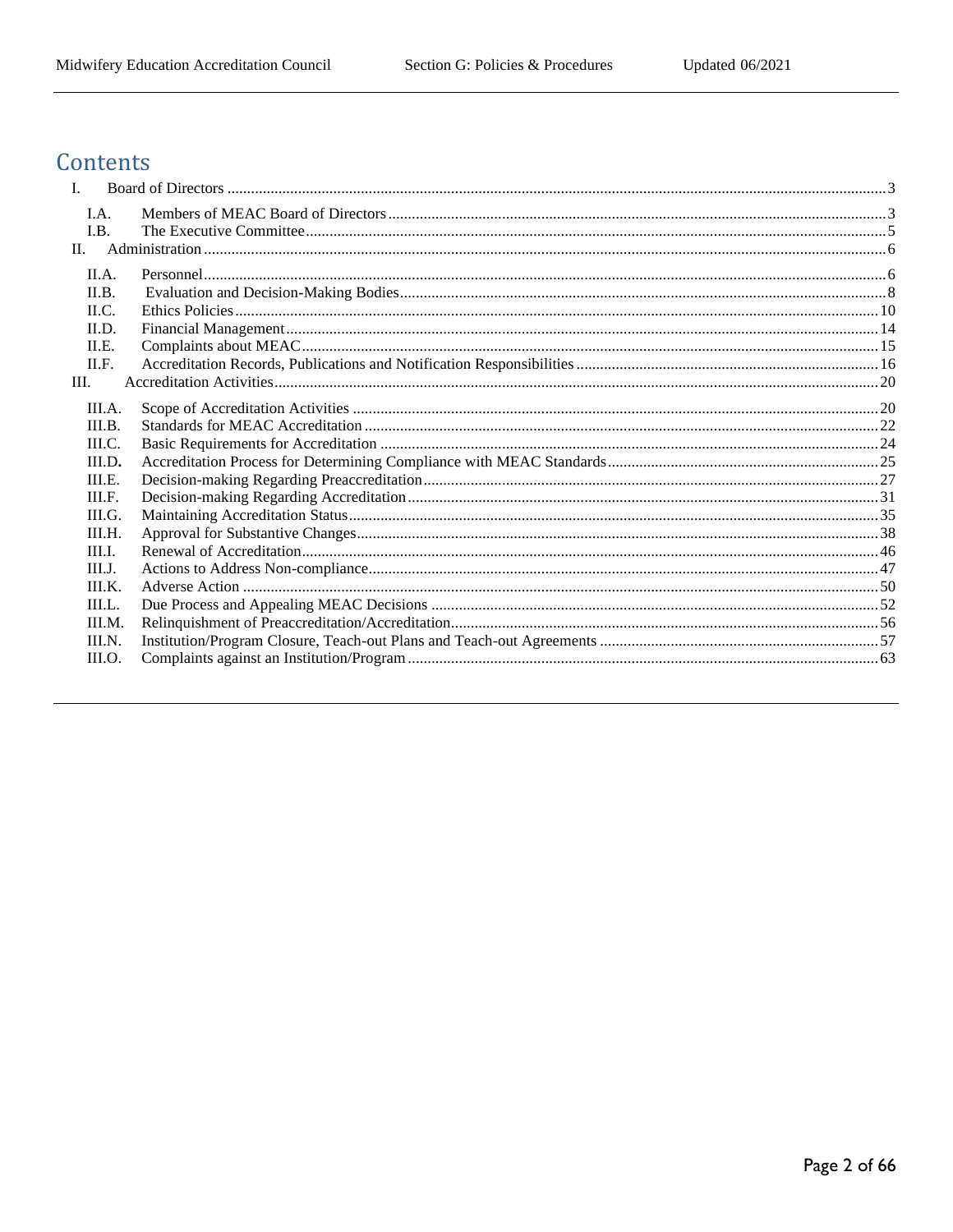## Contents

| $\mathbf{I}$ . |  |
|----------------|--|
| I.A.           |  |
| I.B.           |  |
| II.            |  |
| II.A.          |  |
| II.B.          |  |
| ILC.           |  |
| II.D.          |  |
| ILE.           |  |
| II.F.          |  |
| Ш.             |  |
| III.A.         |  |
| III.B.         |  |
| III.C.         |  |
| III.D.         |  |
| III.E.         |  |
| III.F.         |  |
| III.G.         |  |
| III.H.         |  |
| III.I.         |  |
| III.I.         |  |
| III.K.         |  |
| III.L.         |  |
| III.M.         |  |
| III.N.         |  |
| III.O.         |  |
|                |  |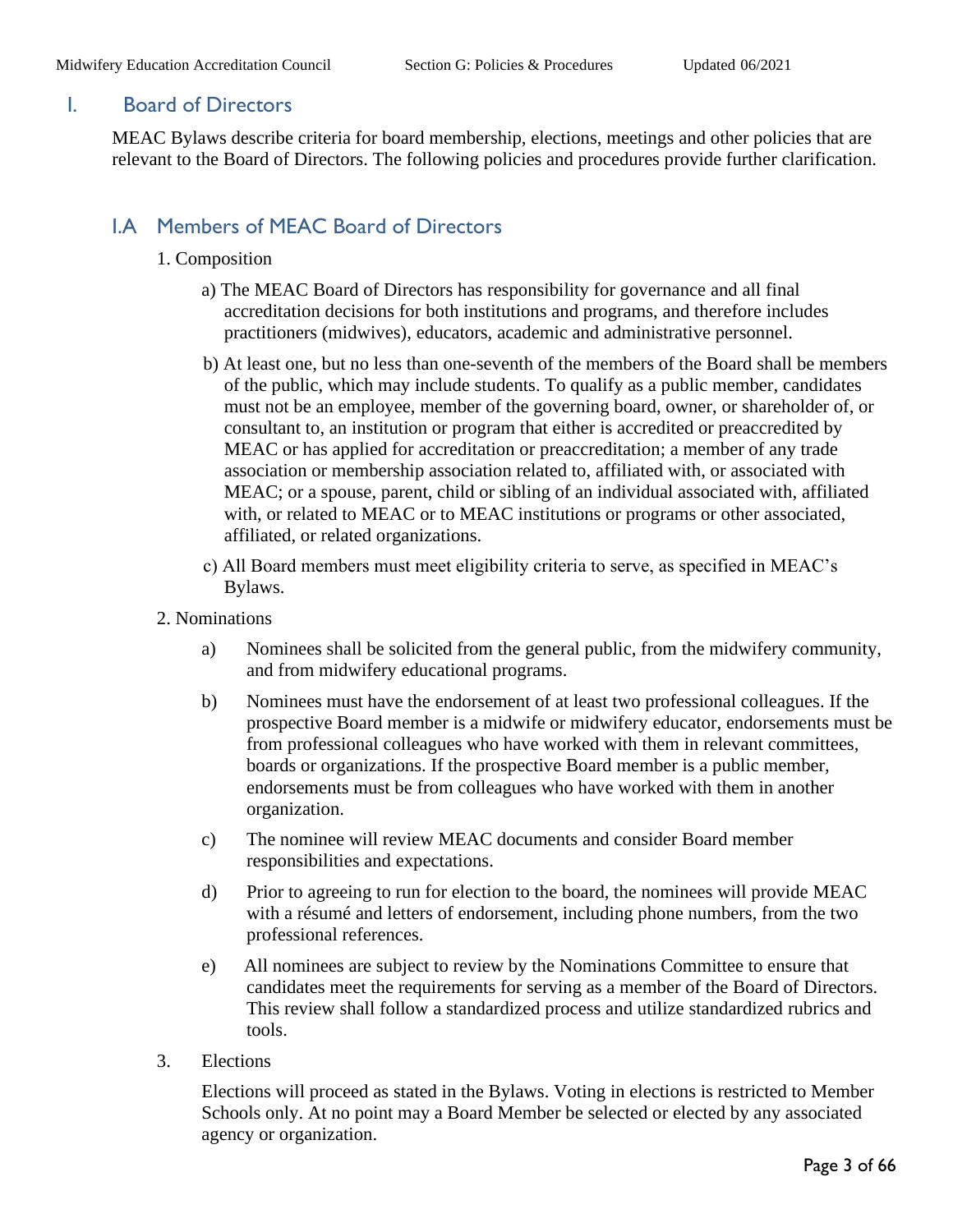#### <span id="page-2-0"></span>I. Board of Directors

MEAC Bylaws describe criteria for board membership, elections, meetings and other policies that are relevant to the Board of Directors. The following policies and procedures provide further clarification.

## <span id="page-2-1"></span>I.A Members of MEAC Board of Directors

- 1. Composition
	- a) The MEAC Board of Directors has responsibility for governance and all final accreditation decisions for both institutions and programs, and therefore includes practitioners (midwives), educators, academic and administrative personnel.
	- b) At least one, but no less than one-seventh of the members of the Board shall be members of the public, which may include students. To qualify as a public member, candidates must not be an employee, member of the governing board, owner, or shareholder of, or consultant to, an institution or program that either is accredited or preaccredited by MEAC or has applied for accreditation or preaccreditation; a member of any trade association or membership association related to, affiliated with, or associated with MEAC; or a spouse, parent, child or sibling of an individual associated with, affiliated with, or related to MEAC or to MEAC institutions or programs or other associated, affiliated, or related organizations.
	- c) All Board members must meet eligibility criteria to serve, as specified in MEAC's Bylaws.
- 2. Nominations
	- a) Nominees shall be solicited from the general public, from the midwifery community, and from midwifery educational programs.
	- b) Nominees must have the endorsement of at least two professional colleagues. If the prospective Board member is a midwife or midwifery educator, endorsements must be from professional colleagues who have worked with them in relevant committees, boards or organizations. If the prospective Board member is a public member, endorsements must be from colleagues who have worked with them in another organization.
	- c) The nominee will review MEAC documents and consider Board member responsibilities and expectations.
	- d) Prior to agreeing to run for election to the board, the nominees will provide MEAC with a résumé and letters of endorsement, including phone numbers, from the two professional references.
	- e) All nominees are subject to review by the Nominations Committee to ensure that candidates meet the requirements for serving as a member of the Board of Directors. This review shall follow a standardized process and utilize standardized rubrics and tools.
- 3. Elections

Elections will proceed as stated in the Bylaws. Voting in elections is restricted to Member Schools only. At no point may a Board Member be selected or elected by any associated agency or organization.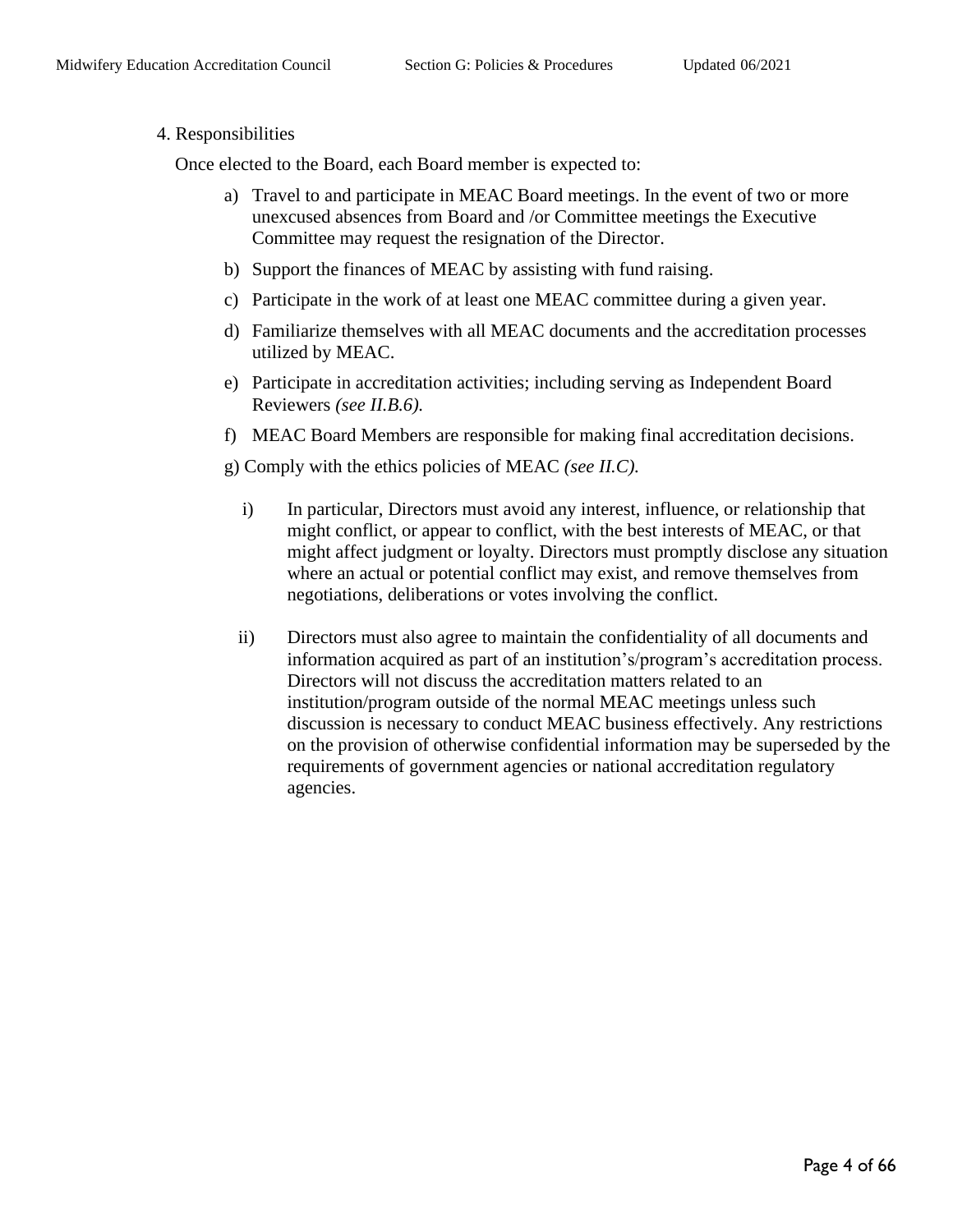#### 4. Responsibilities

Once elected to the Board, each Board member is expected to:

- a) Travel to and participate in MEAC Board meetings. In the event of two or more unexcused absences from Board and /or Committee meetings the Executive Committee may request the resignation of the Director.
- b) Support the finances of MEAC by assisting with fund raising.
- c) Participate in the work of at least one MEAC committee during a given year.
- d) Familiarize themselves with all MEAC documents and the accreditation processes utilized by MEAC.
- e) Participate in accreditation activities; including serving as Independent Board Reviewers *(see II.B.6).*
- f) MEAC Board Members are responsible for making final accreditation decisions.

g) Comply with the ethics policies of MEAC *(see II.C).* 

- i) In particular, Directors must avoid any interest, influence, or relationship that might conflict, or appear to conflict, with the best interests of MEAC, or that might affect judgment or loyalty. Directors must promptly disclose any situation where an actual or potential conflict may exist, and remove themselves from negotiations, deliberations or votes involving the conflict.
- ii) Directors must also agree to maintain the confidentiality of all documents and information acquired as part of an institution's/program's accreditation process. Directors will not discuss the accreditation matters related to an institution/program outside of the normal MEAC meetings unless such discussion is necessary to conduct MEAC business effectively. Any restrictions on the provision of otherwise confidential information may be superseded by the requirements of government agencies or national accreditation regulatory agencies.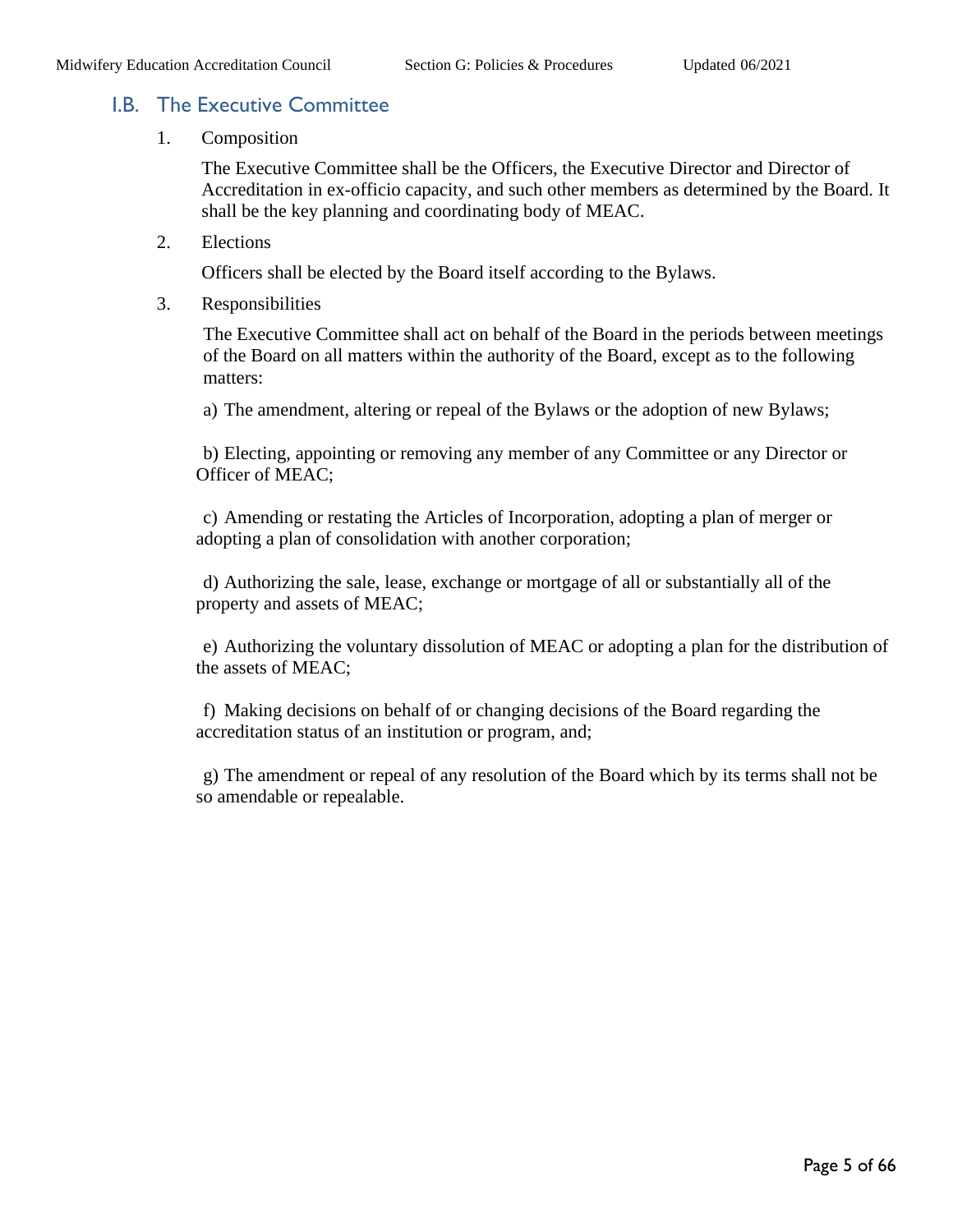#### <span id="page-4-0"></span>I.B. The Executive Committee

1. Composition

The Executive Committee shall be the Officers, the Executive Director and Director of Accreditation in ex-officio capacity, and such other members as determined by the Board. It shall be the key planning and coordinating body of MEAC.

2. Elections

Officers shall be elected by the Board itself according to the Bylaws.

3. Responsibilities

The Executive Committee shall act on behalf of the Board in the periods between meetings of the Board on all matters within the authority of the Board, except as to the following matters:

a) The amendment, altering or repeal of the Bylaws or the adoption of new Bylaws;

b) Electing, appointing or removing any member of any Committee or any Director or Officer of MEAC;

c) Amending or restating the Articles of Incorporation, adopting a plan of merger or adopting a plan of consolidation with another corporation;

d) Authorizing the sale, lease, exchange or mortgage of all or substantially all of the property and assets of MEAC;

e) Authorizing the voluntary dissolution of MEAC or adopting a plan for the distribution of the assets of MEAC;

f) Making decisions on behalf of or changing decisions of the Board regarding the accreditation status of an institution or program, and;

g) The amendment or repeal of any resolution of the Board which by its terms shall not be so amendable or repealable.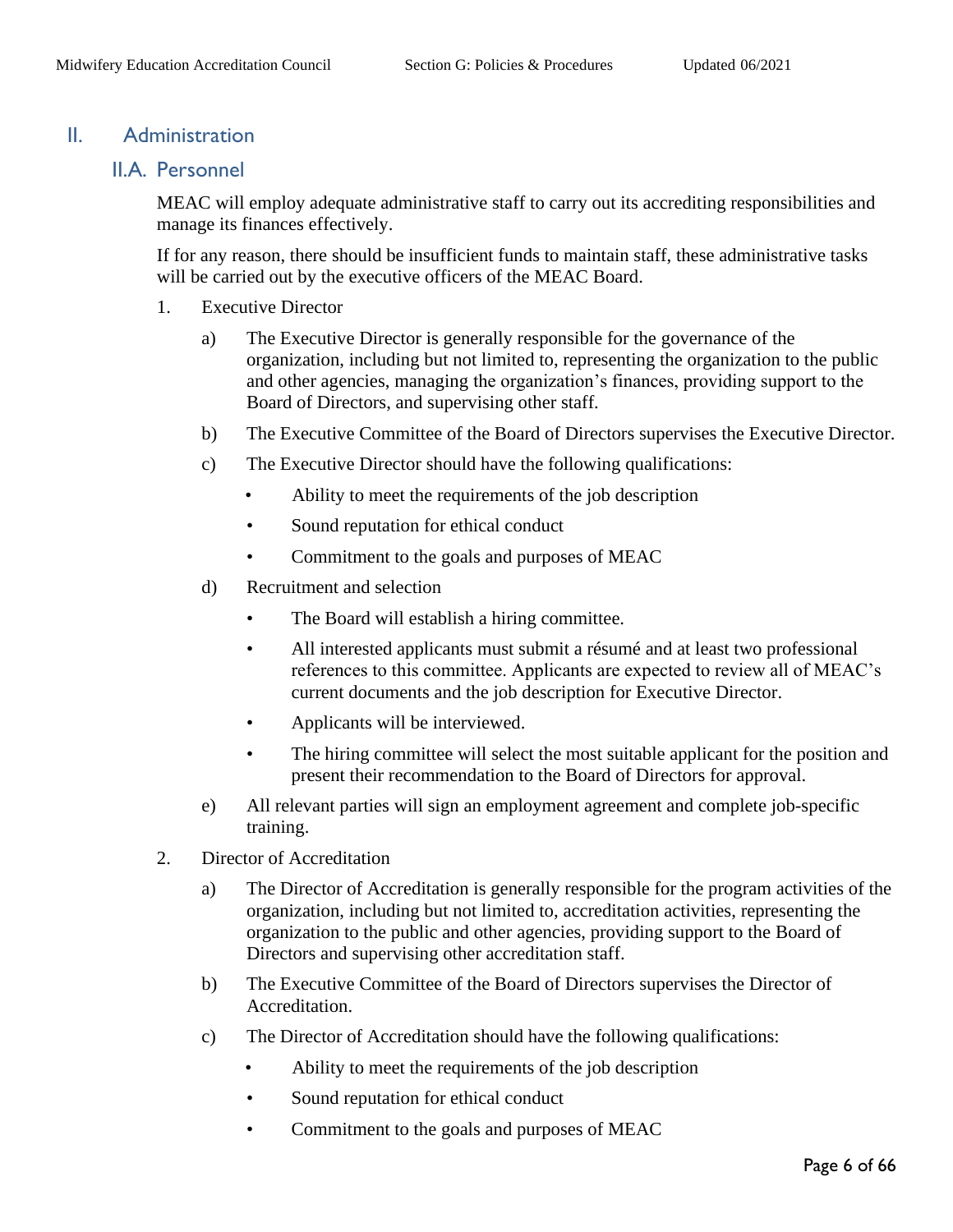#### <span id="page-5-1"></span><span id="page-5-0"></span>II. Administration

#### II.A. Personnel

MEAC will employ adequate administrative staff to carry out its accrediting responsibilities and manage its finances effectively.

If for any reason, there should be insufficient funds to maintain staff, these administrative tasks will be carried out by the executive officers of the MEAC Board.

- 1. Executive Director
	- a) The Executive Director is generally responsible for the governance of the organization, including but not limited to, representing the organization to the public and other agencies, managing the organization's finances, providing support to the Board of Directors, and supervising other staff.
	- b) The Executive Committee of the Board of Directors supervises the Executive Director.
	- c) The Executive Director should have the following qualifications:
		- Ability to meet the requirements of the job description
		- Sound reputation for ethical conduct
		- Commitment to the goals and purposes of MEAC
	- d) Recruitment and selection
		- The Board will establish a hiring committee.
		- All interested applicants must submit a résumé and at least two professional references to this committee. Applicants are expected to review all of MEAC's current documents and the job description for Executive Director.
		- Applicants will be interviewed.
		- The hiring committee will select the most suitable applicant for the position and present their recommendation to the Board of Directors for approval.
	- e) All relevant parties will sign an employment agreement and complete job-specific training.
- 2. Director of Accreditation
	- a) The Director of Accreditation is generally responsible for the program activities of the organization, including but not limited to, accreditation activities, representing the organization to the public and other agencies, providing support to the Board of Directors and supervising other accreditation staff.
	- b) The Executive Committee of the Board of Directors supervises the Director of Accreditation.
	- c) The Director of Accreditation should have the following qualifications:
		- Ability to meet the requirements of the job description
		- Sound reputation for ethical conduct
		- Commitment to the goals and purposes of MEAC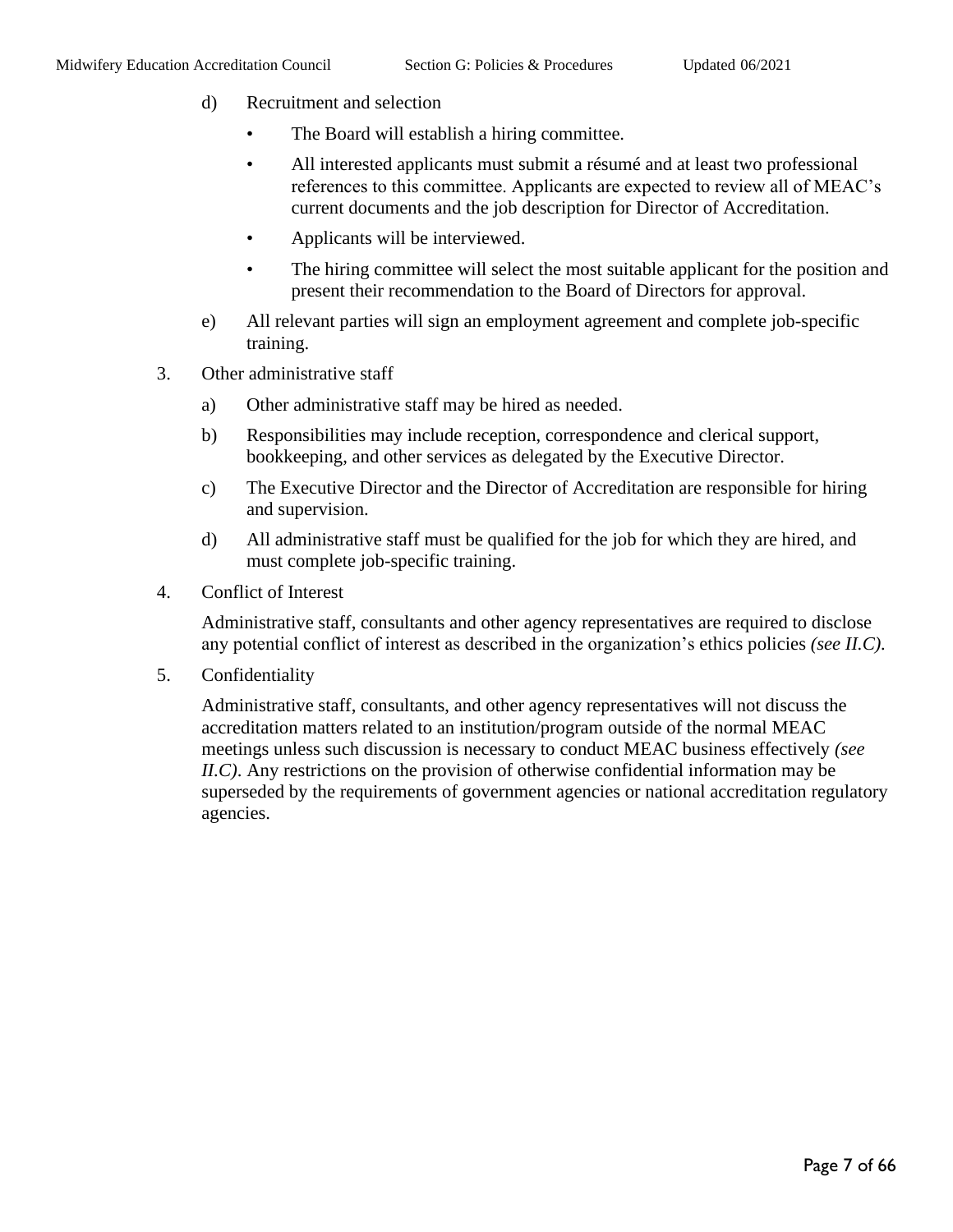- d) Recruitment and selection
	- The Board will establish a hiring committee.
	- All interested applicants must submit a résumé and at least two professional references to this committee. Applicants are expected to review all of MEAC's current documents and the job description for Director of Accreditation.
	- Applicants will be interviewed.
	- The hiring committee will select the most suitable applicant for the position and present their recommendation to the Board of Directors for approval.
- e) All relevant parties will sign an employment agreement and complete job-specific training.
- 3. Other administrative staff
	- a) Other administrative staff may be hired as needed.
	- b) Responsibilities may include reception, correspondence and clerical support, bookkeeping, and other services as delegated by the Executive Director.
	- c) The Executive Director and the Director of Accreditation are responsible for hiring and supervision.
	- d) All administrative staff must be qualified for the job for which they are hired, and must complete job-specific training.
- 4. Conflict of Interest

Administrative staff, consultants and other agency representatives are required to disclose any potential conflict of interest as described in the organization's ethics policies *(see II.C).* 

5. Confidentiality

Administrative staff, consultants, and other agency representatives will not discuss the accreditation matters related to an institution/program outside of the normal MEAC meetings unless such discussion is necessary to conduct MEAC business effectively *(see II.C)*. Any restrictions on the provision of otherwise confidential information may be superseded by the requirements of government agencies or national accreditation regulatory agencies.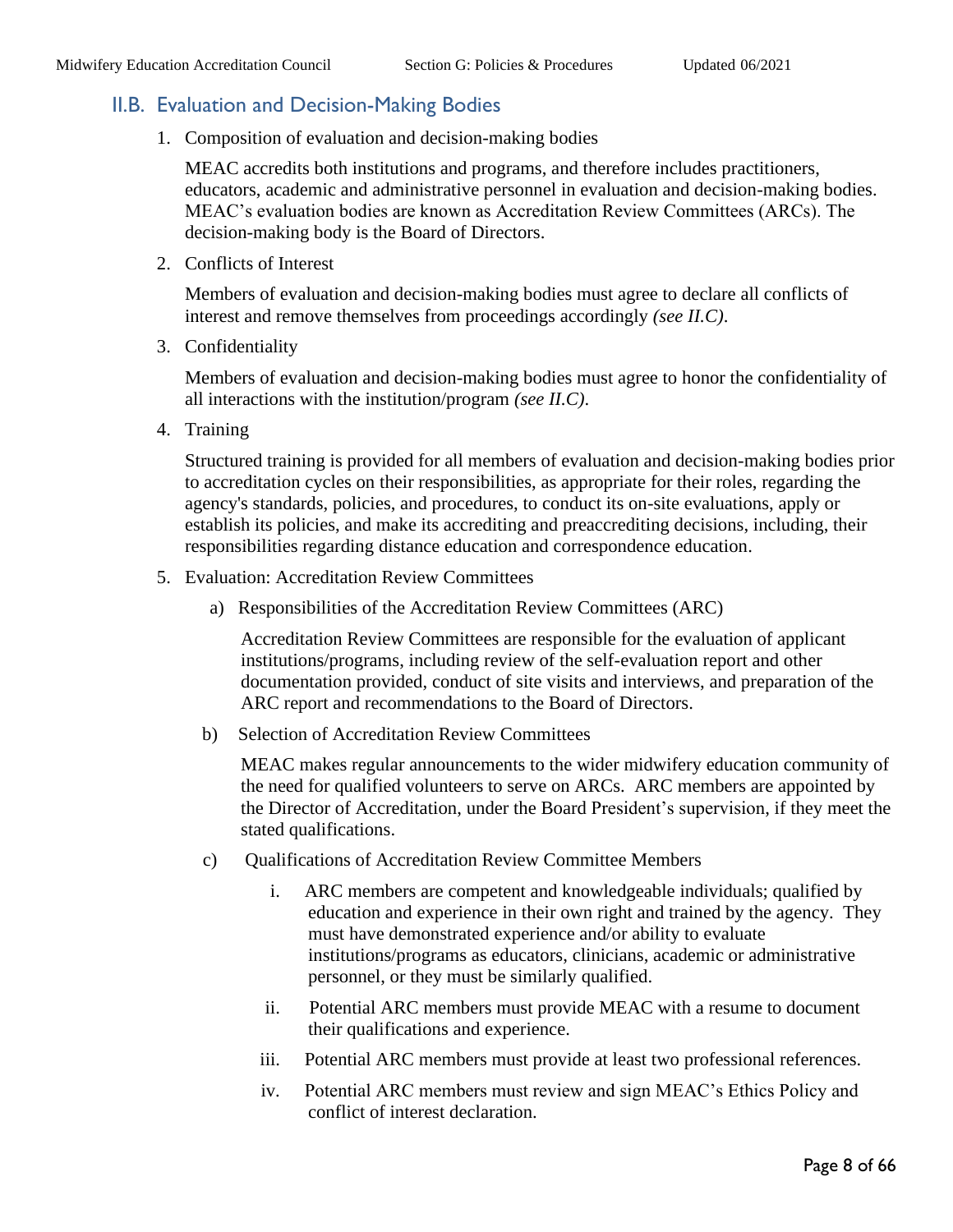### <span id="page-7-0"></span>II.B. Evaluation and Decision-Making Bodies

1. Composition of evaluation and decision-making bodies

MEAC accredits both institutions and programs, and therefore includes practitioners, educators, academic and administrative personnel in evaluation and decision-making bodies. MEAC's evaluation bodies are known as Accreditation Review Committees (ARCs). The decision-making body is the Board of Directors.

2. Conflicts of Interest

Members of evaluation and decision-making bodies must agree to declare all conflicts of interest and remove themselves from proceedings accordingly *(see II.C)*.

3. Confidentiality

Members of evaluation and decision-making bodies must agree to honor the confidentiality of all interactions with the institution/program *(see II.C)*.

4. Training

Structured training is provided for all members of evaluation and decision-making bodies prior to accreditation cycles on their responsibilities, as appropriate for their roles, regarding the agency's standards, policies, and procedures, to conduct its on-site evaluations, apply or establish its policies, and make its accrediting and preaccrediting decisions, including, their responsibilities regarding distance education and correspondence education.

- 5. Evaluation: Accreditation Review Committees
	- a) Responsibilities of the Accreditation Review Committees (ARC)

Accreditation Review Committees are responsible for the evaluation of applicant institutions/programs, including review of the self-evaluation report and other documentation provided, conduct of site visits and interviews, and preparation of the ARC report and recommendations to the Board of Directors.

b) Selection of Accreditation Review Committees

MEAC makes regular announcements to the wider midwifery education community of the need for qualified volunteers to serve on ARCs. ARC members are appointed by the Director of Accreditation, under the Board President's supervision, if they meet the stated qualifications.

- c) Qualifications of Accreditation Review Committee Members
	- i. ARC members are competent and knowledgeable individuals; qualified by education and experience in their own right and trained by the agency. They must have demonstrated experience and/or ability to evaluate institutions/programs as educators, clinicians, academic or administrative personnel, or they must be similarly qualified.
	- ii. Potential ARC members must provide MEAC with a resume to document their qualifications and experience.
	- iii. Potential ARC members must provide at least two professional references.
	- iv. Potential ARC members must review and sign MEAC's Ethics Policy and conflict of interest declaration.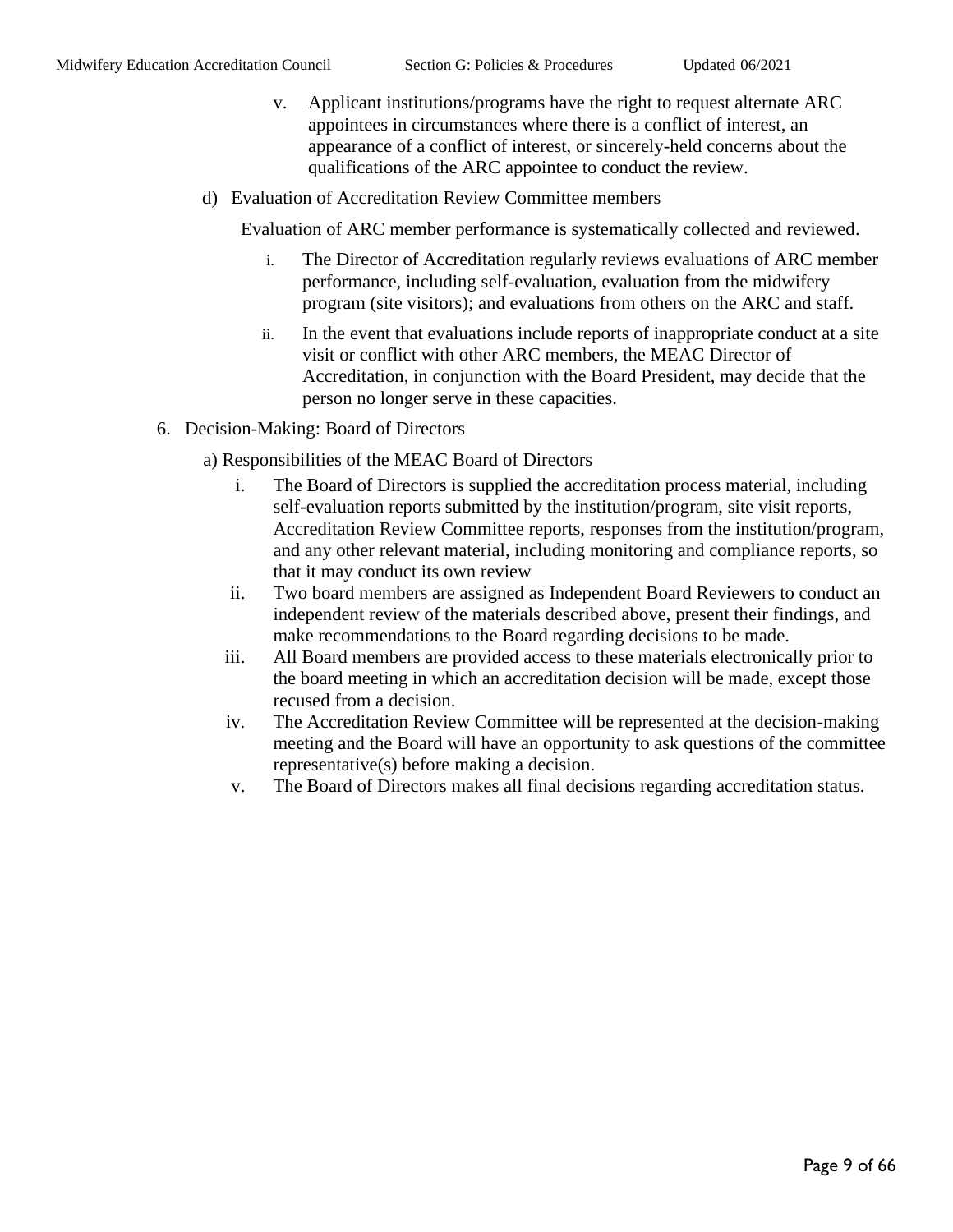- v. Applicant institutions/programs have the right to request alternate ARC appointees in circumstances where there is a conflict of interest, an appearance of a conflict of interest, or sincerely-held concerns about the qualifications of the ARC appointee to conduct the review.
- d) Evaluation of Accreditation Review Committee members

Evaluation of ARC member performance is systematically collected and reviewed.

- i. The Director of Accreditation regularly reviews evaluations of ARC member performance, including self-evaluation, evaluation from the midwifery program (site visitors); and evaluations from others on the ARC and staff.
- ii. In the event that evaluations include reports of inappropriate conduct at a site visit or conflict with other ARC members, the MEAC Director of Accreditation, in conjunction with the Board President, may decide that the person no longer serve in these capacities.
- 6. Decision-Making: Board of Directors
	- a) Responsibilities of the MEAC Board of Directors
		- i. The Board of Directors is supplied the accreditation process material, including self-evaluation reports submitted by the institution/program, site visit reports, Accreditation Review Committee reports, responses from the institution/program, and any other relevant material, including monitoring and compliance reports, so that it may conduct its own review
		- ii. Two board members are assigned as Independent Board Reviewers to conduct an independent review of the materials described above, present their findings, and make recommendations to the Board regarding decisions to be made.
		- iii. All Board members are provided access to these materials electronically prior to the board meeting in which an accreditation decision will be made, except those recused from a decision.
		- iv. The Accreditation Review Committee will be represented at the decision-making meeting and the Board will have an opportunity to ask questions of the committee representative(s) before making a decision.
		- v. The Board of Directors makes all final decisions regarding accreditation status.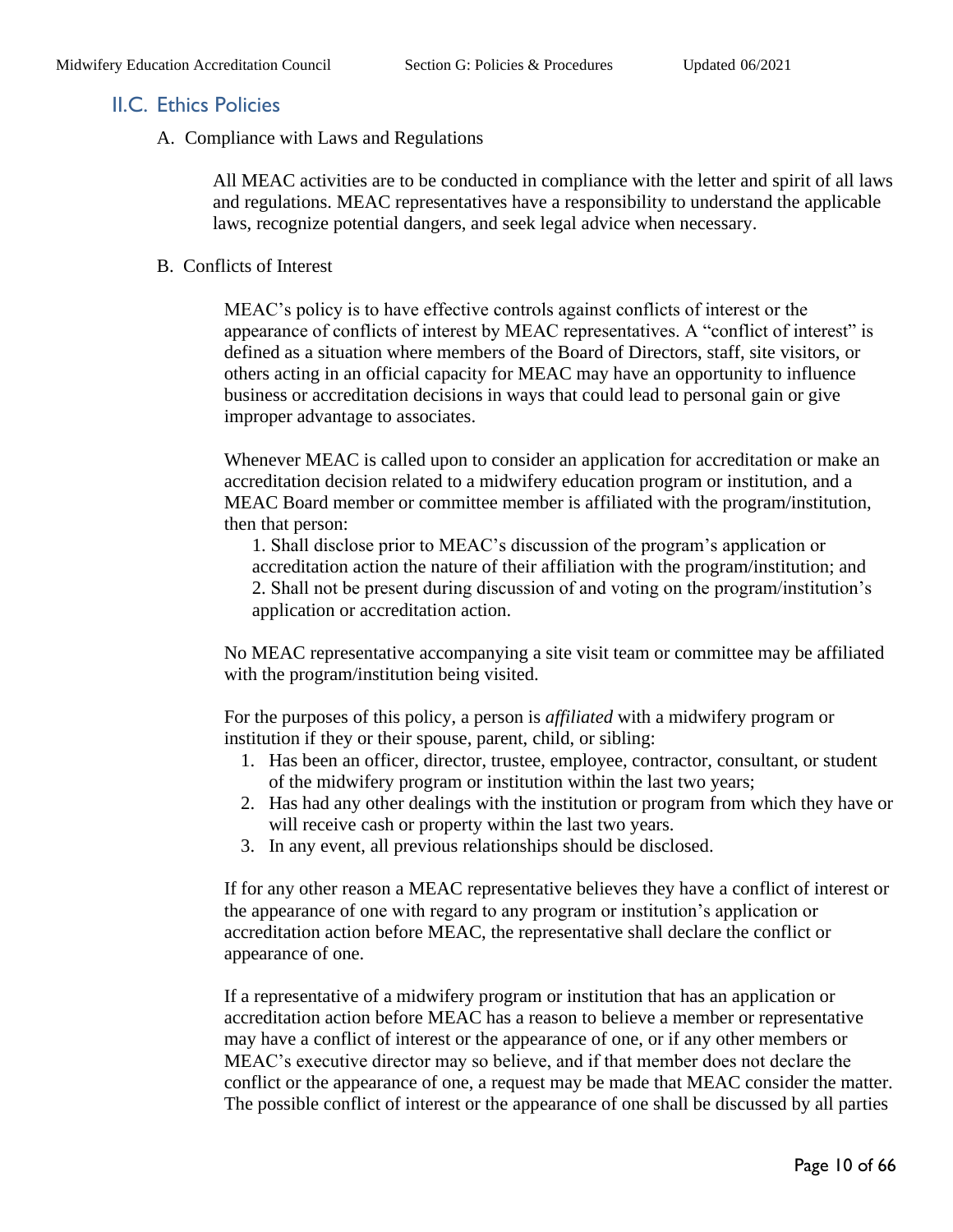#### <span id="page-9-0"></span>II.C. Ethics Policies

A. Compliance with Laws and Regulations

All MEAC activities are to be conducted in compliance with the letter and spirit of all laws and regulations. MEAC representatives have a responsibility to understand the applicable laws, recognize potential dangers, and seek legal advice when necessary.

#### B. Conflicts of Interest

MEAC's policy is to have effective controls against conflicts of interest or the appearance of conflicts of interest by MEAC representatives. A "conflict of interest" is defined as a situation where members of the Board of Directors, staff, site visitors, or others acting in an official capacity for MEAC may have an opportunity to influence business or accreditation decisions in ways that could lead to personal gain or give improper advantage to associates.

Whenever MEAC is called upon to consider an application for accreditation or make an accreditation decision related to a midwifery education program or institution, and a MEAC Board member or committee member is affiliated with the program/institution, then that person:

1. Shall disclose prior to MEAC's discussion of the program's application or accreditation action the nature of their affiliation with the program/institution; and 2. Shall not be present during discussion of and voting on the program/institution's application or accreditation action.

No MEAC representative accompanying a site visit team or committee may be affiliated with the program/institution being visited.

For the purposes of this policy, a person is *affiliated* with a midwifery program or institution if they or their spouse, parent, child, or sibling:

- 1. Has been an officer, director, trustee, employee, contractor, consultant, or student of the midwifery program or institution within the last two years;
- 2. Has had any other dealings with the institution or program from which they have or will receive cash or property within the last two years.
- 3. In any event, all previous relationships should be disclosed.

If for any other reason a MEAC representative believes they have a conflict of interest or the appearance of one with regard to any program or institution's application or accreditation action before MEAC, the representative shall declare the conflict or appearance of one.

If a representative of a midwifery program or institution that has an application or accreditation action before MEAC has a reason to believe a member or representative may have a conflict of interest or the appearance of one, or if any other members or MEAC's executive director may so believe, and if that member does not declare the conflict or the appearance of one, a request may be made that MEAC consider the matter. The possible conflict of interest or the appearance of one shall be discussed by all parties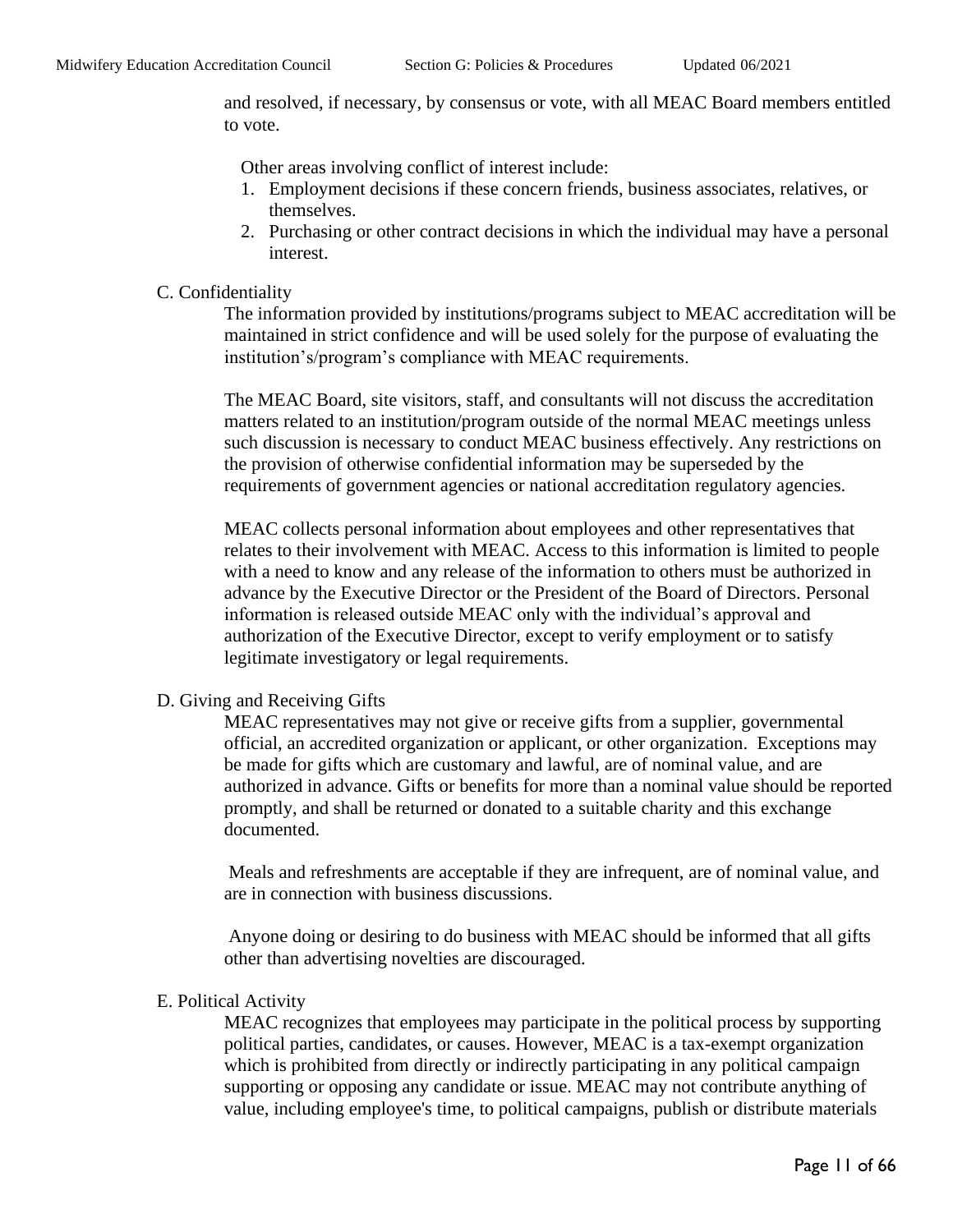and resolved, if necessary, by consensus or vote, with all MEAC Board members entitled to vote.

Other areas involving conflict of interest include:

- 1. Employment decisions if these concern friends, business associates, relatives, or themselves.
- 2. Purchasing or other contract decisions in which the individual may have a personal interest.

#### C. Confidentiality

The information provided by institutions/programs subject to MEAC accreditation will be maintained in strict confidence and will be used solely for the purpose of evaluating the institution's/program's compliance with MEAC requirements.

The MEAC Board, site visitors, staff, and consultants will not discuss the accreditation matters related to an institution/program outside of the normal MEAC meetings unless such discussion is necessary to conduct MEAC business effectively. Any restrictions on the provision of otherwise confidential information may be superseded by the requirements of government agencies or national accreditation regulatory agencies.

MEAC collects personal information about employees and other representatives that relates to their involvement with MEAC. Access to this information is limited to people with a need to know and any release of the information to others must be authorized in advance by the Executive Director or the President of the Board of Directors. Personal information is released outside MEAC only with the individual's approval and authorization of the Executive Director, except to verify employment or to satisfy legitimate investigatory or legal requirements.

#### D. Giving and Receiving Gifts

MEAC representatives may not give or receive gifts from a supplier, governmental official, an accredited organization or applicant, or other organization. Exceptions may be made for gifts which are customary and lawful, are of nominal value, and are authorized in advance. Gifts or benefits for more than a nominal value should be reported promptly, and shall be returned or donated to a suitable charity and this exchange documented.

Meals and refreshments are acceptable if they are infrequent, are of nominal value, and are in connection with business discussions.

Anyone doing or desiring to do business with MEAC should be informed that all gifts other than advertising novelties are discouraged.

#### E. Political Activity

MEAC recognizes that employees may participate in the political process by supporting political parties, candidates, or causes. However, MEAC is a tax-exempt organization which is prohibited from directly or indirectly participating in any political campaign supporting or opposing any candidate or issue. MEAC may not contribute anything of value, including employee's time, to political campaigns, publish or distribute materials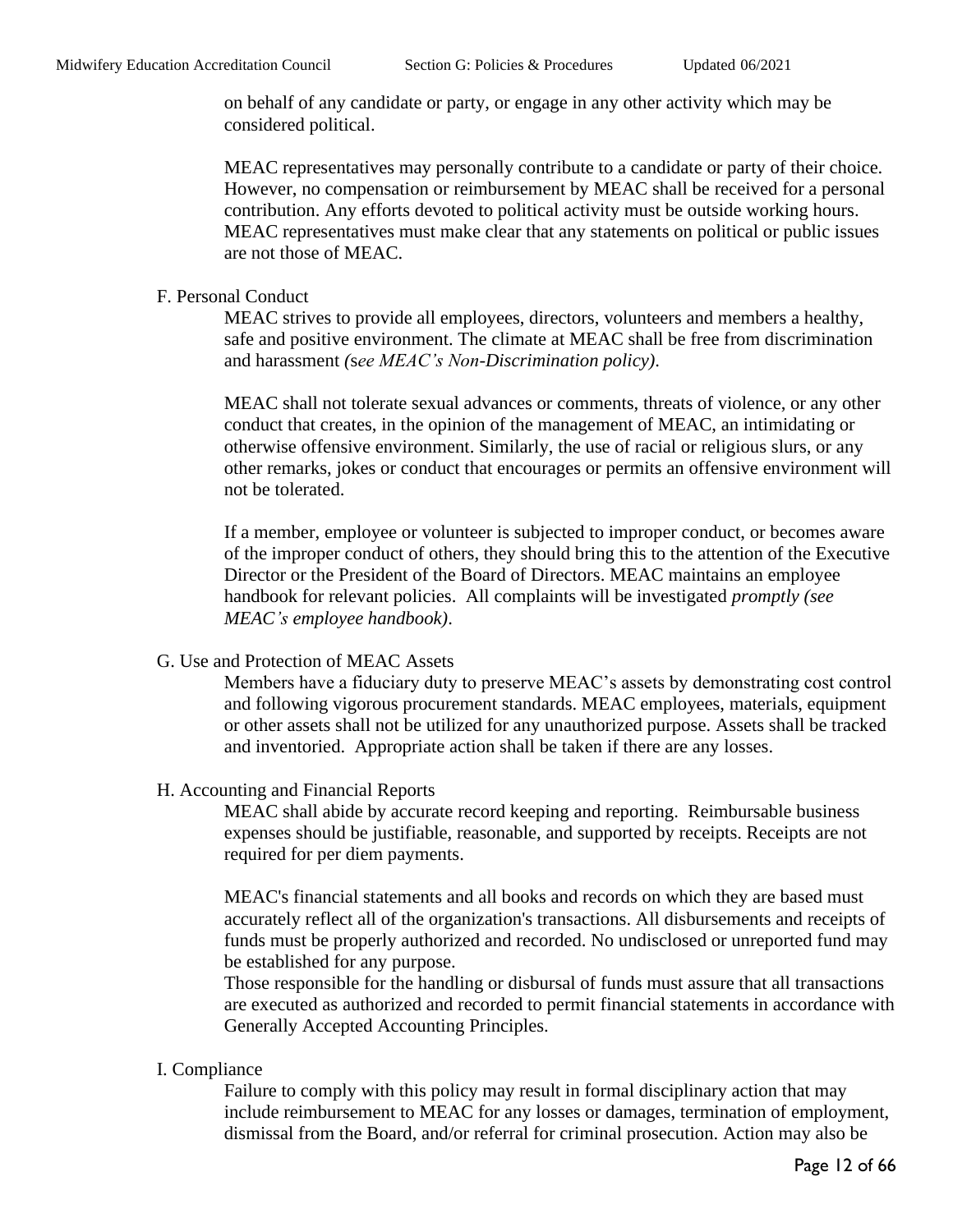on behalf of any candidate or party, or engage in any other activity which may be considered political.

MEAC representatives may personally contribute to a candidate or party of their choice. However, no compensation or reimbursement by MEAC shall be received for a personal contribution. Any efforts devoted to political activity must be outside working hours. MEAC representatives must make clear that any statements on political or public issues are not those of MEAC.

F. Personal Conduct

MEAC strives to provide all employees, directors, volunteers and members a healthy, safe and positive environment. The climate at MEAC shall be free from discrimination and harassment *(*s*ee MEAC's Non-Discrimination policy)*.

MEAC shall not tolerate sexual advances or comments, threats of violence, or any other conduct that creates, in the opinion of the management of MEAC, an intimidating or otherwise offensive environment. Similarly, the use of racial or religious slurs, or any other remarks, jokes or conduct that encourages or permits an offensive environment will not be tolerated.

If a member, employee or volunteer is subjected to improper conduct, or becomes aware of the improper conduct of others, they should bring this to the attention of the Executive Director or the President of the Board of Directors. MEAC maintains an employee handbook for relevant policies. All complaints will be investigated *promptly (see MEAC's employee handbook)*.

G. Use and Protection of MEAC Assets

Members have a fiduciary duty to preserve MEAC's assets by demonstrating cost control and following vigorous procurement standards. MEAC employees, materials, equipment or other assets shall not be utilized for any unauthorized purpose. Assets shall be tracked and inventoried. Appropriate action shall be taken if there are any losses.

#### H. Accounting and Financial Reports

MEAC shall abide by accurate record keeping and reporting. Reimbursable business expenses should be justifiable, reasonable, and supported by receipts. Receipts are not required for per diem payments.

MEAC's financial statements and all books and records on which they are based must accurately reflect all of the organization's transactions. All disbursements and receipts of funds must be properly authorized and recorded. No undisclosed or unreported fund may be established for any purpose.

Those responsible for the handling or disbursal of funds must assure that all transactions are executed as authorized and recorded to permit financial statements in accordance with Generally Accepted Accounting Principles.

I. Compliance

Failure to comply with this policy may result in formal disciplinary action that may include reimbursement to MEAC for any losses or damages, termination of employment, dismissal from the Board, and/or referral for criminal prosecution. Action may also be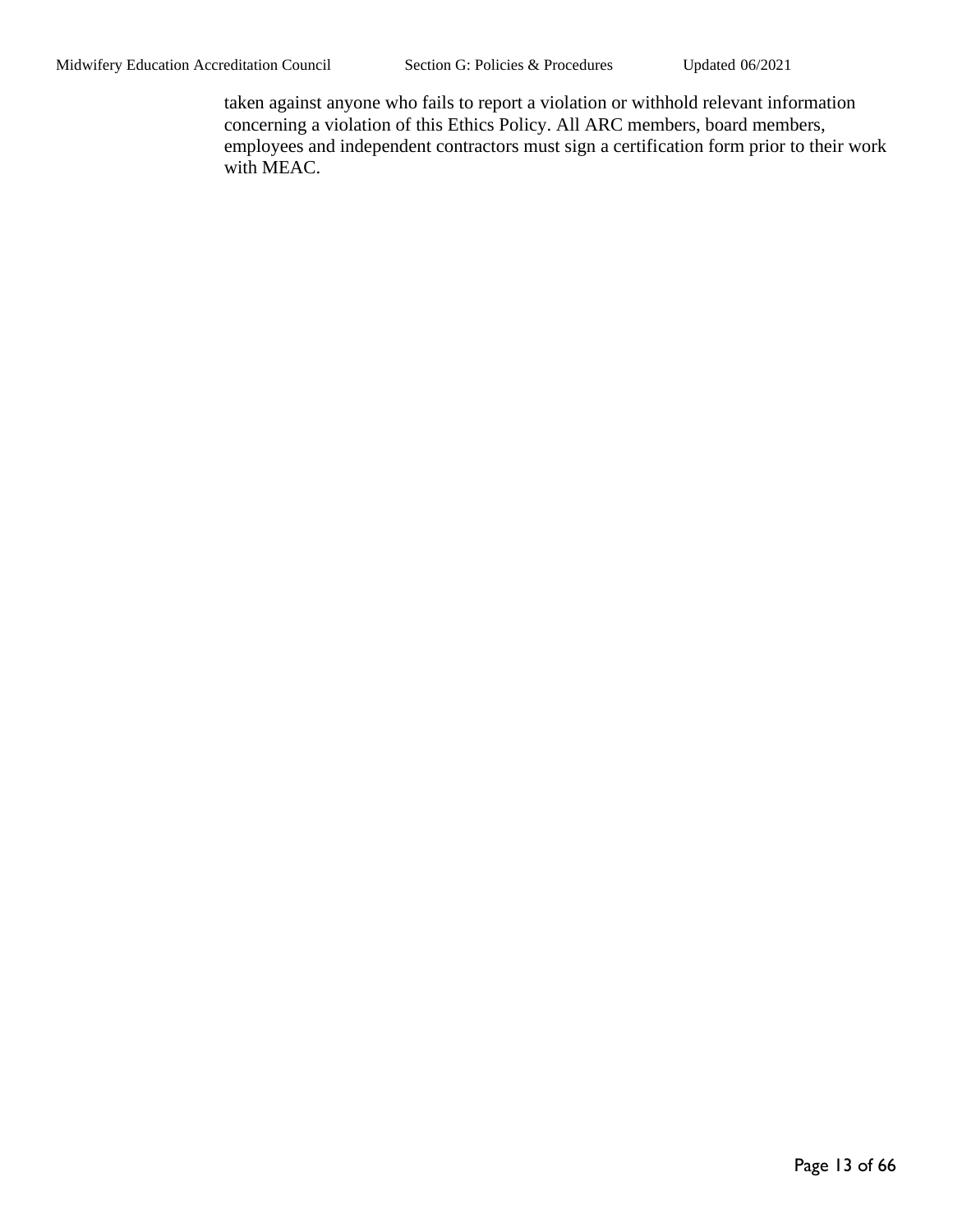taken against anyone who fails to report a violation or withhold relevant information concerning a violation of this Ethics Policy. All ARC members, board members, employees and independent contractors must sign a certification form prior to their work with MEAC.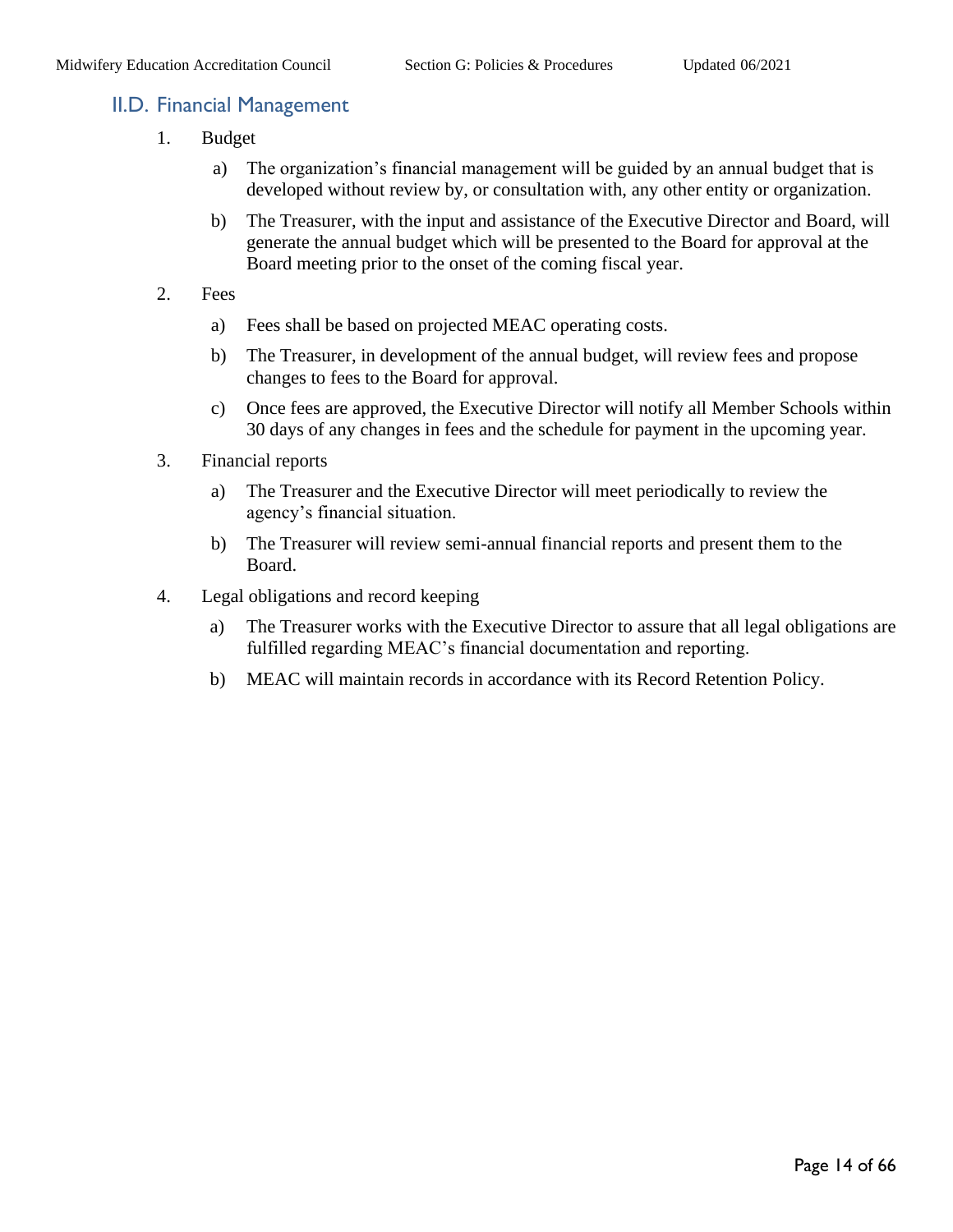## <span id="page-13-0"></span>II.D. Financial Management

- 1. Budget
	- a) The organization's financial management will be guided by an annual budget that is developed without review by, or consultation with, any other entity or organization.
	- b) The Treasurer, with the input and assistance of the Executive Director and Board, will generate the annual budget which will be presented to the Board for approval at the Board meeting prior to the onset of the coming fiscal year.
- 2. Fees
	- a) Fees shall be based on projected MEAC operating costs.
	- b) The Treasurer, in development of the annual budget, will review fees and propose changes to fees to the Board for approval.
	- c) Once fees are approved, the Executive Director will notify all Member Schools within 30 days of any changes in fees and the schedule for payment in the upcoming year.
- 3. Financial reports
	- a) The Treasurer and the Executive Director will meet periodically to review the agency's financial situation.
	- b) The Treasurer will review semi-annual financial reports and present them to the Board.
- 4. Legal obligations and record keeping
	- a) The Treasurer works with the Executive Director to assure that all legal obligations are fulfilled regarding MEAC's financial documentation and reporting.
	- b) MEAC will maintain records in accordance with its Record Retention Policy.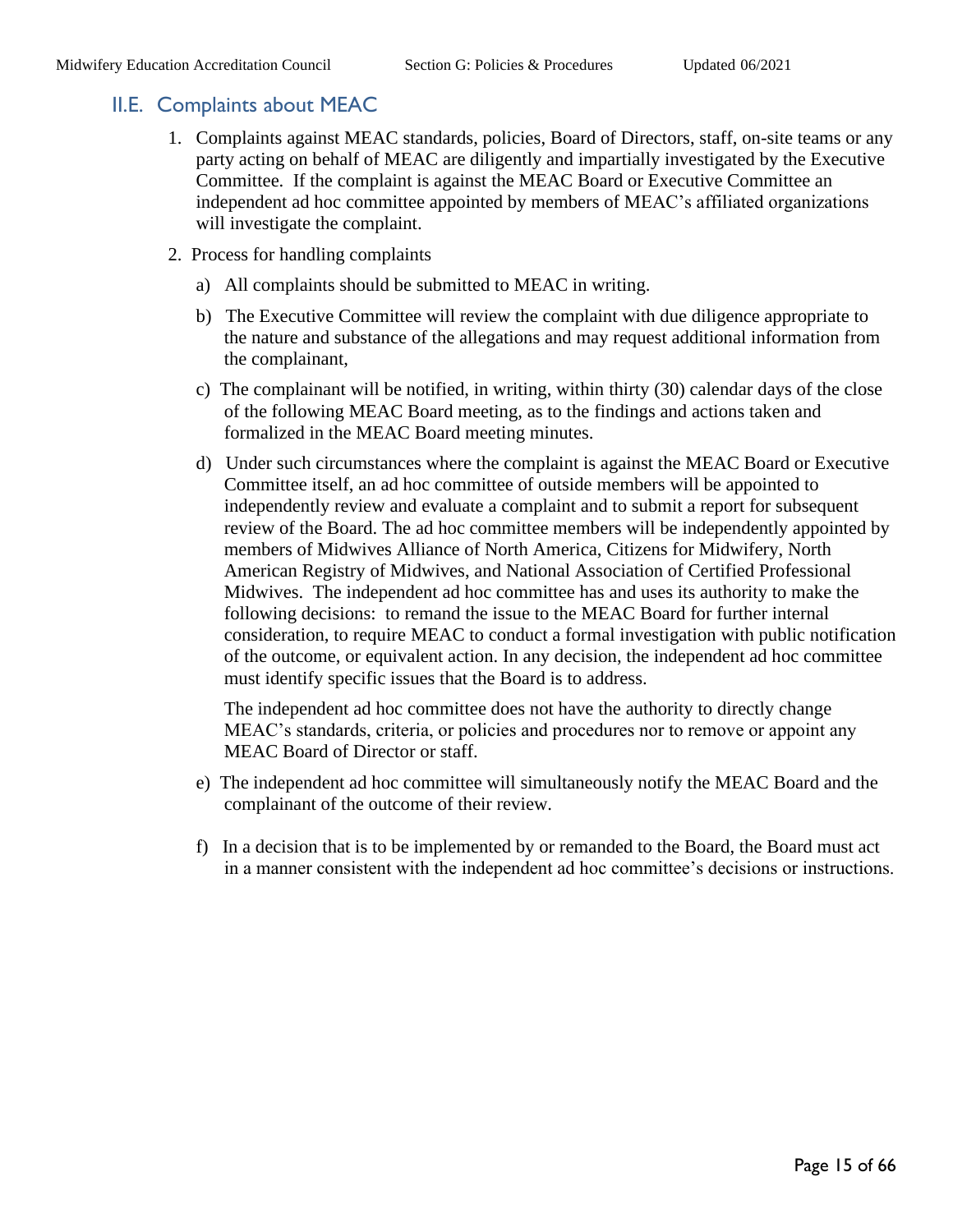#### <span id="page-14-0"></span>II.E. Complaints about MEAC

- 1. Complaints against MEAC standards, policies, Board of Directors, staff, on-site teams or any party acting on behalf of MEAC are diligently and impartially investigated by the Executive Committee. If the complaint is against the MEAC Board or Executive Committee an independent ad hoc committee appointed by members of MEAC's affiliated organizations will investigate the complaint.
- 2. Process for handling complaints
	- a) All complaints should be submitted to MEAC in writing.
	- b) The Executive Committee will review the complaint with due diligence appropriate to the nature and substance of the allegations and may request additional information from the complainant,
	- c) The complainant will be notified, in writing, within thirty (30) calendar days of the close of the following MEAC Board meeting, as to the findings and actions taken and formalized in the MEAC Board meeting minutes.
	- d) Under such circumstances where the complaint is against the MEAC Board or Executive Committee itself, an ad hoc committee of outside members will be appointed to independently review and evaluate a complaint and to submit a report for subsequent review of the Board. The ad hoc committee members will be independently appointed by members of Midwives Alliance of North America, Citizens for Midwifery, North American Registry of Midwives, and National Association of Certified Professional Midwives. The independent ad hoc committee has and uses its authority to make the following decisions: to remand the issue to the MEAC Board for further internal consideration, to require MEAC to conduct a formal investigation with public notification of the outcome, or equivalent action. In any decision, the independent ad hoc committee must identify specific issues that the Board is to address.

The independent ad hoc committee does not have the authority to directly change MEAC's standards, criteria, or policies and procedures nor to remove or appoint any MEAC Board of Director or staff.

- e) The independent ad hoc committee will simultaneously notify the MEAC Board and the complainant of the outcome of their review.
- f) In a decision that is to be implemented by or remanded to the Board, the Board must act in a manner consistent with the independent ad hoc committee's decisions or instructions.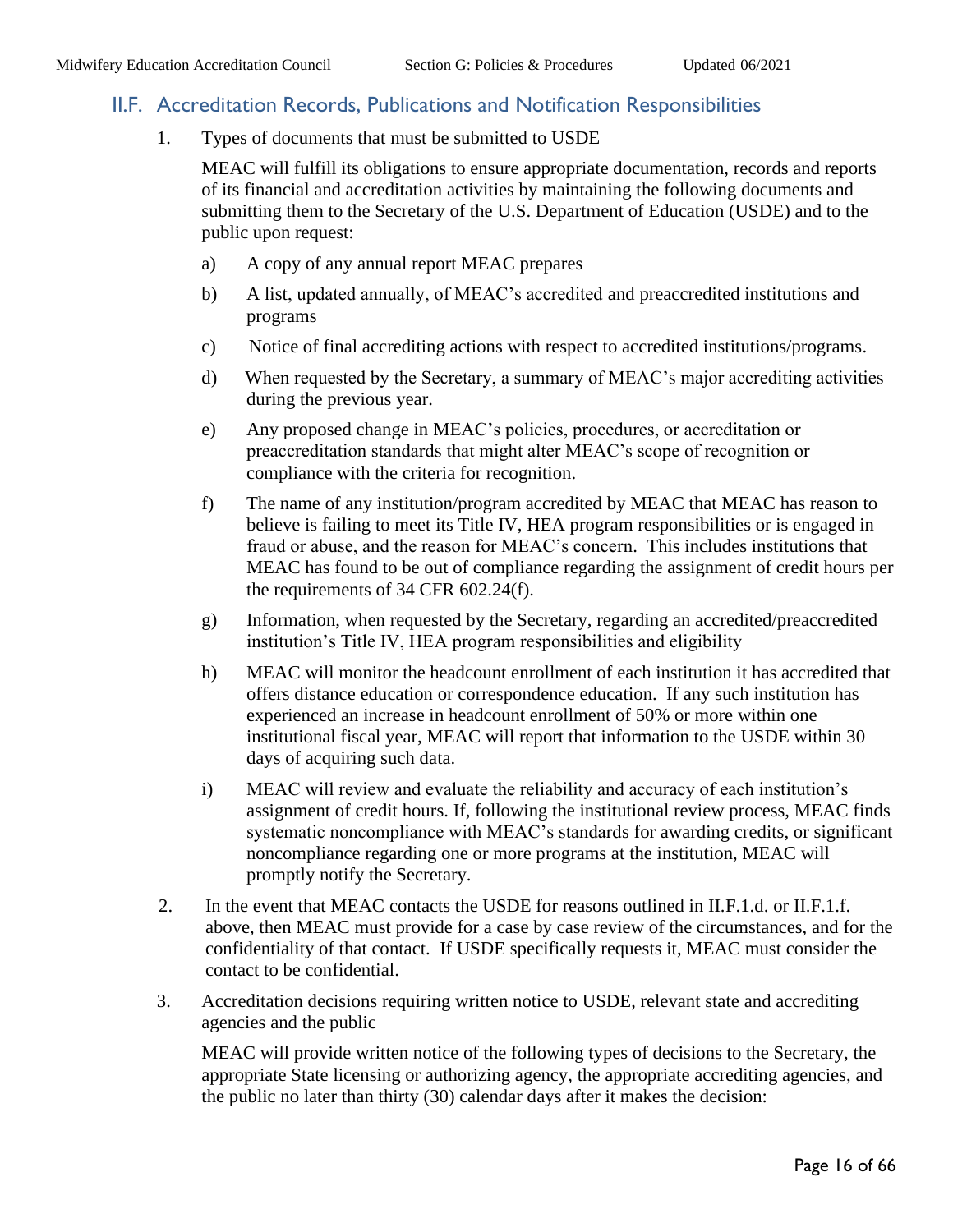#### <span id="page-15-0"></span>II.F. Accreditation Records, Publications and Notification Responsibilities

1. Types of documents that must be submitted to USDE

MEAC will fulfill its obligations to ensure appropriate documentation, records and reports of its financial and accreditation activities by maintaining the following documents and submitting them to the Secretary of the U.S. Department of Education (USDE) and to the public upon request:

- a) A copy of any annual report MEAC prepares
- b) A list, updated annually, of MEAC's accredited and preaccredited institutions and programs
- c) Notice of final accrediting actions with respect to accredited institutions/programs.
- d) When requested by the Secretary, a summary of MEAC's major accrediting activities during the previous year.
- e) Any proposed change in MEAC's policies, procedures, or accreditation or preaccreditation standards that might alter MEAC's scope of recognition or compliance with the criteria for recognition.
- f) The name of any institution/program accredited by MEAC that MEAC has reason to believe is failing to meet its Title IV, HEA program responsibilities or is engaged in fraud or abuse, and the reason for MEAC's concern. This includes institutions that MEAC has found to be out of compliance regarding the assignment of credit hours per the requirements of 34 CFR 602.24(f).
- g) Information, when requested by the Secretary, regarding an accredited/preaccredited institution's Title IV, HEA program responsibilities and eligibility
- h) MEAC will monitor the headcount enrollment of each institution it has accredited that offers distance education or correspondence education. If any such institution has experienced an increase in headcount enrollment of 50% or more within one institutional fiscal year, MEAC will report that information to the USDE within 30 days of acquiring such data.
- i) MEAC will review and evaluate the reliability and accuracy of each institution's assignment of credit hours. If, following the institutional review process, MEAC finds systematic noncompliance with MEAC's standards for awarding credits, or significant noncompliance regarding one or more programs at the institution, MEAC will promptly notify the Secretary.
- 2. In the event that MEAC contacts the USDE for reasons outlined in II.F.1.d. or II.F.1.f. above, then MEAC must provide for a case by case review of the circumstances, and for the confidentiality of that contact. If USDE specifically requests it, MEAC must consider the contact to be confidential.
- 3. Accreditation decisions requiring written notice to USDE, relevant state and accrediting agencies and the public

MEAC will provide written notice of the following types of decisions to the Secretary, the appropriate State licensing or authorizing agency, the appropriate accrediting agencies, and the public no later than thirty (30) calendar days after it makes the decision: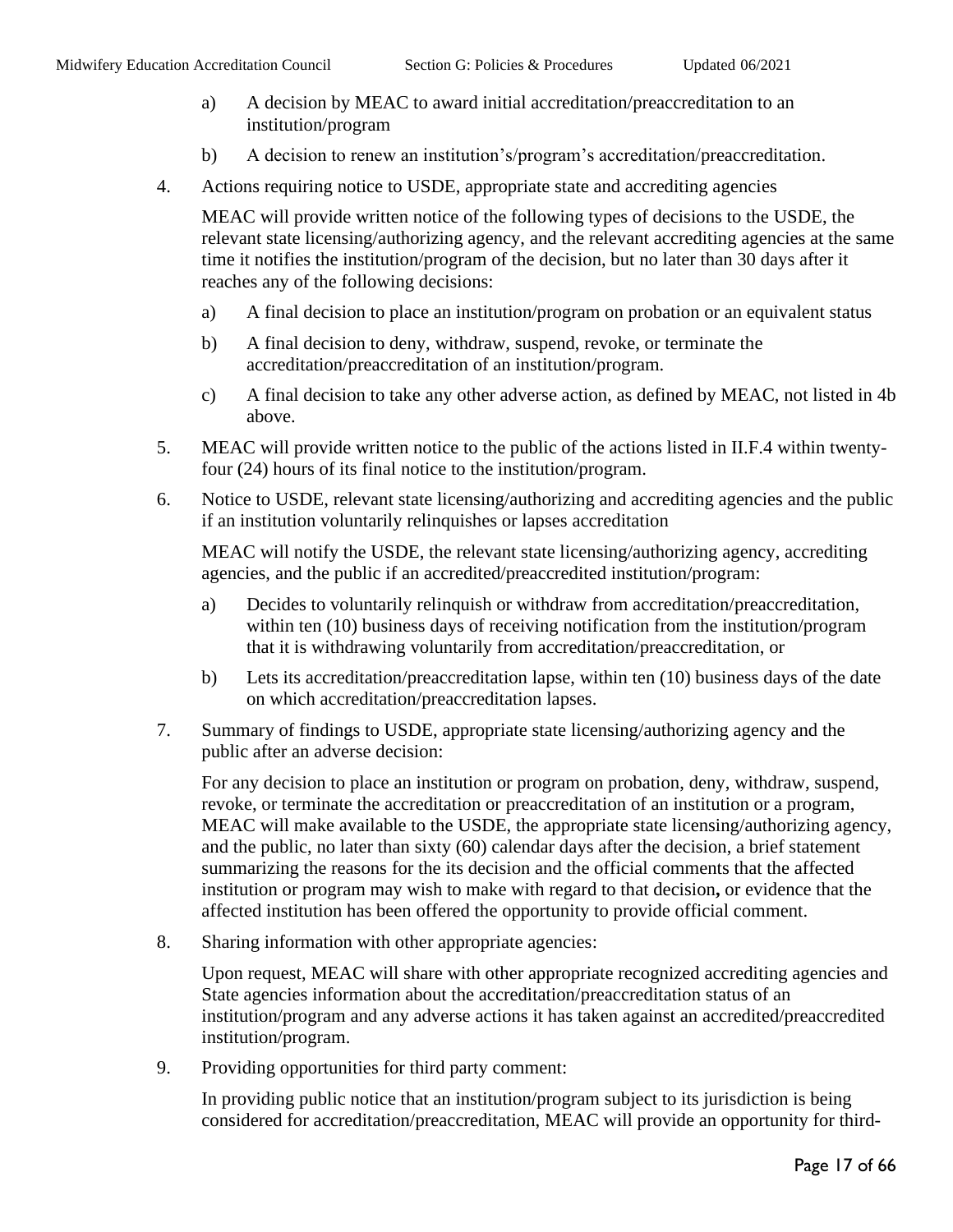- a) A decision by MEAC to award initial accreditation/preaccreditation to an institution/program
- b) A decision to renew an institution's/program's accreditation/preaccreditation.
- 4. Actions requiring notice to USDE, appropriate state and accrediting agencies

MEAC will provide written notice of the following types of decisions to the USDE, the relevant state licensing/authorizing agency, and the relevant accrediting agencies at the same time it notifies the institution/program of the decision, but no later than 30 days after it reaches any of the following decisions:

- a) A final decision to place an institution/program on probation or an equivalent status
- b) A final decision to deny, withdraw, suspend, revoke, or terminate the accreditation/preaccreditation of an institution/program.
- c) A final decision to take any other adverse action, as defined by MEAC, not listed in 4b above.
- 5. MEAC will provide written notice to the public of the actions listed in II.F.4 within twentyfour (24) hours of its final notice to the institution/program.
- 6. Notice to USDE, relevant state licensing/authorizing and accrediting agencies and the public if an institution voluntarily relinquishes or lapses accreditation

MEAC will notify the USDE, the relevant state licensing/authorizing agency, accrediting agencies, and the public if an accredited/preaccredited institution/program:

- a) Decides to voluntarily relinquish or withdraw from accreditation/preaccreditation, within ten (10) business days of receiving notification from the institution/program that it is withdrawing voluntarily from accreditation/preaccreditation, or
- b) Lets its accreditation/preaccreditation lapse, within ten (10) business days of the date on which accreditation/preaccreditation lapses.
- 7. Summary of findings to USDE, appropriate state licensing/authorizing agency and the public after an adverse decision:

For any decision to place an institution or program on probation, deny, withdraw, suspend, revoke, or terminate the accreditation or preaccreditation of an institution or a program, MEAC will make available to the USDE, the appropriate state licensing/authorizing agency, and the public, no later than sixty (60) calendar days after the decision, a brief statement summarizing the reasons for the its decision and the official comments that the affected institution or program may wish to make with regard to that decision**,** or evidence that the affected institution has been offered the opportunity to provide official comment.

8. Sharing information with other appropriate agencies:

Upon request, MEAC will share with other appropriate recognized accrediting agencies and State agencies information about the accreditation/preaccreditation status of an institution/program and any adverse actions it has taken against an accredited/preaccredited institution/program.

9. Providing opportunities for third party comment:

In providing public notice that an institution/program subject to its jurisdiction is being considered for accreditation/preaccreditation, MEAC will provide an opportunity for third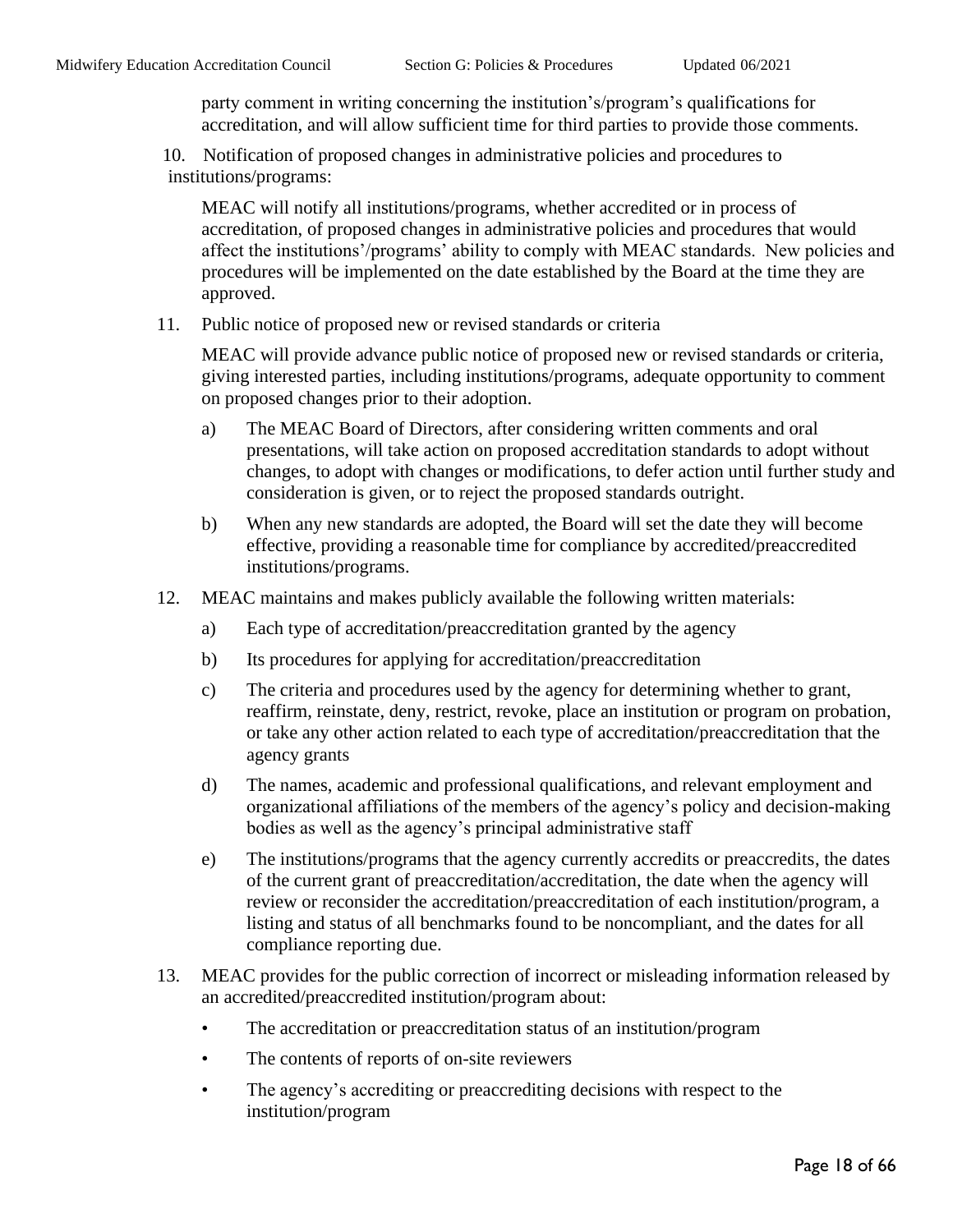party comment in writing concerning the institution's/program's qualifications for accreditation, and will allow sufficient time for third parties to provide those comments.

 10. Notification of proposed changes in administrative policies and procedures to institutions/programs:

MEAC will notify all institutions/programs, whether accredited or in process of accreditation, of proposed changes in administrative policies and procedures that would affect the institutions'/programs' ability to comply with MEAC standards. New policies and procedures will be implemented on the date established by the Board at the time they are approved.

11. Public notice of proposed new or revised standards or criteria

MEAC will provide advance public notice of proposed new or revised standards or criteria, giving interested parties, including institutions/programs, adequate opportunity to comment on proposed changes prior to their adoption.

- a) The MEAC Board of Directors, after considering written comments and oral presentations, will take action on proposed accreditation standards to adopt without changes, to adopt with changes or modifications, to defer action until further study and consideration is given, or to reject the proposed standards outright.
- b) When any new standards are adopted, the Board will set the date they will become effective, providing a reasonable time for compliance by accredited/preaccredited institutions/programs.
- 12. MEAC maintains and makes publicly available the following written materials:
	- a) Each type of accreditation/preaccreditation granted by the agency
	- b) Its procedures for applying for accreditation/preaccreditation
	- c) The criteria and procedures used by the agency for determining whether to grant, reaffirm, reinstate, deny, restrict, revoke, place an institution or program on probation, or take any other action related to each type of accreditation/preaccreditation that the agency grants
	- d) The names, academic and professional qualifications, and relevant employment and organizational affiliations of the members of the agency's policy and decision-making bodies as well as the agency's principal administrative staff
	- e) The institutions/programs that the agency currently accredits or preaccredits, the dates of the current grant of preaccreditation/accreditation, the date when the agency will review or reconsider the accreditation/preaccreditation of each institution/program, a listing and status of all benchmarks found to be noncompliant, and the dates for all compliance reporting due.
- 13. MEAC provides for the public correction of incorrect or misleading information released by an accredited/preaccredited institution/program about:
	- The accreditation or preaccreditation status of an institution/program
	- The contents of reports of on-site reviewers
	- The agency's accrediting or preaccrediting decisions with respect to the institution/program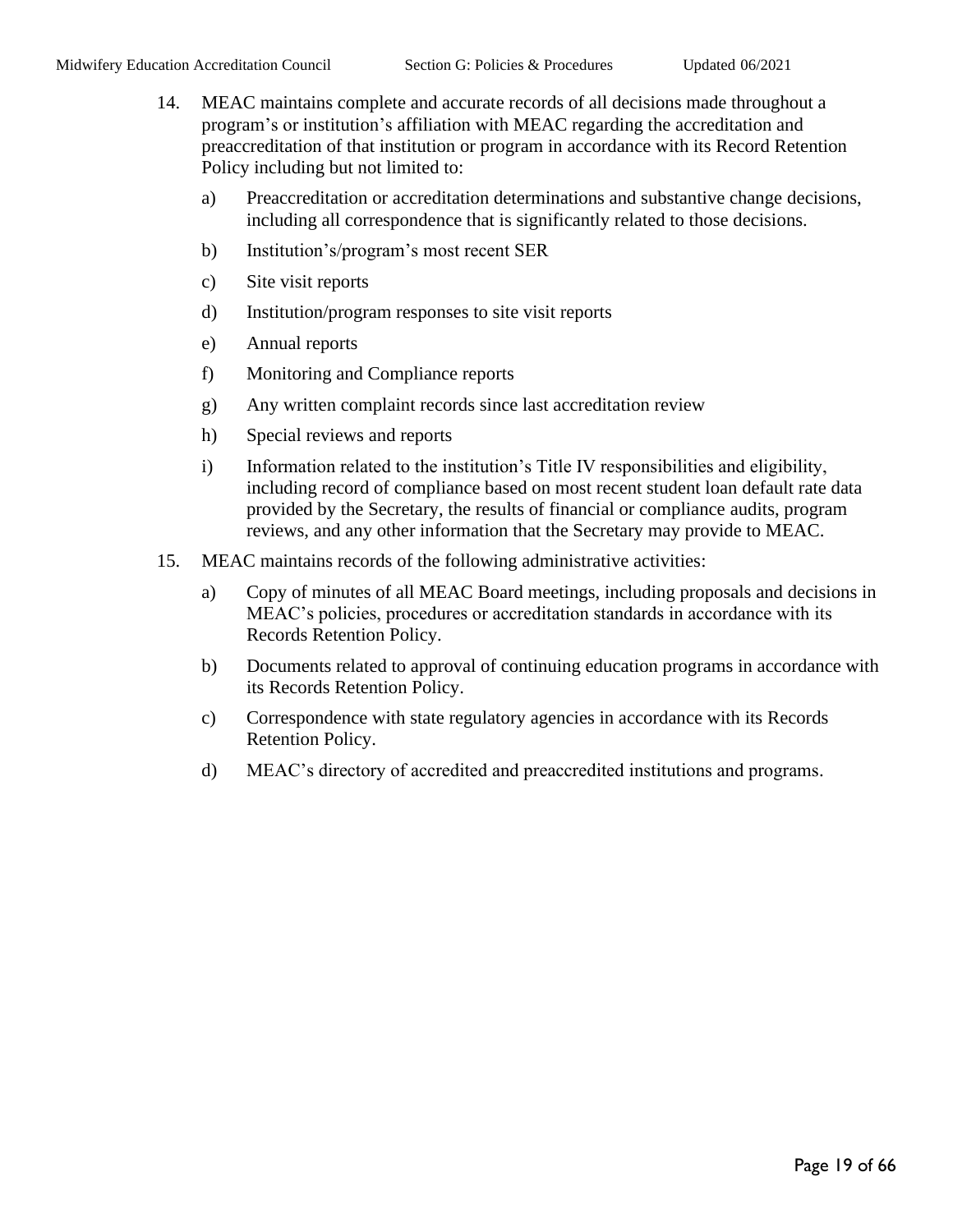- 14. MEAC maintains complete and accurate records of all decisions made throughout a program's or institution's affiliation with MEAC regarding the accreditation and preaccreditation of that institution or program in accordance with its Record Retention Policy including but not limited to:
	- a) Preaccreditation or accreditation determinations and substantive change decisions, including all correspondence that is significantly related to those decisions.
	- b) Institution's/program's most recent SER
	- c) Site visit reports
	- d) Institution/program responses to site visit reports
	- e) Annual reports
	- f) Monitoring and Compliance reports
	- g) Any written complaint records since last accreditation review
	- h) Special reviews and reports
	- i) Information related to the institution's Title IV responsibilities and eligibility, including record of compliance based on most recent student loan default rate data provided by the Secretary, the results of financial or compliance audits, program reviews, and any other information that the Secretary may provide to MEAC.
- 15. MEAC maintains records of the following administrative activities:
	- a) Copy of minutes of all MEAC Board meetings, including proposals and decisions in MEAC's policies, procedures or accreditation standards in accordance with its Records Retention Policy.
	- b) Documents related to approval of continuing education programs in accordance with its Records Retention Policy.
	- c) Correspondence with state regulatory agencies in accordance with its Records Retention Policy.
	- d) MEAC's directory of accredited and preaccredited institutions and programs.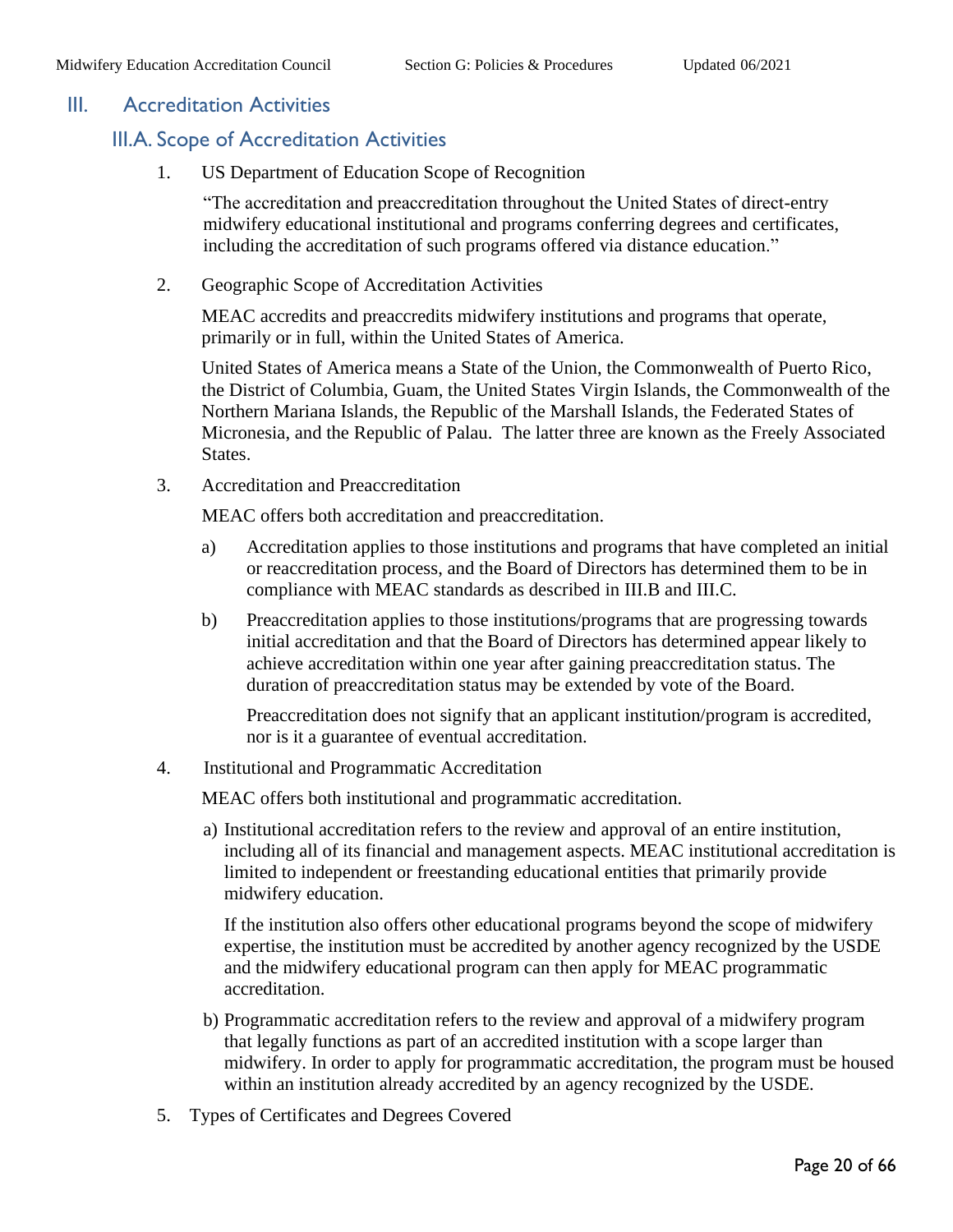#### <span id="page-19-1"></span><span id="page-19-0"></span>III. Accreditation Activities

## III.A. Scope of Accreditation Activities

1. US Department of Education Scope of Recognition

"The accreditation and preaccreditation throughout the United States of direct-entry midwifery educational institutional and programs conferring degrees and certificates, including the accreditation of such programs offered via distance education."

2. Geographic Scope of Accreditation Activities

MEAC accredits and preaccredits midwifery institutions and programs that operate, primarily or in full, within the United States of America.

United States of America means a State of the Union, the Commonwealth of Puerto Rico, the District of Columbia, Guam, the United States Virgin Islands, the Commonwealth of the Northern Mariana Islands, the Republic of the Marshall Islands, the Federated States of Micronesia, and the Republic of Palau. The latter three are known as the Freely Associated States.

3. Accreditation and Preaccreditation

MEAC offers both accreditation and preaccreditation.

- a) Accreditation applies to those institutions and programs that have completed an initial or reaccreditation process, and the Board of Directors has determined them to be in compliance with MEAC standards as described in III.B and III.C.
- b) Preaccreditation applies to those institutions/programs that are progressing towards initial accreditation and that the Board of Directors has determined appear likely to achieve accreditation within one year after gaining preaccreditation status. The duration of preaccreditation status may be extended by vote of the Board.

Preaccreditation does not signify that an applicant institution/program is accredited, nor is it a guarantee of eventual accreditation.

4. Institutional and Programmatic Accreditation

MEAC offers both institutional and programmatic accreditation.

a) Institutional accreditation refers to the review and approval of an entire institution, including all of its financial and management aspects. MEAC institutional accreditation is limited to independent or freestanding educational entities that primarily provide midwifery education.

If the institution also offers other educational programs beyond the scope of midwifery expertise, the institution must be accredited by another agency recognized by the USDE and the midwifery educational program can then apply for MEAC programmatic accreditation.

- b) Programmatic accreditation refers to the review and approval of a midwifery program that legally functions as part of an accredited institution with a scope larger than midwifery. In order to apply for programmatic accreditation, the program must be housed within an institution already accredited by an agency recognized by the USDE.
- 5. Types of Certificates and Degrees Covered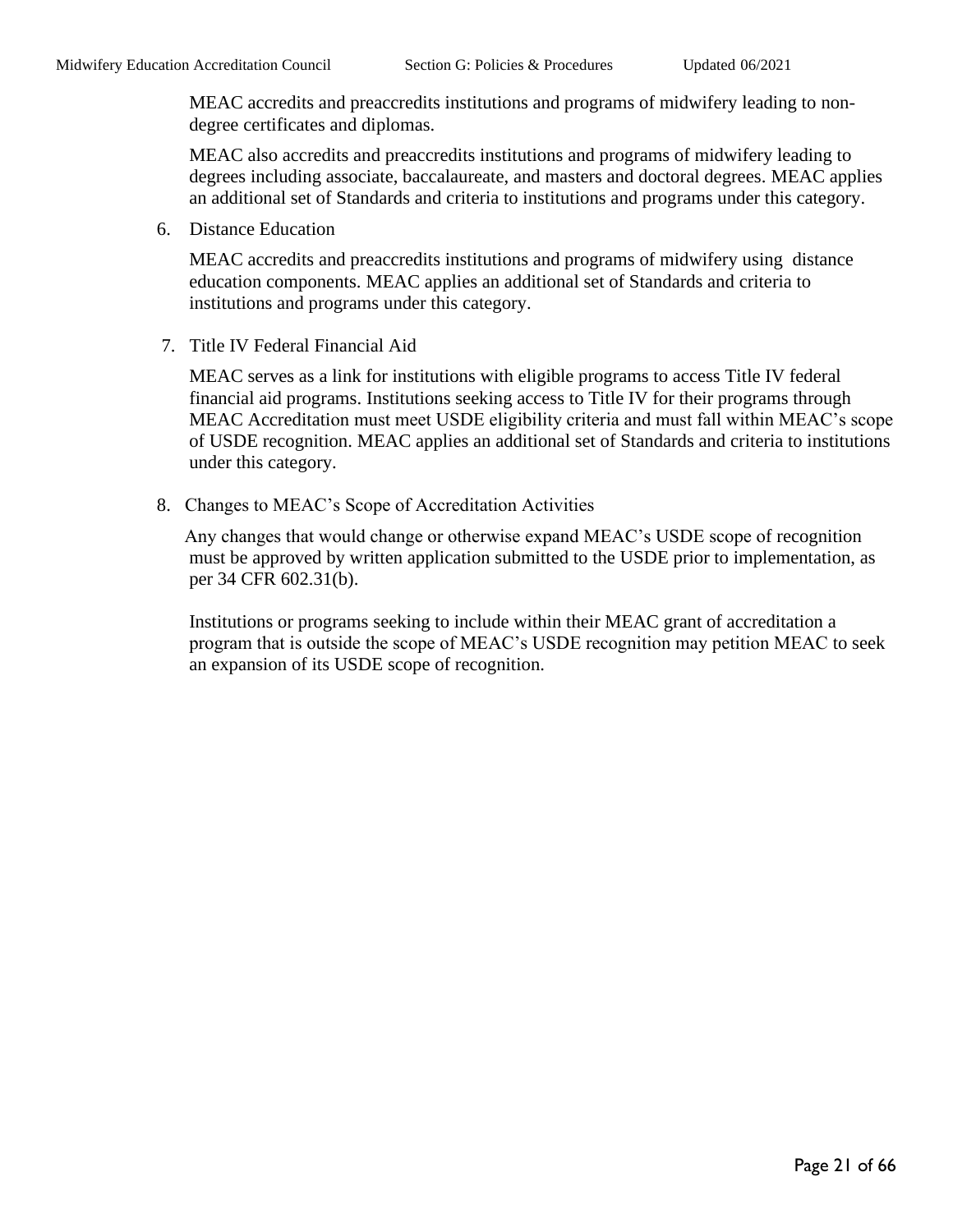MEAC accredits and preaccredits institutions and programs of midwifery leading to nondegree certificates and diplomas.

MEAC also accredits and preaccredits institutions and programs of midwifery leading to degrees including associate, baccalaureate, and masters and doctoral degrees. MEAC applies an additional set of Standards and criteria to institutions and programs under this category.

6. Distance Education

MEAC accredits and preaccredits institutions and programs of midwifery using distance education components. MEAC applies an additional set of Standards and criteria to institutions and programs under this category.

7. Title IV Federal Financial Aid

MEAC serves as a link for institutions with eligible programs to access Title IV federal financial aid programs. Institutions seeking access to Title IV for their programs through MEAC Accreditation must meet USDE eligibility criteria and must fall within MEAC's scope of USDE recognition. MEAC applies an additional set of Standards and criteria to institutions under this category.

8. Changes to MEAC's Scope of Accreditation Activities

 Any changes that would change or otherwise expand MEAC's USDE scope of recognition must be approved by written application submitted to the USDE prior to implementation, as per 34 CFR 602.31(b).

Institutions or programs seeking to include within their MEAC grant of accreditation a program that is outside the scope of MEAC's USDE recognition may petition MEAC to seek an expansion of its USDE scope of recognition.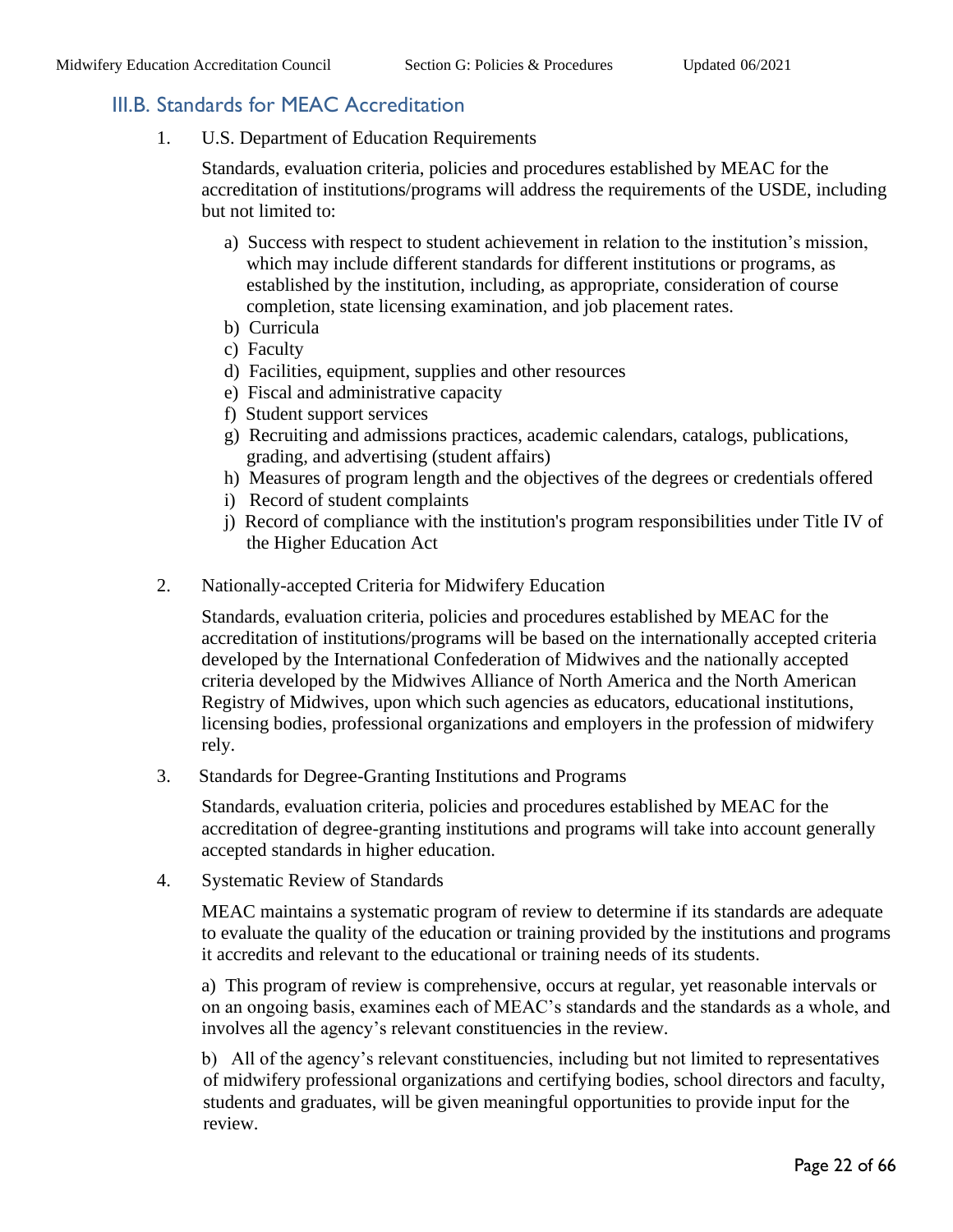### <span id="page-21-0"></span>III.B. Standards for MEAC Accreditation

1. U.S. Department of Education Requirements

Standards, evaluation criteria, policies and procedures established by MEAC for the accreditation of institutions/programs will address the requirements of the USDE, including but not limited to:

- a) Success with respect to student achievement in relation to the institution's mission, which may include different standards for different institutions or programs, as established by the institution, including, as appropriate, consideration of course completion, state licensing examination, and job placement rates.
- b) Curricula
- c) Faculty
- d) Facilities, equipment, supplies and other resources
- e) Fiscal and administrative capacity
- f) Student support services
- g) Recruiting and admissions practices, academic calendars, catalogs, publications, grading, and advertising (student affairs)
- h) Measures of program length and the objectives of the degrees or credentials offered
- i) Record of student complaints
- j) Record of compliance with the institution's program responsibilities under Title IV of the Higher Education Act
- 2. Nationally-accepted Criteria for Midwifery Education

Standards, evaluation criteria, policies and procedures established by MEAC for the accreditation of institutions/programs will be based on the internationally accepted criteria developed by the International Confederation of Midwives and the nationally accepted criteria developed by the Midwives Alliance of North America and the North American Registry of Midwives, upon which such agencies as educators, educational institutions, licensing bodies, professional organizations and employers in the profession of midwifery rely.

3. Standards for Degree-Granting Institutions and Programs

Standards, evaluation criteria, policies and procedures established by MEAC for the accreditation of degree-granting institutions and programs will take into account generally accepted standards in higher education.

4. Systematic Review of Standards

MEAC maintains a systematic program of review to determine if its standards are adequate to evaluate the quality of the education or training provided by the institutions and programs it accredits and relevant to the educational or training needs of its students.

a) This program of review is comprehensive, occurs at regular, yet reasonable intervals or on an ongoing basis, examines each of MEAC's standards and the standards as a whole, and involves all the agency's relevant constituencies in the review.

b) All of the agency's relevant constituencies, including but not limited to representatives of midwifery professional organizations and certifying bodies, school directors and faculty, students and graduates, will be given meaningful opportunities to provide input for the review.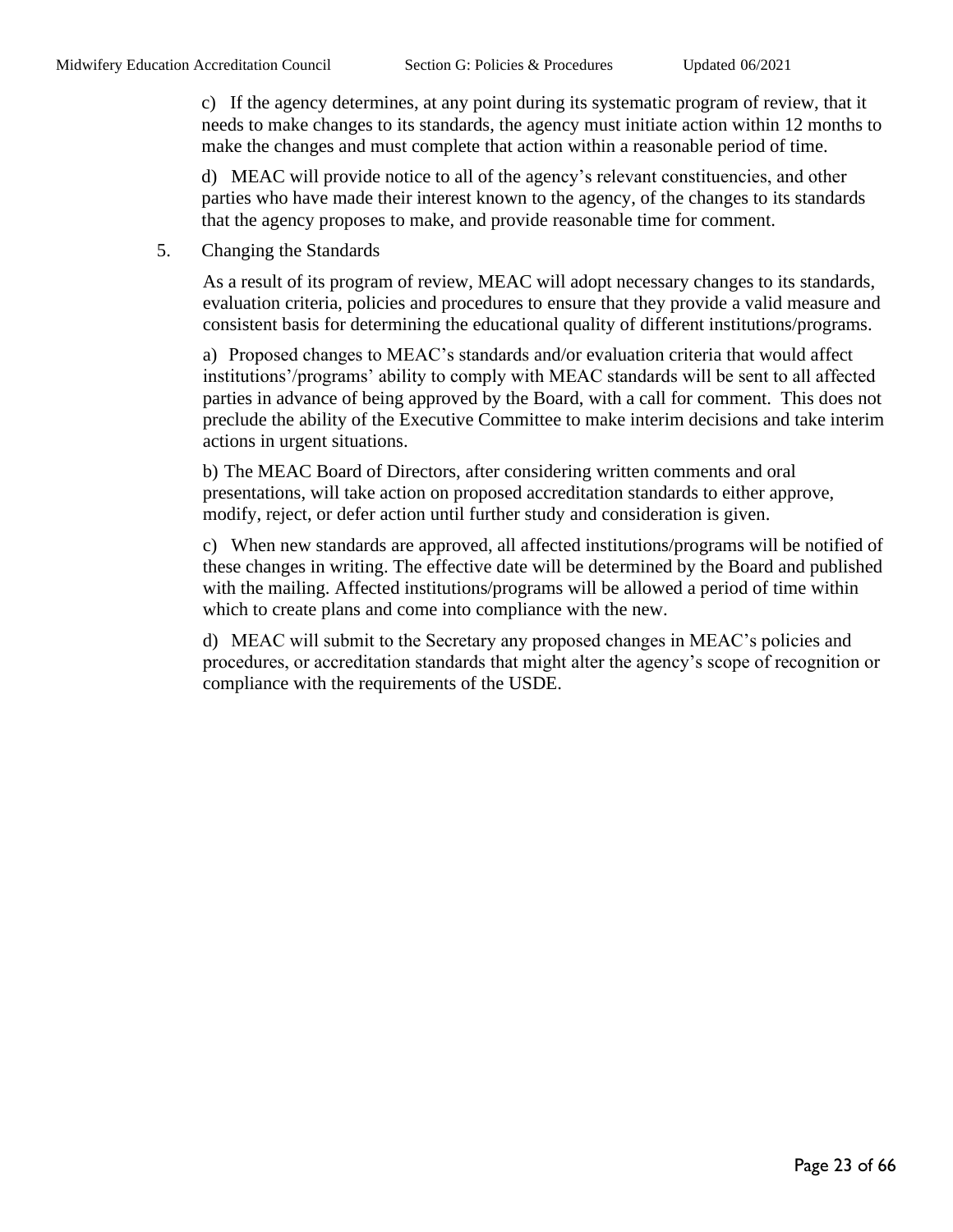c) If the agency determines, at any point during its systematic program of review, that it needs to make changes to its standards, the agency must initiate action within 12 months to make the changes and must complete that action within a reasonable period of time.

d) MEAC will provide notice to all of the agency's relevant constituencies, and other parties who have made their interest known to the agency, of the changes to its standards that the agency proposes to make, and provide reasonable time for comment.

5. Changing the Standards

As a result of its program of review, MEAC will adopt necessary changes to its standards, evaluation criteria, policies and procedures to ensure that they provide a valid measure and consistent basis for determining the educational quality of different institutions/programs.

a) Proposed changes to MEAC's standards and/or evaluation criteria that would affect institutions'/programs' ability to comply with MEAC standards will be sent to all affected parties in advance of being approved by the Board, with a call for comment. This does not preclude the ability of the Executive Committee to make interim decisions and take interim actions in urgent situations.

b) The MEAC Board of Directors, after considering written comments and oral presentations, will take action on proposed accreditation standards to either approve, modify, reject, or defer action until further study and consideration is given.

c) When new standards are approved, all affected institutions/programs will be notified of these changes in writing. The effective date will be determined by the Board and published with the mailing. Affected institutions/programs will be allowed a period of time within which to create plans and come into compliance with the new.

d) MEAC will submit to the Secretary any proposed changes in MEAC's policies and procedures, or accreditation standards that might alter the agency's scope of recognition or compliance with the requirements of the USDE.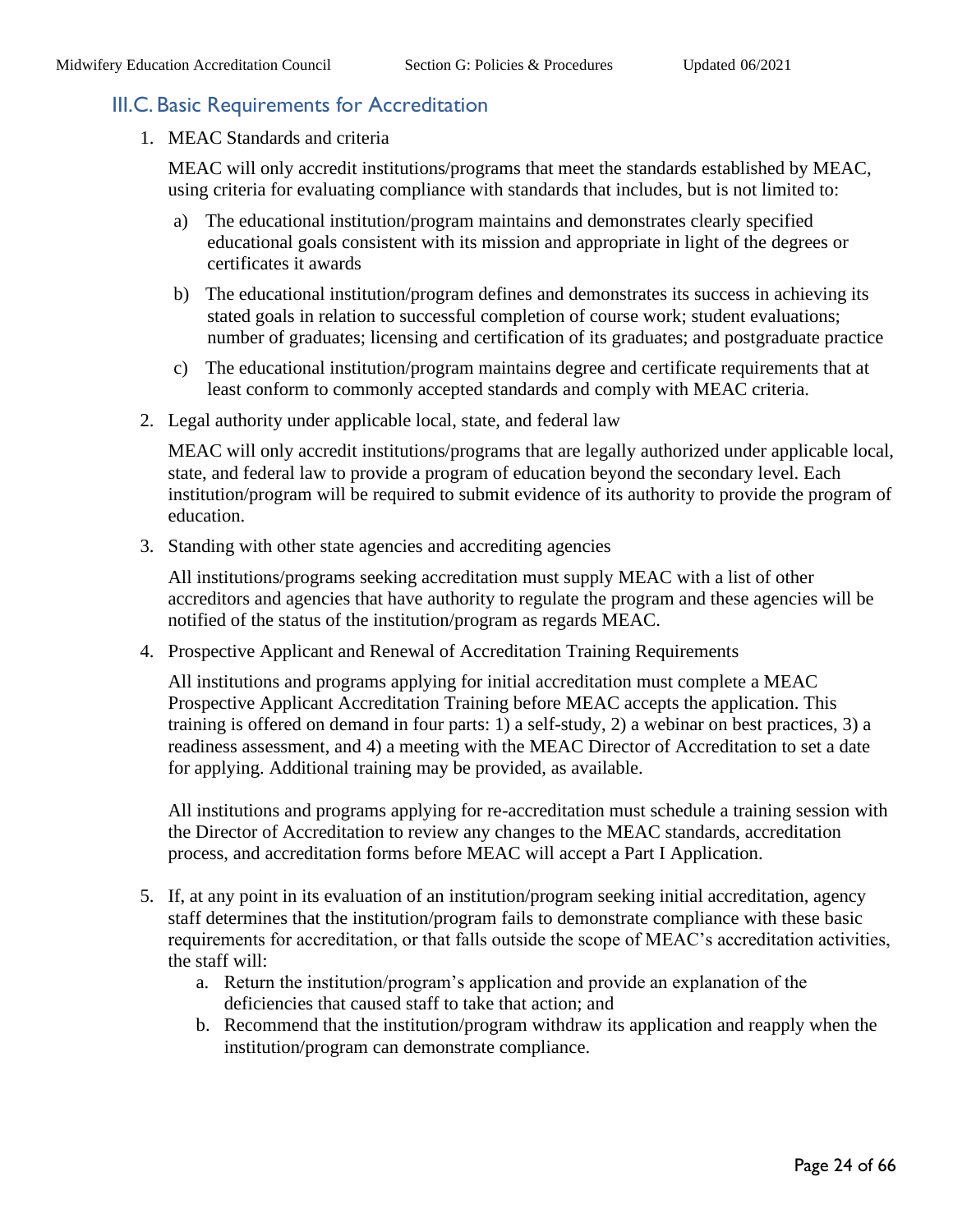#### <span id="page-23-0"></span>III.C. Basic Requirements for Accreditation

1. MEAC Standards and criteria

MEAC will only accredit institutions/programs that meet the standards established by MEAC, using criteria for evaluating compliance with standards that includes, but is not limited to:

- a) The educational institution/program maintains and demonstrates clearly specified educational goals consistent with its mission and appropriate in light of the degrees or certificates it awards
- b) The educational institution/program defines and demonstrates its success in achieving its stated goals in relation to successful completion of course work; student evaluations; number of graduates; licensing and certification of its graduates; and postgraduate practice
- c) The educational institution/program maintains degree and certificate requirements that at least conform to commonly accepted standards and comply with MEAC criteria.
- 2. Legal authority under applicable local, state, and federal law

MEAC will only accredit institutions/programs that are legally authorized under applicable local, state, and federal law to provide a program of education beyond the secondary level. Each institution/program will be required to submit evidence of its authority to provide the program of education.

3. Standing with other state agencies and accrediting agencies

All institutions/programs seeking accreditation must supply MEAC with a list of other accreditors and agencies that have authority to regulate the program and these agencies will be notified of the status of the institution/program as regards MEAC.

4. Prospective Applicant and Renewal of Accreditation Training Requirements

All institutions and programs applying for initial accreditation must complete a MEAC Prospective Applicant Accreditation Training before MEAC accepts the application. This training is offered on demand in four parts: 1) a self-study, 2) a webinar on best practices, 3) a readiness assessment, and 4) a meeting with the MEAC Director of Accreditation to set a date for applying. Additional training may be provided, as available.

All institutions and programs applying for re-accreditation must schedule a training session with the Director of Accreditation to review any changes to the MEAC standards, accreditation process, and accreditation forms before MEAC will accept a Part I Application.

- 5. If, at any point in its evaluation of an institution/program seeking initial accreditation, agency staff determines that the institution/program fails to demonstrate compliance with these basic requirements for accreditation, or that falls outside the scope of MEAC's accreditation activities, the staff will:
	- a. Return the institution/program's application and provide an explanation of the deficiencies that caused staff to take that action; and
	- b. Recommend that the institution/program withdraw its application and reapply when the institution/program can demonstrate compliance.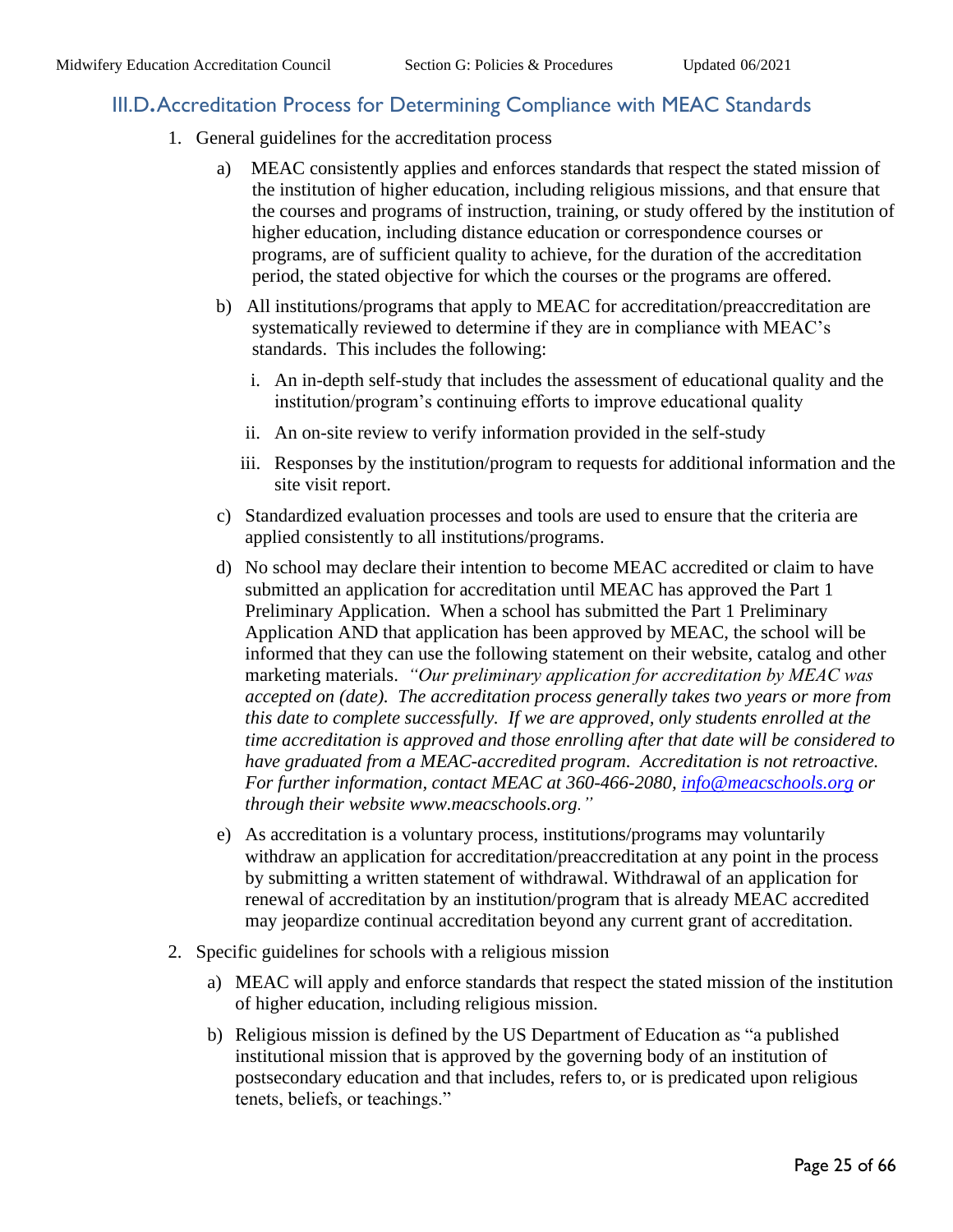#### <span id="page-24-0"></span>III.D**.**Accreditation Process for Determining Compliance with MEAC Standards

- 1. General guidelines for the accreditation process
	- a) MEAC consistently applies and enforces standards that respect the stated mission of the institution of higher education, including religious missions, and that ensure that the courses and programs of instruction, training, or study offered by the institution of higher education, including distance education or correspondence courses or programs, are of sufficient quality to achieve, for the duration of the accreditation period, the stated objective for which the courses or the programs are offered.
	- b) All institutions/programs that apply to MEAC for accreditation/preaccreditation are systematically reviewed to determine if they are in compliance with MEAC's standards. This includes the following:
		- i. An in-depth self-study that includes the assessment of educational quality and the institution/program's continuing efforts to improve educational quality
		- ii. An on-site review to verify information provided in the self-study
		- iii. Responses by the institution/program to requests for additional information and the site visit report.
	- c) Standardized evaluation processes and tools are used to ensure that the criteria are applied consistently to all institutions/programs.
	- d) No school may declare their intention to become MEAC accredited or claim to have submitted an application for accreditation until MEAC has approved the Part 1 Preliminary Application. When a school has submitted the Part 1 Preliminary Application AND that application has been approved by MEAC, the school will be informed that they can use the following statement on their website, catalog and other marketing materials. *"Our preliminary application for accreditation by MEAC was accepted on (date). The accreditation process generally takes two years or more from this date to complete successfully. If we are approved, only students enrolled at the time accreditation is approved and those enrolling after that date will be considered to have graduated from a MEAC-accredited program. Accreditation is not retroactive. For further information, contact MEAC at 360-466-2080, [info@meacschools.org](mailto:info@meacschools.org) or through their website www.meacschools.org."*
	- e) As accreditation is a voluntary process, institutions/programs may voluntarily withdraw an application for accreditation/preaccreditation at any point in the process by submitting a written statement of withdrawal. Withdrawal of an application for renewal of accreditation by an institution/program that is already MEAC accredited may jeopardize continual accreditation beyond any current grant of accreditation.
- 2. Specific guidelines for schools with a religious mission
	- a) MEAC will apply and enforce standards that respect the stated mission of the institution of higher education, including religious mission.
	- b) Religious mission is defined by the US Department of Education as "a published institutional mission that is approved by the governing body of an institution of postsecondary education and that includes, refers to, or is predicated upon religious tenets, beliefs, or teachings."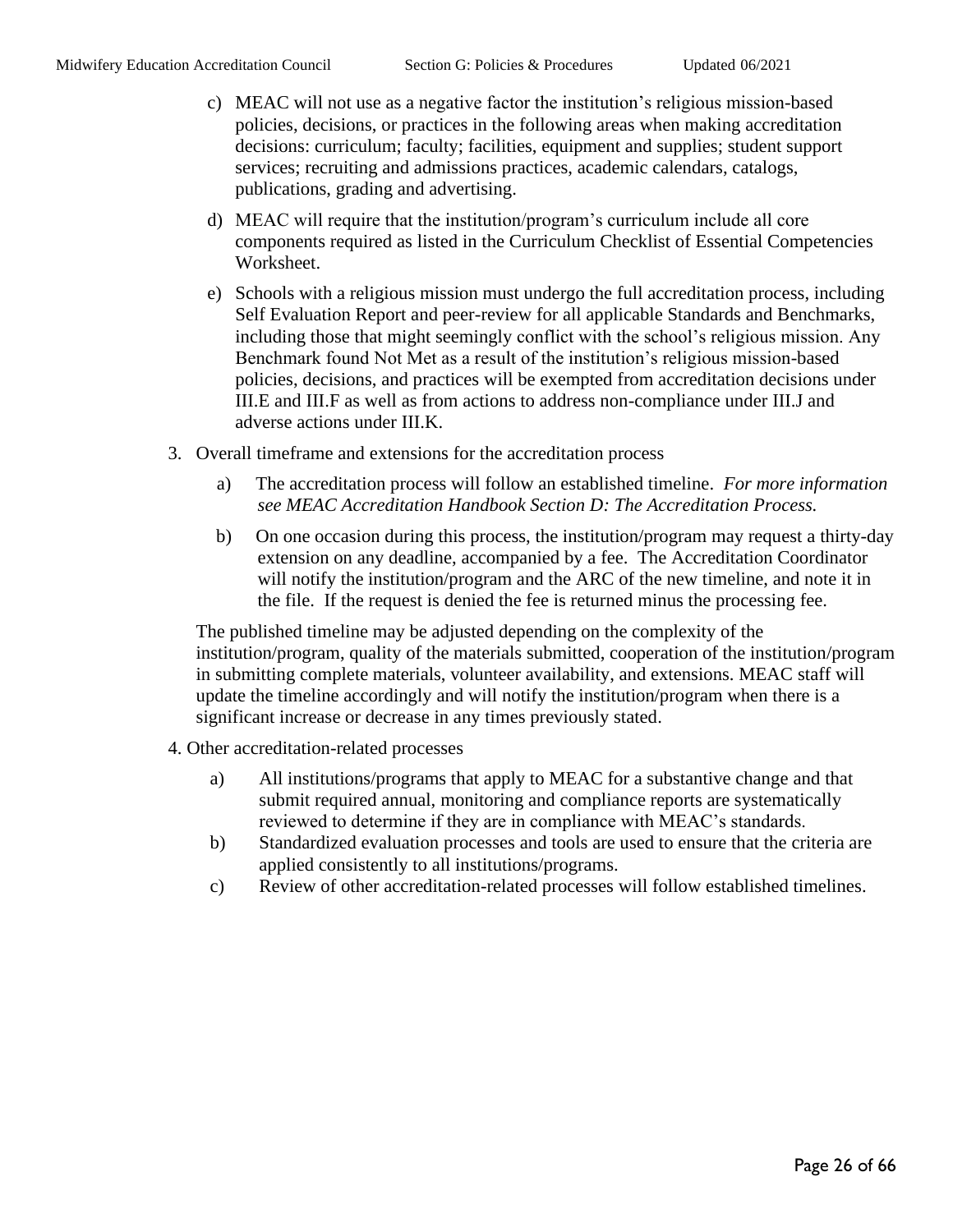- c) MEAC will not use as a negative factor the institution's religious mission-based policies, decisions, or practices in the following areas when making accreditation decisions: curriculum; faculty; facilities, equipment and supplies; student support services; recruiting and admissions practices, academic calendars, catalogs, publications, grading and advertising.
- d) MEAC will require that the institution/program's curriculum include all core components required as listed in the Curriculum Checklist of Essential Competencies Worksheet.
- e) Schools with a religious mission must undergo the full accreditation process, including Self Evaluation Report and peer-review for all applicable Standards and Benchmarks, including those that might seemingly conflict with the school's religious mission. Any Benchmark found Not Met as a result of the institution's religious mission-based policies, decisions, and practices will be exempted from accreditation decisions under III.E and III.F as well as from actions to address non-compliance under III.J and adverse actions under III.K.
- 3. Overall timeframe and extensions for the accreditation process
	- a) The accreditation process will follow an established timeline. *For more information see MEAC Accreditation Handbook Section D: The Accreditation Process.*
	- b) On one occasion during this process, the institution/program may request a thirty-day extension on any deadline, accompanied by a fee. The Accreditation Coordinator will notify the institution/program and the ARC of the new timeline, and note it in the file. If the request is denied the fee is returned minus the processing fee.

The published timeline may be adjusted depending on the complexity of the institution/program, quality of the materials submitted, cooperation of the institution/program in submitting complete materials, volunteer availability, and extensions. MEAC staff will update the timeline accordingly and will notify the institution/program when there is a significant increase or decrease in any times previously stated.

- 4. Other accreditation-related processes
	- a) All institutions/programs that apply to MEAC for a substantive change and that submit required annual, monitoring and compliance reports are systematically reviewed to determine if they are in compliance with MEAC's standards.
	- b) Standardized evaluation processes and tools are used to ensure that the criteria are applied consistently to all institutions/programs.
	- c) Review of other accreditation-related processes will follow established timelines.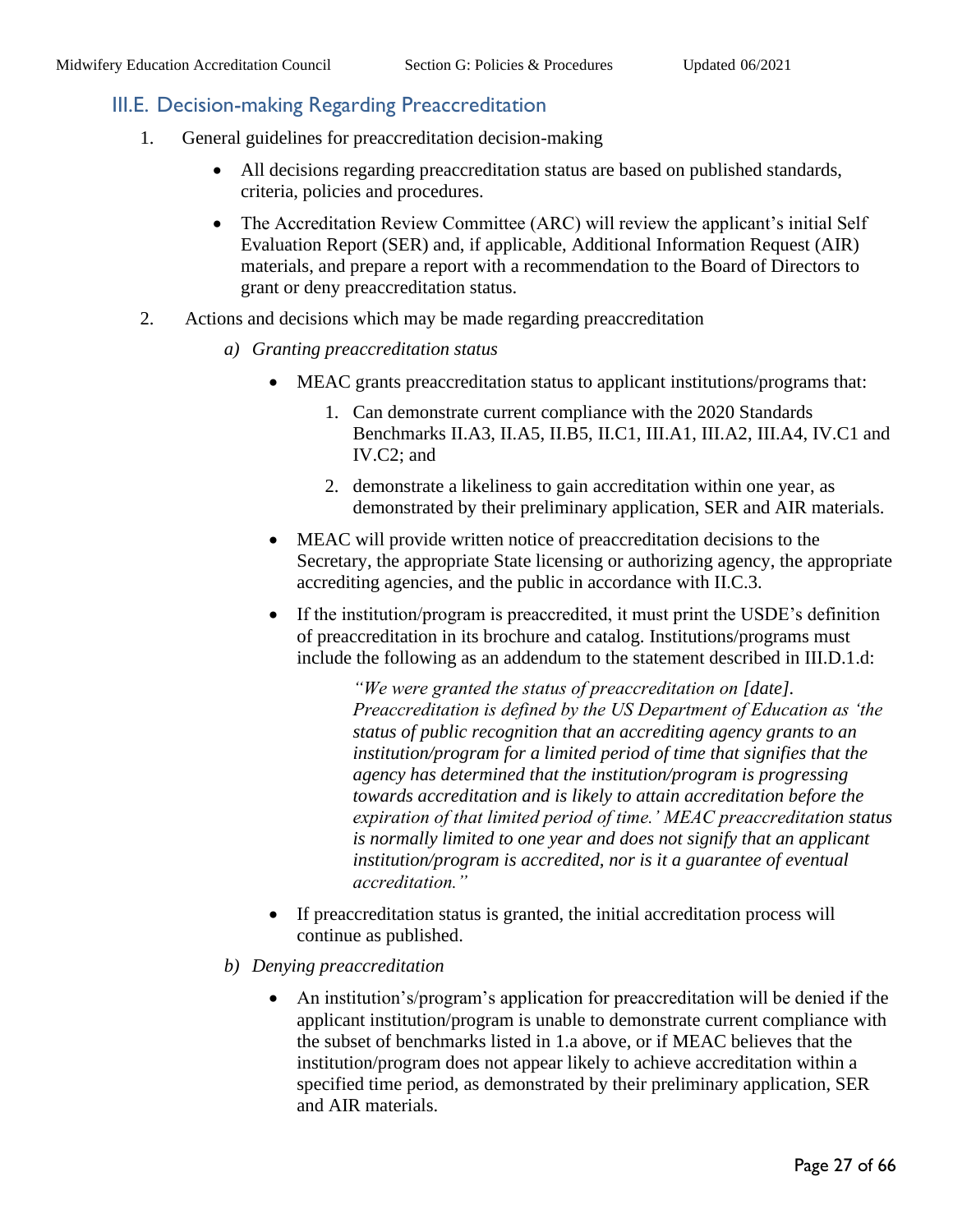#### <span id="page-26-0"></span>III.E. Decision-making Regarding Preaccreditation

- 1. General guidelines for preaccreditation decision-making
	- All decisions regarding preaccreditation status are based on published standards, criteria, policies and procedures.
	- The Accreditation Review Committee (ARC) will review the applicant's initial Self Evaluation Report (SER) and, if applicable, Additional Information Request (AIR) materials, and prepare a report with a recommendation to the Board of Directors to grant or deny preaccreditation status.
- 2. Actions and decisions which may be made regarding preaccreditation
	- *a) Granting preaccreditation status* 
		- MEAC grants preaccreditation status to applicant institutions/programs that:
			- 1. Can demonstrate current compliance with the 2020 Standards Benchmarks II.A3, II.A5, II.B5, II.C1, III.A1, III.A2, III.A4, IV.C1 and IV.C2; and
			- 2. demonstrate a likeliness to gain accreditation within one year, as demonstrated by their preliminary application, SER and AIR materials.
		- MEAC will provide written notice of preaccreditation decisions to the Secretary, the appropriate State licensing or authorizing agency, the appropriate accrediting agencies, and the public in accordance with II.C.3.
		- If the institution/program is preaccredited, it must print the USDE's definition of preaccreditation in its brochure and catalog. Institutions/programs must include the following as an addendum to the statement described in III.D.1.d:

*"We were granted the status of preaccreditation on [date]. Preaccreditation is defined by the US Department of Education as 'the status of public recognition that an accrediting agency grants to an institution/program for a limited period of time that signifies that the agency has determined that the institution/program is progressing towards accreditation and is likely to attain accreditation before the expiration of that limited period of time.' MEAC preaccreditation status is normally limited to one year and does not signify that an applicant institution/program is accredited, nor is it a guarantee of eventual accreditation."*

- If preaccreditation status is granted, the initial accreditation process will continue as published.
- *b) Denying preaccreditation* 
	- An institution's/program's application for preaccreditation will be denied if the applicant institution/program is unable to demonstrate current compliance with the subset of benchmarks listed in 1.a above, or if MEAC believes that the institution/program does not appear likely to achieve accreditation within a specified time period, as demonstrated by their preliminary application, SER and AIR materials.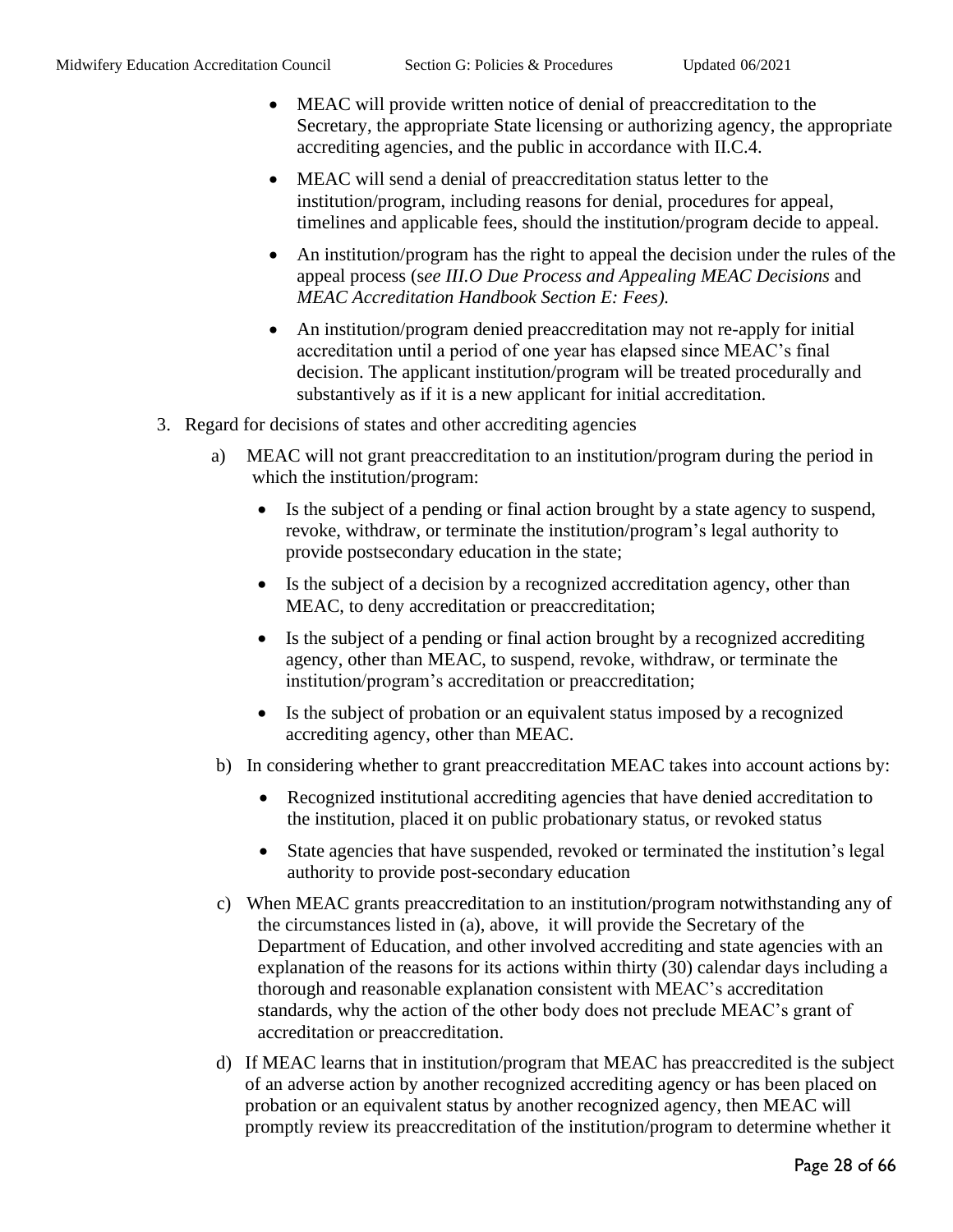- MEAC will provide written notice of denial of preaccreditation to the Secretary, the appropriate State licensing or authorizing agency, the appropriate accrediting agencies, and the public in accordance with II.C.4.
- MEAC will send a denial of preaccreditation status letter to the institution/program, including reasons for denial, procedures for appeal, timelines and applicable fees, should the institution/program decide to appeal.
- An institution/program has the right to appeal the decision under the rules of the appeal process (s*ee III.O Due Process and Appealing MEAC Decisions* and *MEAC Accreditation Handbook Section E: Fees).*
- An institution/program denied preaccreditation may not re-apply for initial accreditation until a period of one year has elapsed since MEAC's final decision. The applicant institution/program will be treated procedurally and substantively as if it is a new applicant for initial accreditation.
- 3. Regard for decisions of states and other accrediting agencies
	- a) MEAC will not grant preaccreditation to an institution/program during the period in which the institution/program:
		- Is the subject of a pending or final action brought by a state agency to suspend, revoke, withdraw, or terminate the institution/program's legal authority to provide postsecondary education in the state;
		- Is the subject of a decision by a recognized accreditation agency, other than MEAC, to deny accreditation or preaccreditation;
		- Is the subject of a pending or final action brought by a recognized accrediting agency, other than MEAC, to suspend, revoke, withdraw, or terminate the institution/program's accreditation or preaccreditation;
		- Is the subject of probation or an equivalent status imposed by a recognized accrediting agency, other than MEAC.
	- b) In considering whether to grant preaccreditation MEAC takes into account actions by:
		- Recognized institutional accrediting agencies that have denied accreditation to the institution, placed it on public probationary status, or revoked status
		- State agencies that have suspended, revoked or terminated the institution's legal authority to provide post-secondary education
	- c) When MEAC grants preaccreditation to an institution/program notwithstanding any of the circumstances listed in (a), above, it will provide the Secretary of the Department of Education, and other involved accrediting and state agencies with an explanation of the reasons for its actions within thirty (30) calendar days including a thorough and reasonable explanation consistent with MEAC's accreditation standards, why the action of the other body does not preclude MEAC's grant of accreditation or preaccreditation.
	- d) If MEAC learns that in institution/program that MEAC has preaccredited is the subject of an adverse action by another recognized accrediting agency or has been placed on probation or an equivalent status by another recognized agency, then MEAC will promptly review its preaccreditation of the institution/program to determine whether it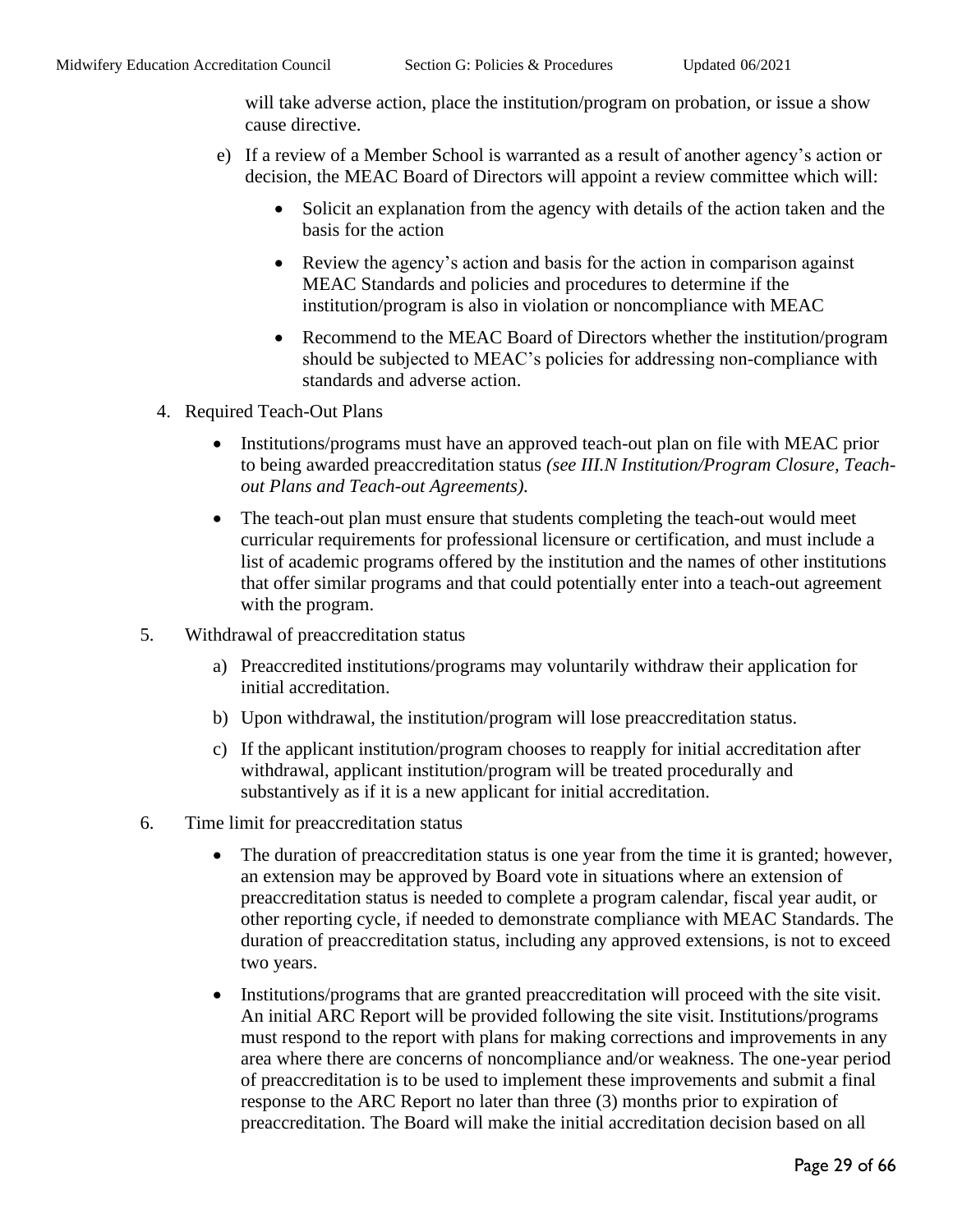will take adverse action, place the institution/program on probation, or issue a show cause directive.

- e) If a review of a Member School is warranted as a result of another agency's action or decision, the MEAC Board of Directors will appoint a review committee which will:
	- Solicit an explanation from the agency with details of the action taken and the basis for the action
	- Review the agency's action and basis for the action in comparison against MEAC Standards and policies and procedures to determine if the institution/program is also in violation or noncompliance with MEAC
	- Recommend to the MEAC Board of Directors whether the institution/program should be subjected to MEAC's policies for addressing non-compliance with standards and adverse action.
- 4. Required Teach-Out Plans
	- Institutions/programs must have an approved teach-out plan on file with MEAC prior to being awarded preaccreditation status *(see III.N Institution/Program Closure, Teachout Plans and Teach-out Agreements).*
	- The teach-out plan must ensure that students completing the teach-out would meet curricular requirements for professional licensure or certification, and must include a list of academic programs offered by the institution and the names of other institutions that offer similar programs and that could potentially enter into a teach-out agreement with the program.
- 5. Withdrawal of preaccreditation status
	- a) Preaccredited institutions/programs may voluntarily withdraw their application for initial accreditation.
	- b) Upon withdrawal, the institution/program will lose preaccreditation status.
	- c) If the applicant institution/program chooses to reapply for initial accreditation after withdrawal, applicant institution/program will be treated procedurally and substantively as if it is a new applicant for initial accreditation.
- 6. Time limit for preaccreditation status
	- The duration of preaccreditation status is one year from the time it is granted; however, an extension may be approved by Board vote in situations where an extension of preaccreditation status is needed to complete a program calendar, fiscal year audit, or other reporting cycle, if needed to demonstrate compliance with MEAC Standards. The duration of preaccreditation status, including any approved extensions, is not to exceed two years.
	- Institutions/programs that are granted preaccreditation will proceed with the site visit. An initial ARC Report will be provided following the site visit. Institutions/programs must respond to the report with plans for making corrections and improvements in any area where there are concerns of noncompliance and/or weakness. The one-year period of preaccreditation is to be used to implement these improvements and submit a final response to the ARC Report no later than three (3) months prior to expiration of preaccreditation. The Board will make the initial accreditation decision based on all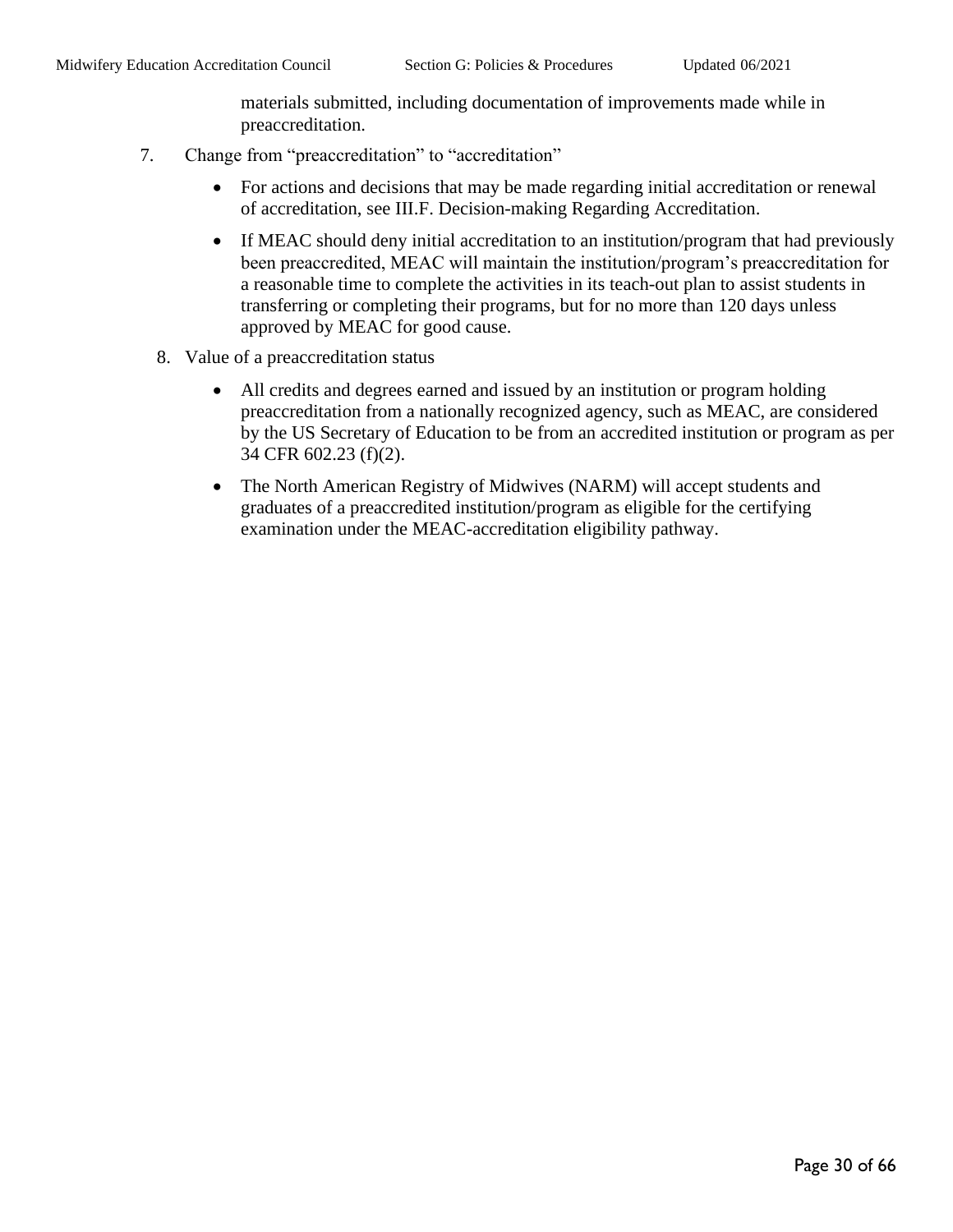materials submitted, including documentation of improvements made while in preaccreditation.

- 7. Change from "preaccreditation" to "accreditation"
	- For actions and decisions that may be made regarding initial accreditation or renewal of accreditation, see III.F. Decision-making Regarding Accreditation.
	- If MEAC should deny initial accreditation to an institution/program that had previously been preaccredited, MEAC will maintain the institution/program's preaccreditation for a reasonable time to complete the activities in its teach-out plan to assist students in transferring or completing their programs, but for no more than 120 days unless approved by MEAC for good cause.
	- 8. Value of a preaccreditation status
		- All credits and degrees earned and issued by an institution or program holding preaccreditation from a nationally recognized agency, such as MEAC, are considered by the US Secretary of Education to be from an accredited institution or program as per 34 CFR 602.23 (f)(2).
		- The North American Registry of Midwives (NARM) will accept students and graduates of a preaccredited institution/program as eligible for the certifying examination under the MEAC-accreditation eligibility pathway.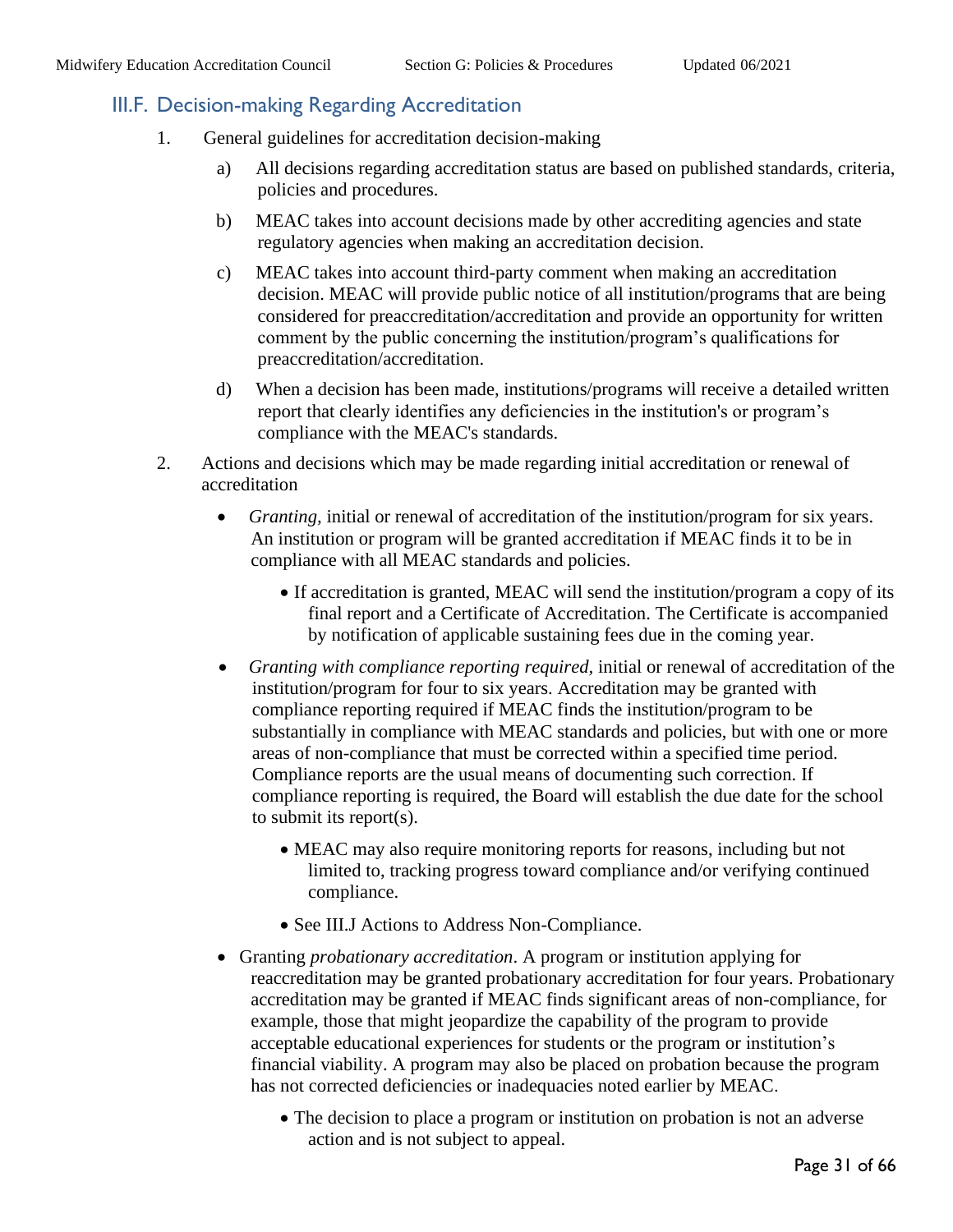#### <span id="page-30-0"></span>III.F. Decision-making Regarding Accreditation

- 1. General guidelines for accreditation decision-making
	- a) All decisions regarding accreditation status are based on published standards, criteria, policies and procedures.
	- b) MEAC takes into account decisions made by other accrediting agencies and state regulatory agencies when making an accreditation decision.
	- c) MEAC takes into account third-party comment when making an accreditation decision. MEAC will provide public notice of all institution/programs that are being considered for preaccreditation/accreditation and provide an opportunity for written comment by the public concerning the institution/program's qualifications for preaccreditation/accreditation.
	- d) When a decision has been made, institutions/programs will receive a detailed written report that clearly identifies any deficiencies in the institution's or program's compliance with the MEAC's standards.
- 2. Actions and decisions which may be made regarding initial accreditation or renewal of accreditation
	- *Granting, initial or renewal of accreditation of the institution/program for six years.* An institution or program will be granted accreditation if MEAC finds it to be in compliance with all MEAC standards and policies.
		- If accreditation is granted, MEAC will send the institution/program a copy of its final report and a Certificate of Accreditation. The Certificate is accompanied by notification of applicable sustaining fees due in the coming year.
	- *Granting with compliance reporting required,* initial or renewal of accreditation of the institution/program for four to six years. Accreditation may be granted with compliance reporting required if MEAC finds the institution/program to be substantially in compliance with MEAC standards and policies, but with one or more areas of non-compliance that must be corrected within a specified time period. Compliance reports are the usual means of documenting such correction. If compliance reporting is required, the Board will establish the due date for the school to submit its report(s).
		- MEAC may also require monitoring reports for reasons, including but not limited to, tracking progress toward compliance and/or verifying continued compliance.
		- See III.J Actions to Address Non-Compliance.
	- Granting *probationary accreditation*. A program or institution applying for reaccreditation may be granted probationary accreditation for four years. Probationary accreditation may be granted if MEAC finds significant areas of non-compliance, for example, those that might jeopardize the capability of the program to provide acceptable educational experiences for students or the program or institution's financial viability. A program may also be placed on probation because the program has not corrected deficiencies or inadequacies noted earlier by MEAC.
		- The decision to place a program or institution on probation is not an adverse action and is not subject to appeal.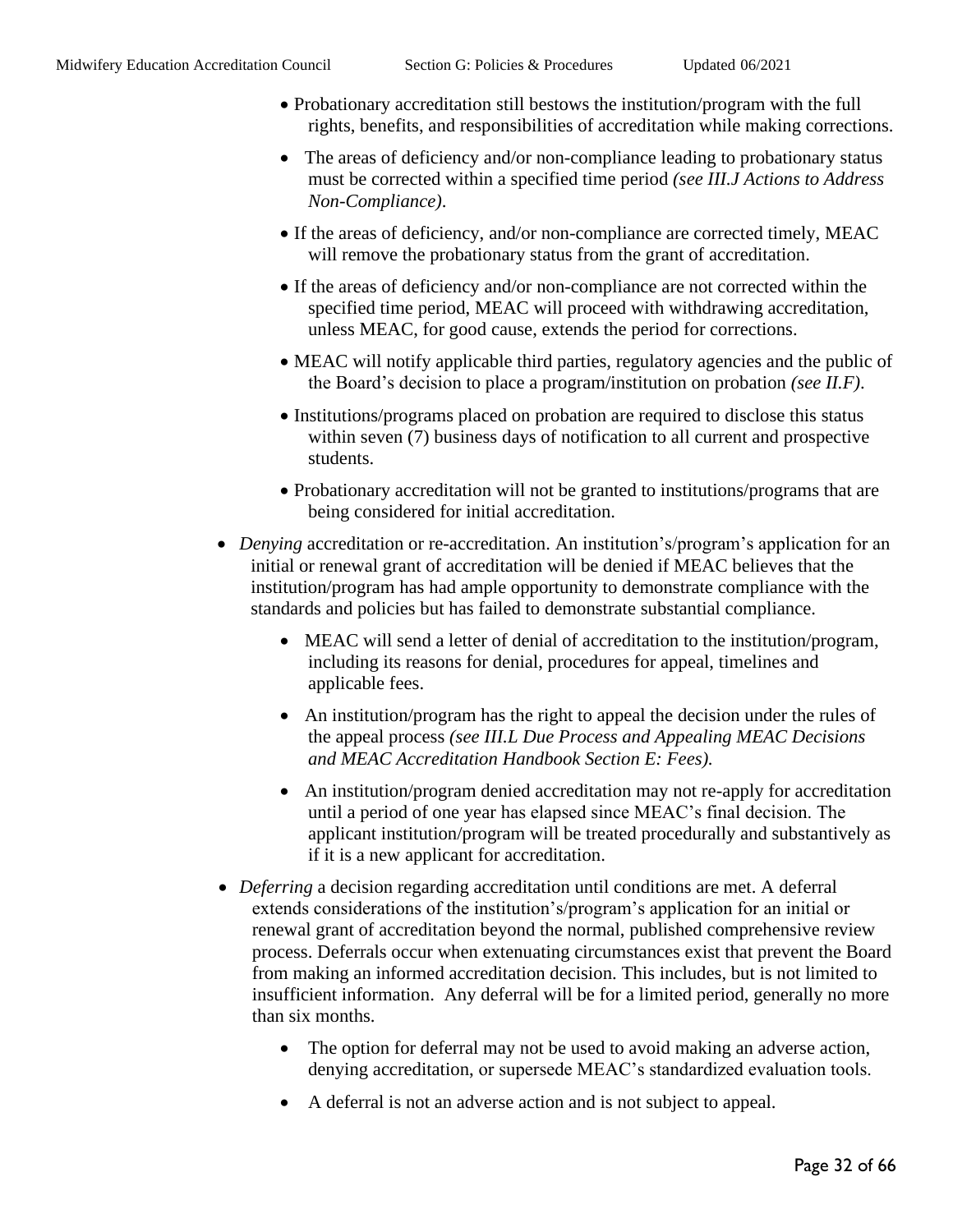- Probationary accreditation still bestows the institution/program with the full rights, benefits, and responsibilities of accreditation while making corrections.
- The areas of deficiency and/or non-compliance leading to probationary status must be corrected within a specified time period *(see III.J Actions to Address Non-Compliance)*.
- If the areas of deficiency, and/or non-compliance are corrected timely, MEAC will remove the probationary status from the grant of accreditation.
- If the areas of deficiency and/or non-compliance are not corrected within the specified time period, MEAC will proceed with withdrawing accreditation, unless MEAC, for good cause, extends the period for corrections.
- MEAC will notify applicable third parties, regulatory agencies and the public of the Board's decision to place a program/institution on probation *(see II.F)*.
- Institutions/programs placed on probation are required to disclose this status within seven (7) business days of notification to all current and prospective students.
- Probationary accreditation will not be granted to institutions/programs that are being considered for initial accreditation.
- *Denying* accreditation or re-accreditation. An institution's/program's application for an initial or renewal grant of accreditation will be denied if MEAC believes that the institution/program has had ample opportunity to demonstrate compliance with the standards and policies but has failed to demonstrate substantial compliance.
	- MEAC will send a letter of denial of accreditation to the institution/program, including its reasons for denial, procedures for appeal, timelines and applicable fees.
	- An institution/program has the right to appeal the decision under the rules of the appeal process *(see III.L Due Process and Appealing MEAC Decisions and MEAC Accreditation Handbook Section E: Fees).*
	- An institution/program denied accreditation may not re-apply for accreditation until a period of one year has elapsed since MEAC's final decision. The applicant institution/program will be treated procedurally and substantively as if it is a new applicant for accreditation.
- *Deferring* a decision regarding accreditation until conditions are met. A deferral extends considerations of the institution's/program's application for an initial or renewal grant of accreditation beyond the normal, published comprehensive review process. Deferrals occur when extenuating circumstances exist that prevent the Board from making an informed accreditation decision. This includes, but is not limited to insufficient information. Any deferral will be for a limited period, generally no more than six months.
	- The option for deferral may not be used to avoid making an adverse action, denying accreditation, or supersede MEAC's standardized evaluation tools.
	- A deferral is not an adverse action and is not subject to appeal.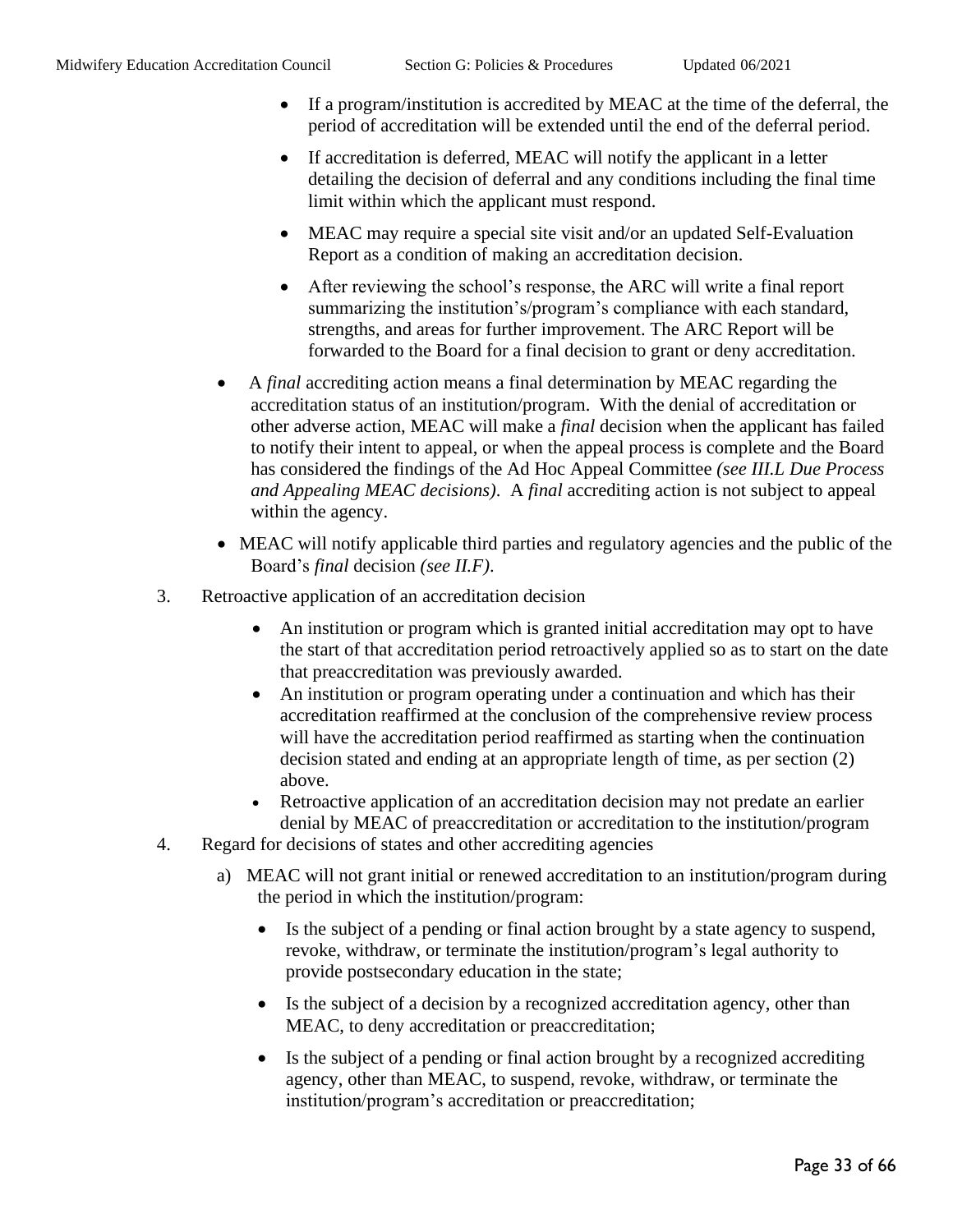- If a program/institution is accredited by MEAC at the time of the deferral, the period of accreditation will be extended until the end of the deferral period.
- If accreditation is deferred, MEAC will notify the applicant in a letter detailing the decision of deferral and any conditions including the final time limit within which the applicant must respond.
- MEAC may require a special site visit and/or an updated Self-Evaluation Report as a condition of making an accreditation decision.
- After reviewing the school's response, the ARC will write a final report summarizing the institution's/program's compliance with each standard, strengths, and areas for further improvement. The ARC Report will be forwarded to the Board for a final decision to grant or deny accreditation.
- A *final* accrediting action means a final determination by MEAC regarding the accreditation status of an institution/program. With the denial of accreditation or other adverse action, MEAC will make a *final* decision when the applicant has failed to notify their intent to appeal, or when the appeal process is complete and the Board has considered the findings of the Ad Hoc Appeal Committee *(see III.L Due Process and Appealing MEAC decisions)*. A *final* accrediting action is not subject to appeal within the agency.
- MEAC will notify applicable third parties and regulatory agencies and the public of the Board's *final* decision *(see II.F)*.
- 3. Retroactive application of an accreditation decision
	- An institution or program which is granted initial accreditation may opt to have the start of that accreditation period retroactively applied so as to start on the date that preaccreditation was previously awarded.
	- An institution or program operating under a continuation and which has their accreditation reaffirmed at the conclusion of the comprehensive review process will have the accreditation period reaffirmed as starting when the continuation decision stated and ending at an appropriate length of time, as per section (2) above.
	- Retroactive application of an accreditation decision may not predate an earlier denial by MEAC of preaccreditation or accreditation to the institution/program
- 4. Regard for decisions of states and other accrediting agencies
	- a) MEAC will not grant initial or renewed accreditation to an institution/program during the period in which the institution/program:
		- Is the subject of a pending or final action brought by a state agency to suspend, revoke, withdraw, or terminate the institution/program's legal authority to provide postsecondary education in the state;
		- Is the subject of a decision by a recognized accreditation agency, other than MEAC, to deny accreditation or preaccreditation;
		- Is the subject of a pending or final action brought by a recognized accrediting agency, other than MEAC, to suspend, revoke, withdraw, or terminate the institution/program's accreditation or preaccreditation;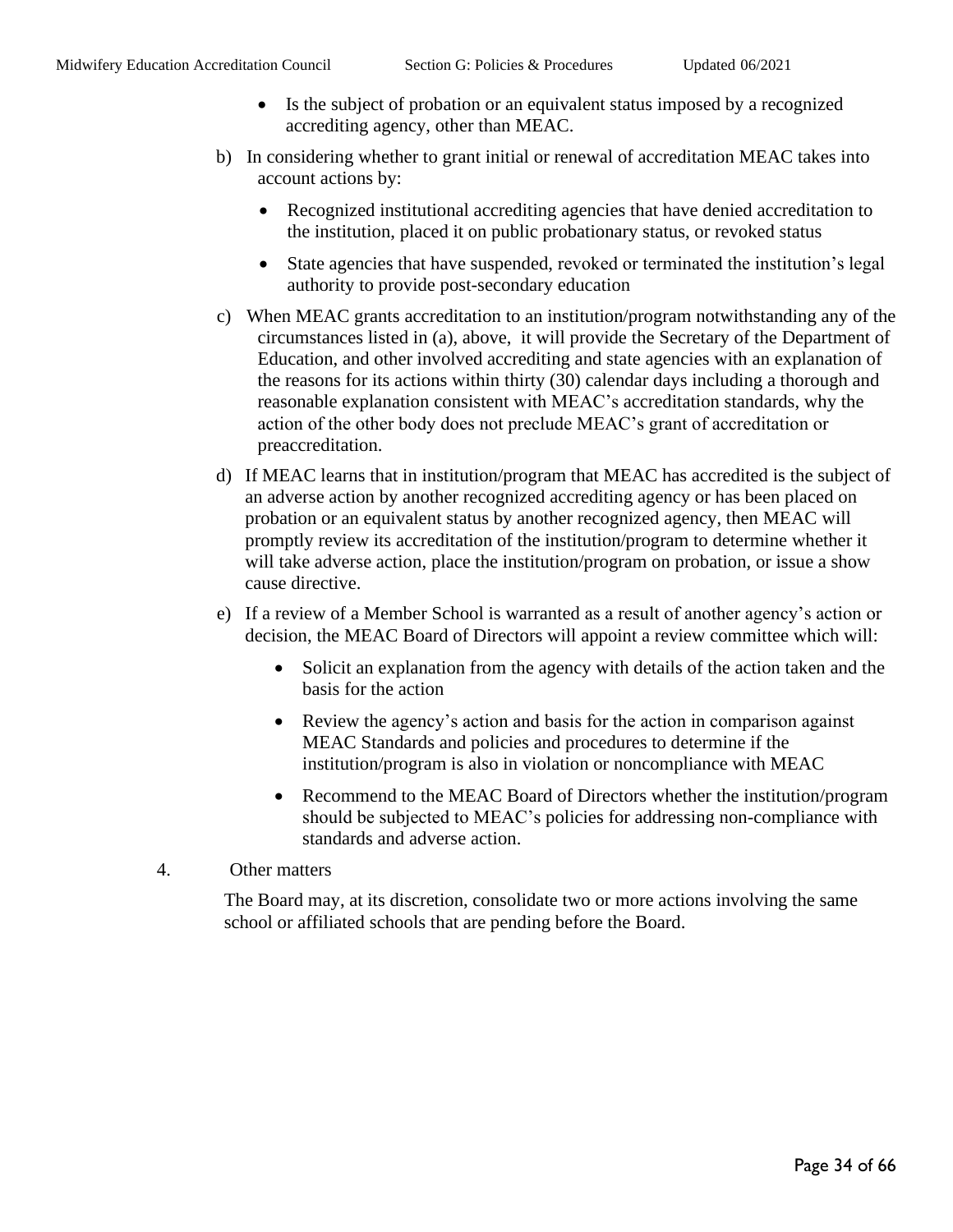- Is the subject of probation or an equivalent status imposed by a recognized accrediting agency, other than MEAC.
- b) In considering whether to grant initial or renewal of accreditation MEAC takes into account actions by:
	- Recognized institutional accrediting agencies that have denied accreditation to the institution, placed it on public probationary status, or revoked status
	- State agencies that have suspended, revoked or terminated the institution's legal authority to provide post-secondary education
- c) When MEAC grants accreditation to an institution/program notwithstanding any of the circumstances listed in (a), above, it will provide the Secretary of the Department of Education, and other involved accrediting and state agencies with an explanation of the reasons for its actions within thirty (30) calendar days including a thorough and reasonable explanation consistent with MEAC's accreditation standards, why the action of the other body does not preclude MEAC's grant of accreditation or preaccreditation.
- d) If MEAC learns that in institution/program that MEAC has accredited is the subject of an adverse action by another recognized accrediting agency or has been placed on probation or an equivalent status by another recognized agency, then MEAC will promptly review its accreditation of the institution/program to determine whether it will take adverse action, place the institution/program on probation, or issue a show cause directive.
- e) If a review of a Member School is warranted as a result of another agency's action or decision, the MEAC Board of Directors will appoint a review committee which will:
	- Solicit an explanation from the agency with details of the action taken and the basis for the action
	- Review the agency's action and basis for the action in comparison against MEAC Standards and policies and procedures to determine if the institution/program is also in violation or noncompliance with MEAC
	- Recommend to the MEAC Board of Directors whether the institution/program should be subjected to MEAC's policies for addressing non-compliance with standards and adverse action.
- 4. Other matters

The Board may, at its discretion, consolidate two or more actions involving the same school or affiliated schools that are pending before the Board.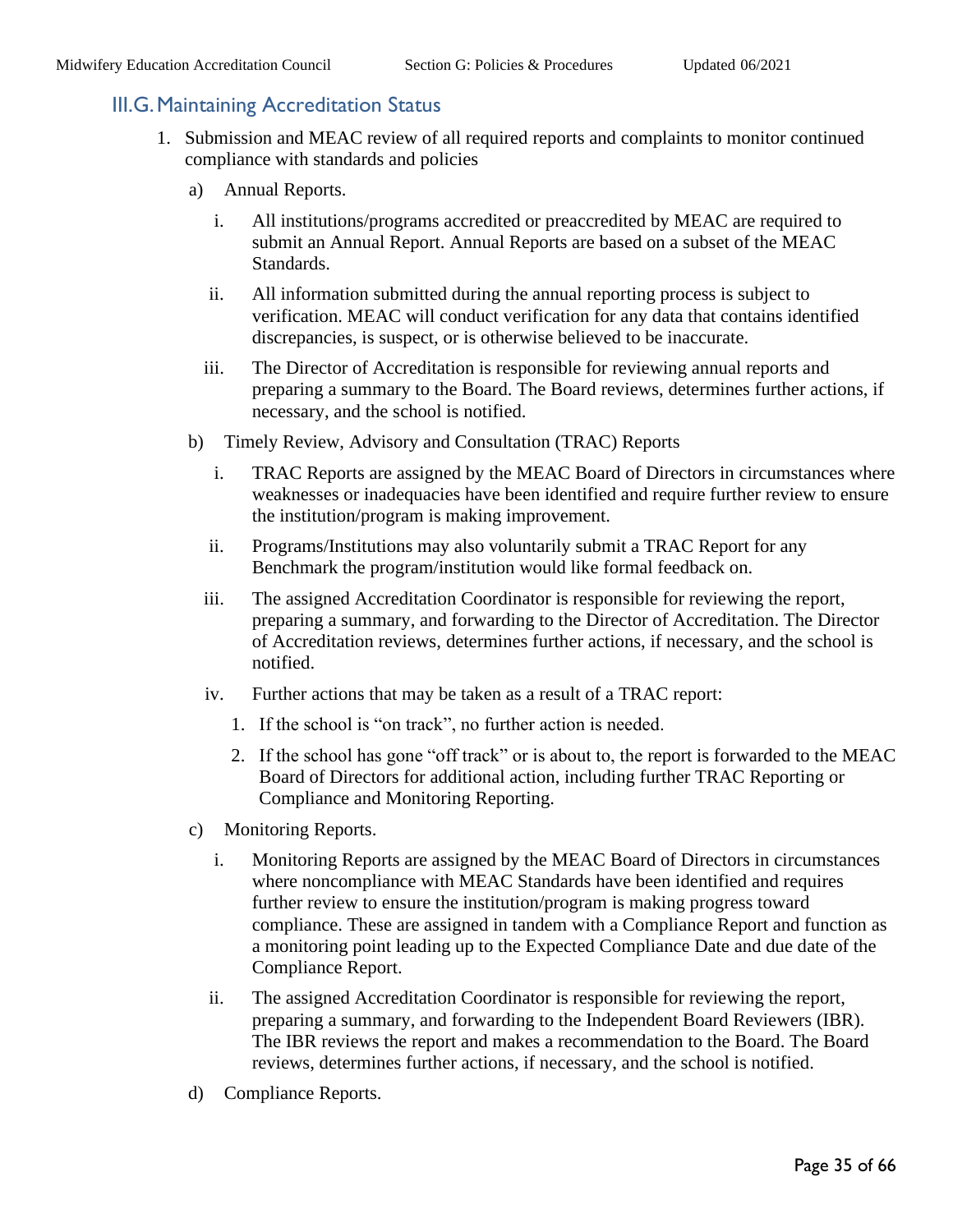## <span id="page-34-0"></span>III.G.Maintaining Accreditation Status

- 1. Submission and MEAC review of all required reports and complaints to monitor continued compliance with standards and policies
	- a) Annual Reports.
		- i. All institutions/programs accredited or preaccredited by MEAC are required to submit an Annual Report. Annual Reports are based on a subset of the MEAC Standards.
		- ii. All information submitted during the annual reporting process is subject to verification. MEAC will conduct verification for any data that contains identified discrepancies, is suspect, or is otherwise believed to be inaccurate.
		- iii. The Director of Accreditation is responsible for reviewing annual reports and preparing a summary to the Board. The Board reviews, determines further actions, if necessary, and the school is notified.
	- b) Timely Review, Advisory and Consultation (TRAC) Reports
		- i. TRAC Reports are assigned by the MEAC Board of Directors in circumstances where weaknesses or inadequacies have been identified and require further review to ensure the institution/program is making improvement.
		- ii. Programs/Institutions may also voluntarily submit a TRAC Report for any Benchmark the program/institution would like formal feedback on.
		- iii. The assigned Accreditation Coordinator is responsible for reviewing the report, preparing a summary, and forwarding to the Director of Accreditation. The Director of Accreditation reviews, determines further actions, if necessary, and the school is notified.
		- iv. Further actions that may be taken as a result of a TRAC report:
			- 1. If the school is "on track", no further action is needed.
			- 2. If the school has gone "off track" or is about to, the report is forwarded to the MEAC Board of Directors for additional action, including further TRAC Reporting or Compliance and Monitoring Reporting.
	- c) Monitoring Reports.
		- i. Monitoring Reports are assigned by the MEAC Board of Directors in circumstances where noncompliance with MEAC Standards have been identified and requires further review to ensure the institution/program is making progress toward compliance. These are assigned in tandem with a Compliance Report and function as a monitoring point leading up to the Expected Compliance Date and due date of the Compliance Report.
		- ii. The assigned Accreditation Coordinator is responsible for reviewing the report, preparing a summary, and forwarding to the Independent Board Reviewers (IBR). The IBR reviews the report and makes a recommendation to the Board. The Board reviews, determines further actions, if necessary, and the school is notified.
	- d) Compliance Reports.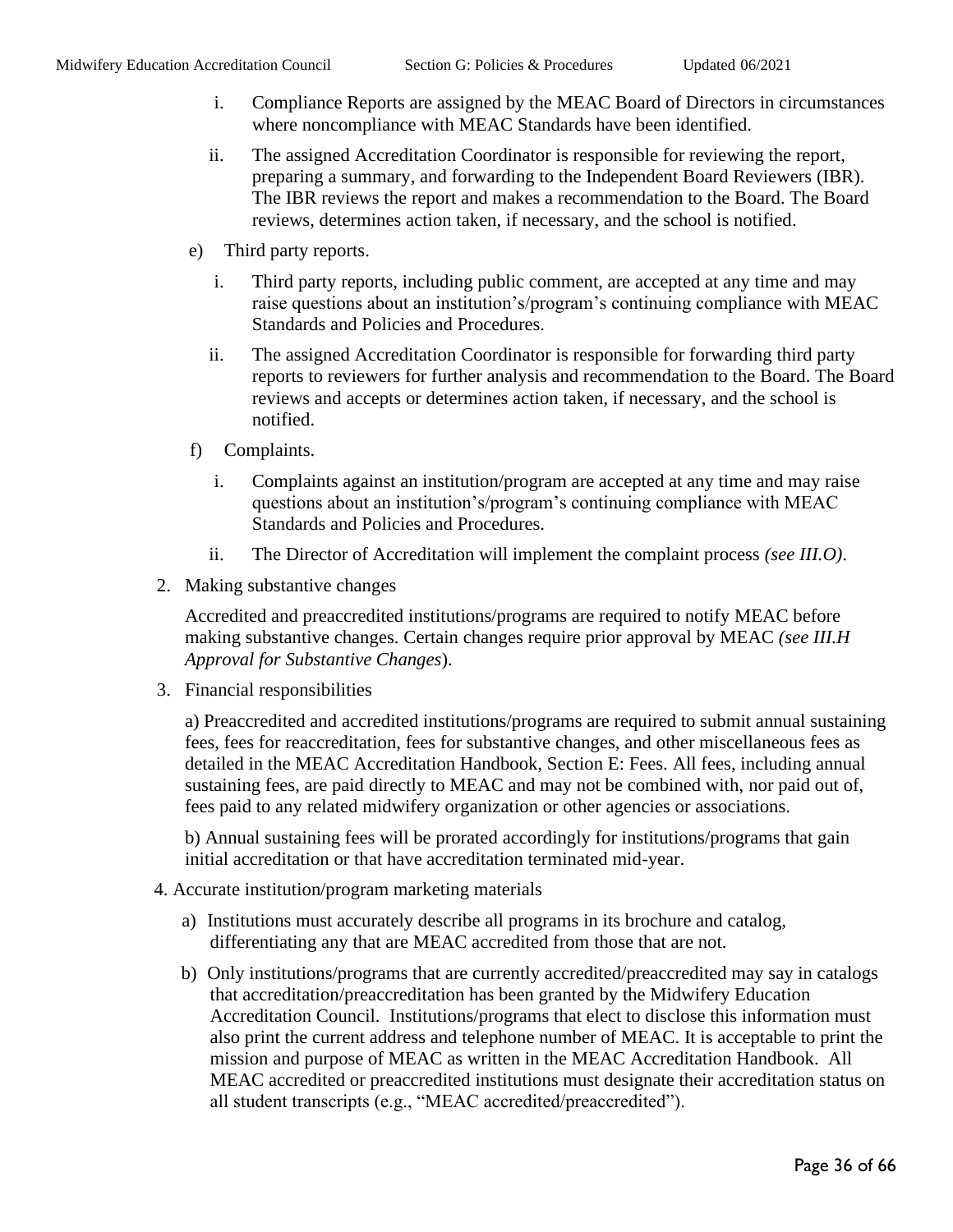- i. Compliance Reports are assigned by the MEAC Board of Directors in circumstances where noncompliance with MEAC Standards have been identified.
- ii. The assigned Accreditation Coordinator is responsible for reviewing the report, preparing a summary, and forwarding to the Independent Board Reviewers (IBR). The IBR reviews the report and makes a recommendation to the Board. The Board reviews, determines action taken, if necessary, and the school is notified.
- e) Third party reports.
	- i. Third party reports, including public comment, are accepted at any time and may raise questions about an institution's/program's continuing compliance with MEAC Standards and Policies and Procedures.
	- ii. The assigned Accreditation Coordinator is responsible for forwarding third party reports to reviewers for further analysis and recommendation to the Board. The Board reviews and accepts or determines action taken, if necessary, and the school is notified.
- f) Complaints.
	- i. Complaints against an institution/program are accepted at any time and may raise questions about an institution's/program's continuing compliance with MEAC Standards and Policies and Procedures.
	- ii. The Director of Accreditation will implement the complaint process *(see III.O)*.
- 2. Making substantive changes

Accredited and preaccredited institutions/programs are required to notify MEAC before making substantive changes. Certain changes require prior approval by MEAC *(see III.H Approval for Substantive Changes*).

3. Financial responsibilities

a) Preaccredited and accredited institutions/programs are required to submit annual sustaining fees, fees for reaccreditation, fees for substantive changes, and other miscellaneous fees as detailed in the MEAC Accreditation Handbook, Section E: Fees. All fees, including annual sustaining fees, are paid directly to MEAC and may not be combined with, nor paid out of, fees paid to any related midwifery organization or other agencies or associations.

b) Annual sustaining fees will be prorated accordingly for institutions/programs that gain initial accreditation or that have accreditation terminated mid-year.

- 4. Accurate institution/program marketing materials
	- a) Institutions must accurately describe all programs in its brochure and catalog, differentiating any that are MEAC accredited from those that are not.
	- b) Only institutions/programs that are currently accredited/preaccredited may say in catalogs that accreditation/preaccreditation has been granted by the Midwifery Education Accreditation Council. Institutions/programs that elect to disclose this information must also print the current address and telephone number of MEAC. It is acceptable to print the mission and purpose of MEAC as written in the MEAC Accreditation Handbook. All MEAC accredited or preaccredited institutions must designate their accreditation status on all student transcripts (e.g., "MEAC accredited/preaccredited").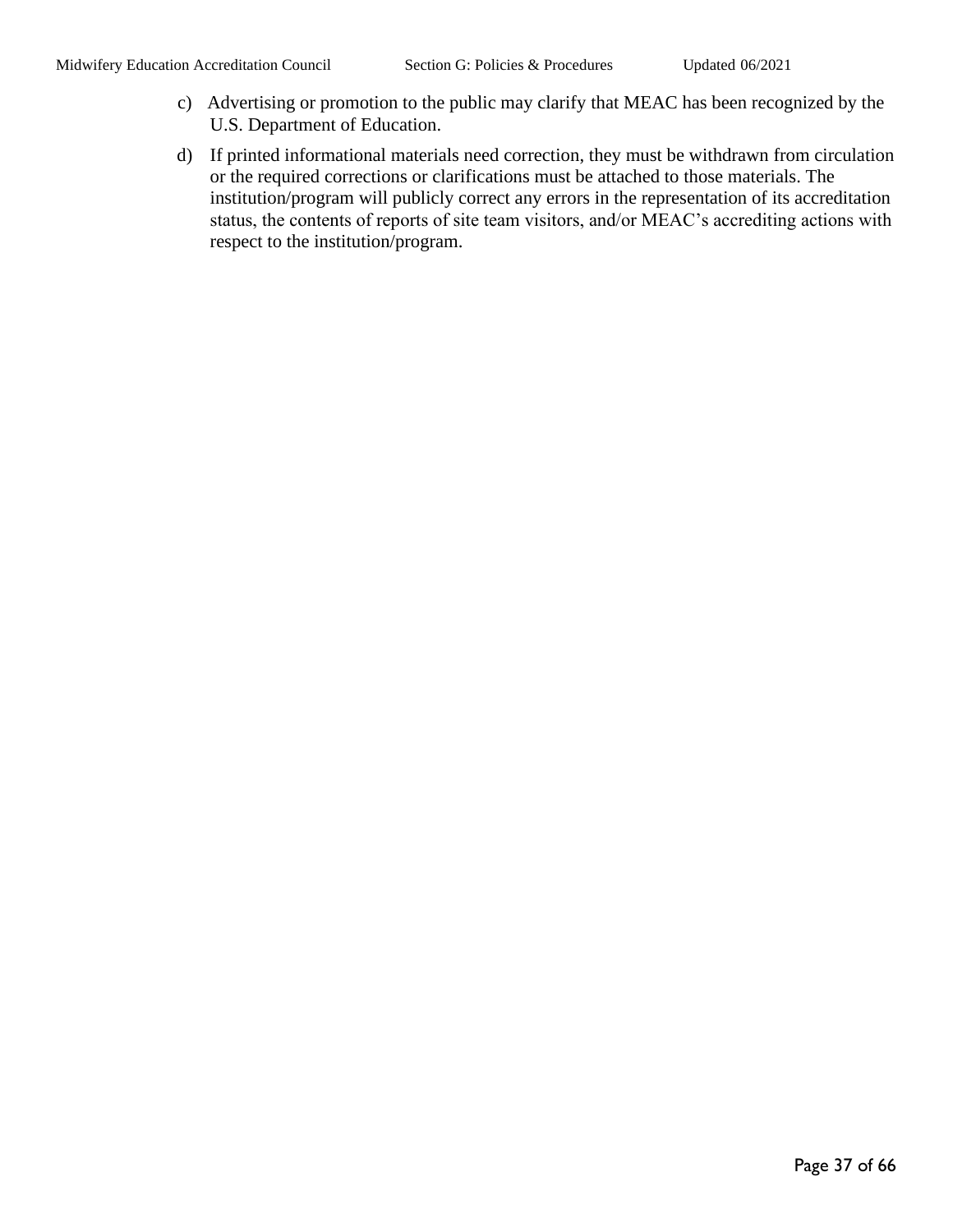- c) Advertising or promotion to the public may clarify that MEAC has been recognized by the U.S. Department of Education.
- d) If printed informational materials need correction, they must be withdrawn from circulation or the required corrections or clarifications must be attached to those materials. The institution/program will publicly correct any errors in the representation of its accreditation status, the contents of reports of site team visitors, and/or MEAC's accrediting actions with respect to the institution/program.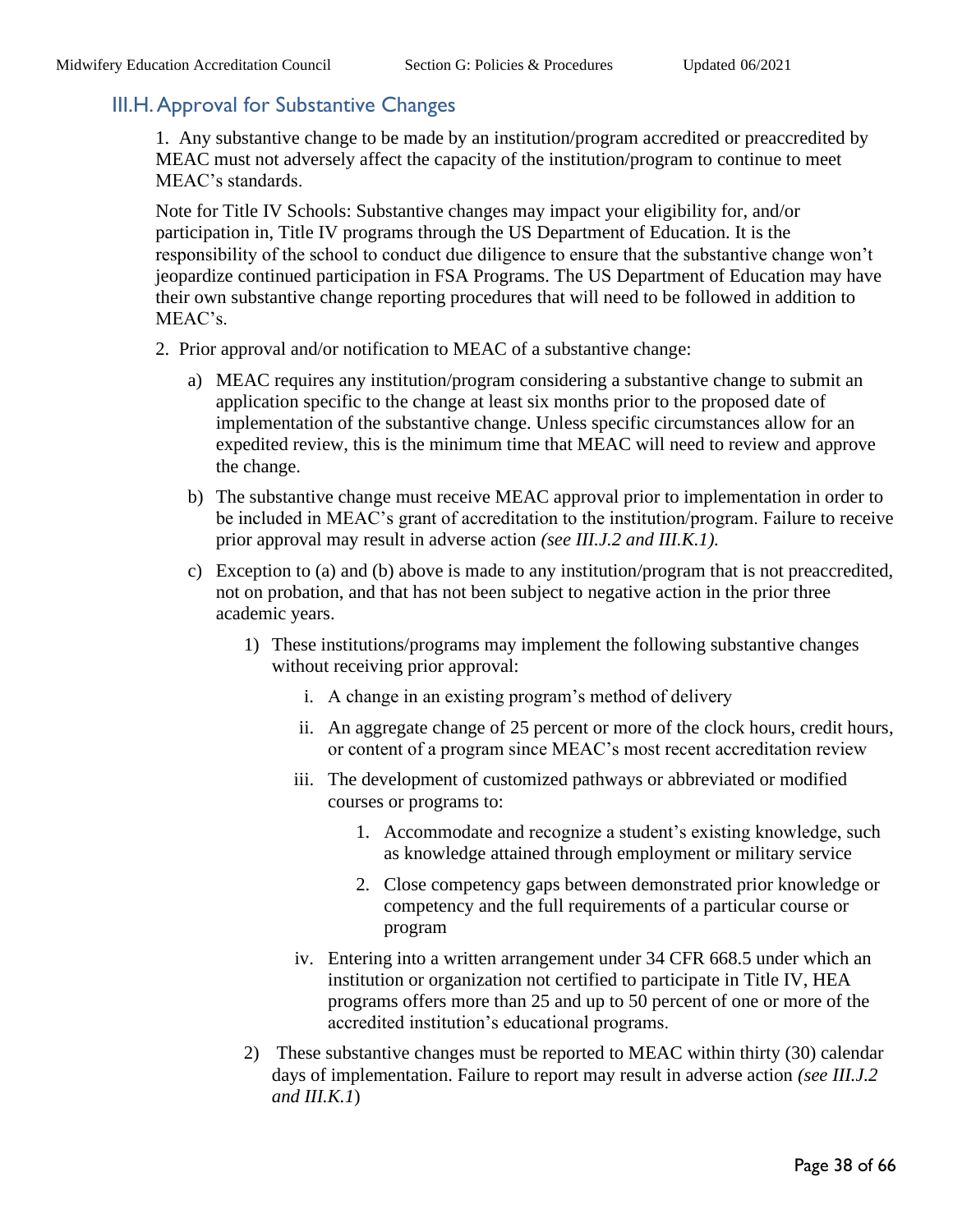## <span id="page-37-0"></span>III.H.Approval for Substantive Changes

1. Any substantive change to be made by an institution/program accredited or preaccredited by MEAC must not adversely affect the capacity of the institution/program to continue to meet MEAC's standards.

Note for Title IV Schools: Substantive changes may impact your eligibility for, and/or participation in, Title IV programs through the US Department of Education. It is the responsibility of the school to conduct due diligence to ensure that the substantive change won't jeopardize continued participation in FSA Programs. The US Department of Education may have their own substantive change reporting procedures that will need to be followed in addition to MEAC's.

- 2. Prior approval and/or notification to MEAC of a substantive change:
	- a) MEAC requires any institution/program considering a substantive change to submit an application specific to the change at least six months prior to the proposed date of implementation of the substantive change. Unless specific circumstances allow for an expedited review, this is the minimum time that MEAC will need to review and approve the change.
	- b) The substantive change must receive MEAC approval prior to implementation in order to be included in MEAC's grant of accreditation to the institution/program. Failure to receive prior approval may result in adverse action *(see III.J.2 and III.K.1).*
	- c) Exception to (a) and (b) above is made to any institution/program that is not preaccredited, not on probation, and that has not been subject to negative action in the prior three academic years.
		- 1) These institutions/programs may implement the following substantive changes without receiving prior approval:
			- i. A change in an existing program's method of delivery
			- ii. An aggregate change of 25 percent or more of the clock hours, credit hours, or content of a program since MEAC's most recent accreditation review
			- iii. The development of customized pathways or abbreviated or modified courses or programs to:
				- 1. Accommodate and recognize a student's existing knowledge, such as knowledge attained through employment or military service
				- 2. Close competency gaps between demonstrated prior knowledge or competency and the full requirements of a particular course or program
			- iv. Entering into a written arrangement under 34 CFR 668.5 under which an institution or organization not certified to participate in Title IV, HEA programs offers more than 25 and up to 50 percent of one or more of the accredited institution's educational programs.
		- 2) These substantive changes must be reported to MEAC within thirty (30) calendar days of implementation. Failure to report may result in adverse action *(see III.J.2 and III.K.1*)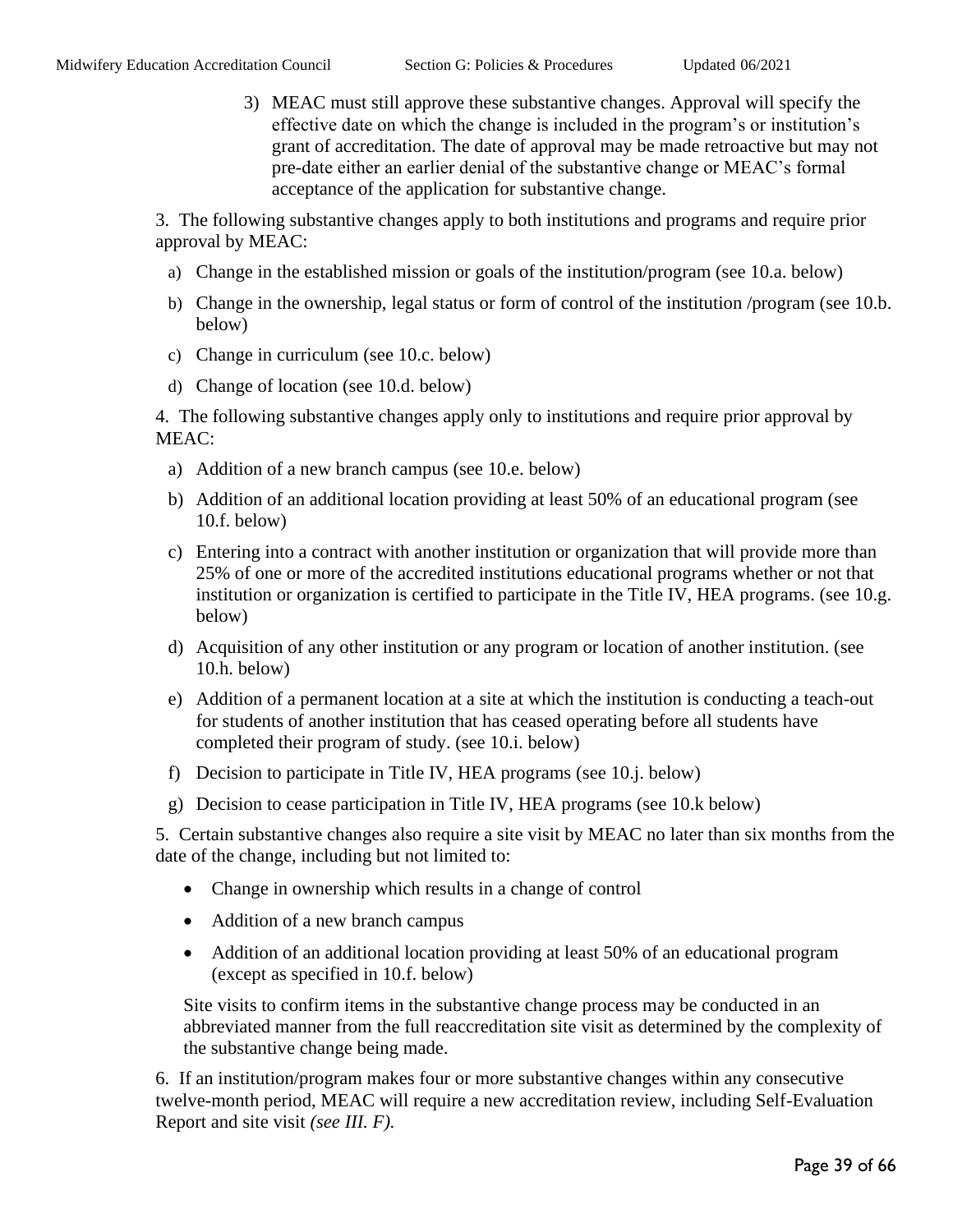3) MEAC must still approve these substantive changes. Approval will specify the effective date on which the change is included in the program's or institution's grant of accreditation. The date of approval may be made retroactive but may not pre-date either an earlier denial of the substantive change or MEAC's formal acceptance of the application for substantive change.

3. The following substantive changes apply to both institutions and programs and require prior approval by MEAC:

- a) Change in the established mission or goals of the institution/program (see 10.a. below)
- b) Change in the ownership, legal status or form of control of the institution /program (see 10.b. below)
- c) Change in curriculum (see 10.c. below)
- d) Change of location (see 10.d. below)

4. The following substantive changes apply only to institutions and require prior approval by MEAC:

- a) Addition of a new branch campus (see 10.e. below)
- b) Addition of an additional location providing at least 50% of an educational program (see 10.f. below)
- c) Entering into a contract with another institution or organization that will provide more than 25% of one or more of the accredited institutions educational programs whether or not that institution or organization is certified to participate in the Title IV, HEA programs. (see 10.g. below)
- d) Acquisition of any other institution or any program or location of another institution. (see 10.h. below)
- e) Addition of a permanent location at a site at which the institution is conducting a teach-out for students of another institution that has ceased operating before all students have completed their program of study. (see 10.i. below)
- f) Decision to participate in Title IV, HEA programs (see 10.j. below)
- g) Decision to cease participation in Title IV, HEA programs (see 10.k below)

5. Certain substantive changes also require a site visit by MEAC no later than six months from the date of the change, including but not limited to:

- Change in ownership which results in a change of control
- Addition of a new branch campus
- Addition of an additional location providing at least 50% of an educational program (except as specified in 10.f. below)

Site visits to confirm items in the substantive change process may be conducted in an abbreviated manner from the full reaccreditation site visit as determined by the complexity of the substantive change being made.

6. If an institution/program makes four or more substantive changes within any consecutive twelve-month period, MEAC will require a new accreditation review, including Self-Evaluation Report and site visit *(see III. F).*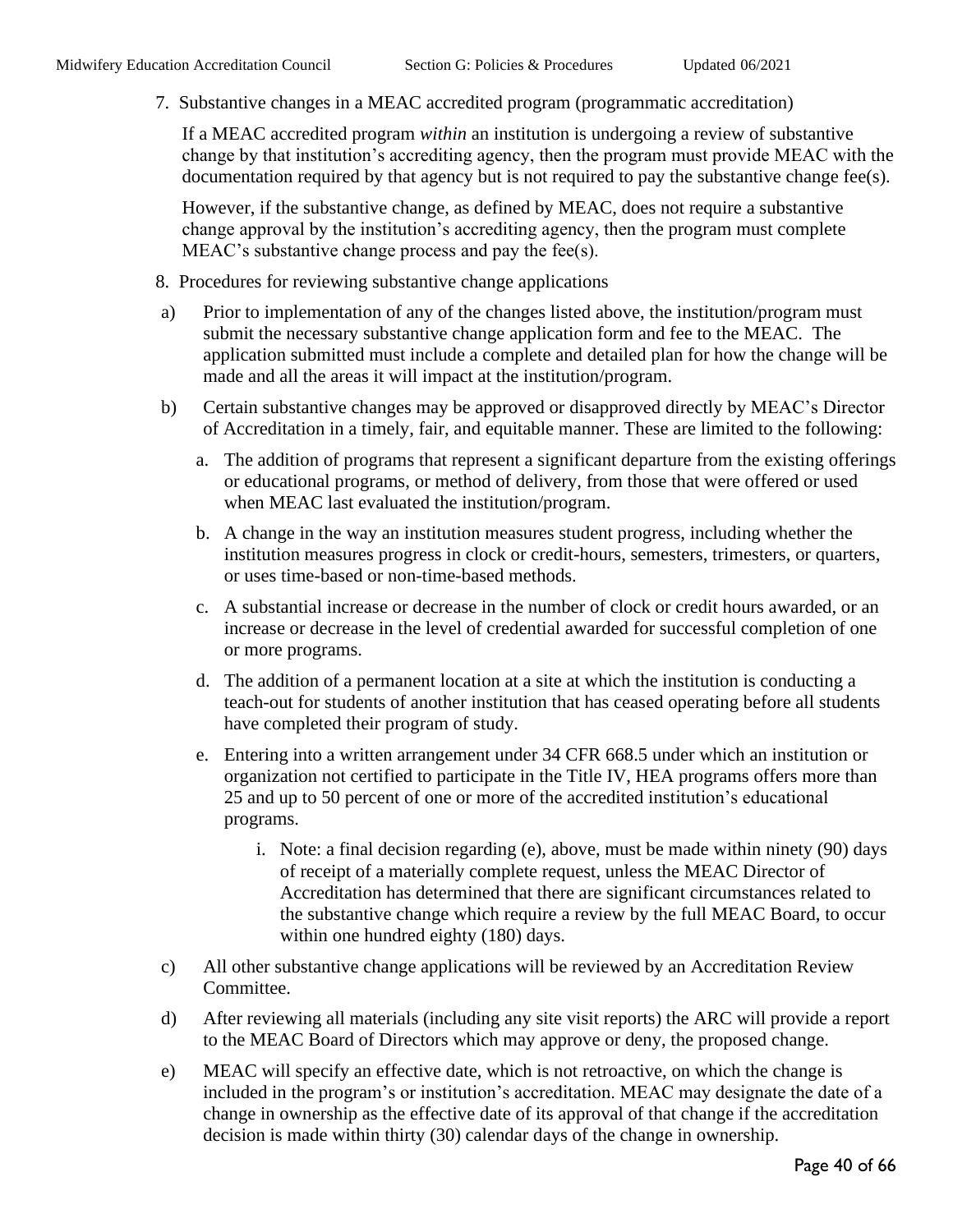7. Substantive changes in a MEAC accredited program (programmatic accreditation)

If a MEAC accredited program *within* an institution is undergoing a review of substantive change by that institution's accrediting agency, then the program must provide MEAC with the documentation required by that agency but is not required to pay the substantive change fee(s).

However, if the substantive change, as defined by MEAC, does not require a substantive change approval by the institution's accrediting agency, then the program must complete MEAC's substantive change process and pay the fee(s).

- 8. Procedures for reviewing substantive change applications
- a) Prior to implementation of any of the changes listed above, the institution/program must submit the necessary substantive change application form and fee to the MEAC. The application submitted must include a complete and detailed plan for how the change will be made and all the areas it will impact at the institution/program.
- b) Certain substantive changes may be approved or disapproved directly by MEAC's Director of Accreditation in a timely, fair, and equitable manner. These are limited to the following:
	- a. The addition of programs that represent a significant departure from the existing offerings or educational programs, or method of delivery, from those that were offered or used when MEAC last evaluated the institution/program.
	- b. A change in the way an institution measures student progress, including whether the institution measures progress in clock or credit-hours, semesters, trimesters, or quarters, or uses time-based or non-time-based methods.
	- c. A substantial increase or decrease in the number of clock or credit hours awarded, or an increase or decrease in the level of credential awarded for successful completion of one or more programs.
	- d. The addition of a permanent location at a site at which the institution is conducting a teach-out for students of another institution that has ceased operating before all students have completed their program of study.
	- e. Entering into a written arrangement under 34 CFR 668.5 under which an institution or organization not certified to participate in the Title IV, HEA programs offers more than 25 and up to 50 percent of one or more of the accredited institution's educational programs.
		- i. Note: a final decision regarding (e), above, must be made within ninety (90) days of receipt of a materially complete request, unless the MEAC Director of Accreditation has determined that there are significant circumstances related to the substantive change which require a review by the full MEAC Board, to occur within one hundred eighty (180) days.
- c) All other substantive change applications will be reviewed by an Accreditation Review Committee.
- d) After reviewing all materials (including any site visit reports) the ARC will provide a report to the MEAC Board of Directors which may approve or deny, the proposed change.
- e) MEAC will specify an effective date, which is not retroactive, on which the change is included in the program's or institution's accreditation. MEAC may designate the date of a change in ownership as the effective date of its approval of that change if the accreditation decision is made within thirty (30) calendar days of the change in ownership.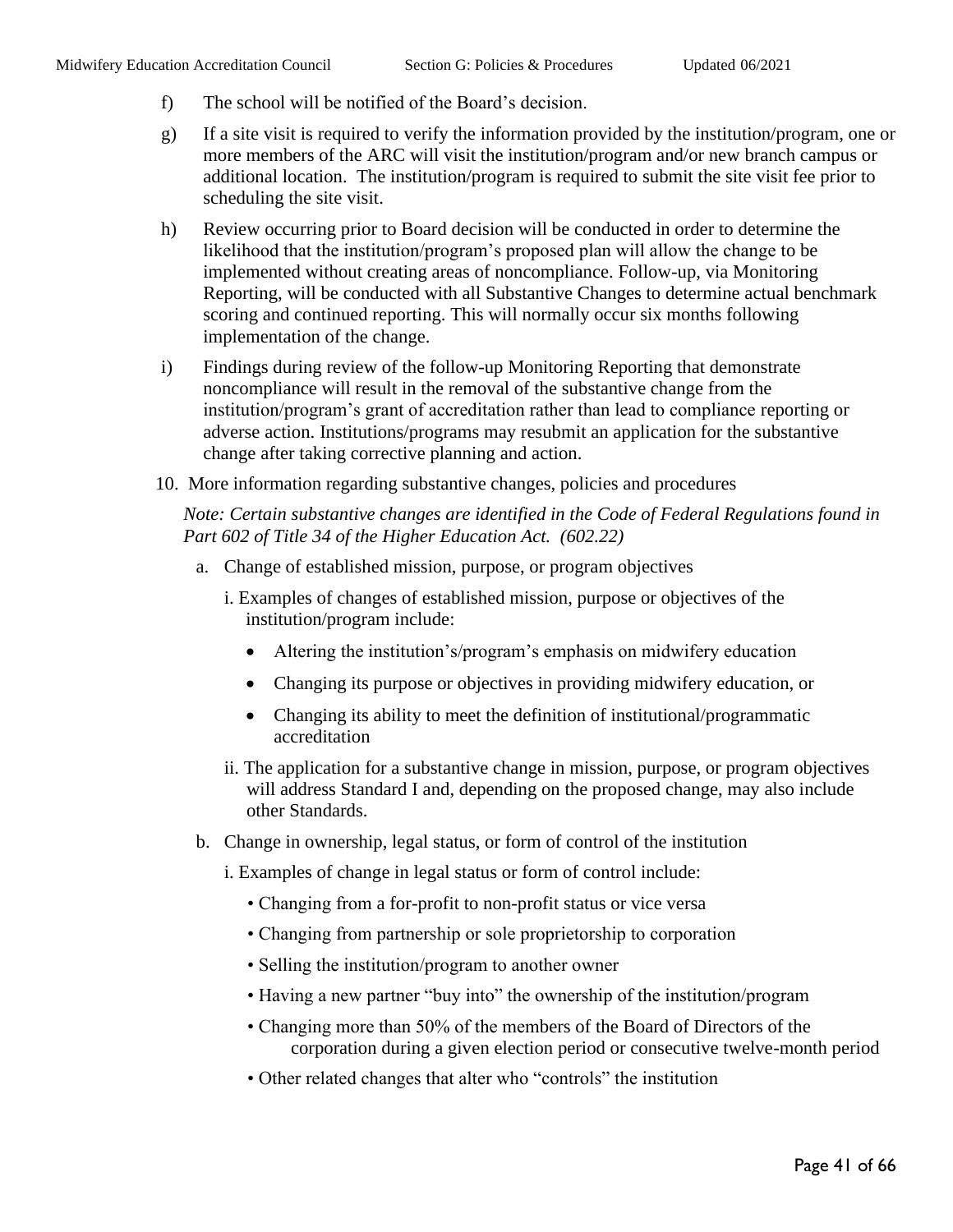- f) The school will be notified of the Board's decision.
- g) If a site visit is required to verify the information provided by the institution/program, one or more members of the ARC will visit the institution/program and/or new branch campus or additional location. The institution/program is required to submit the site visit fee prior to scheduling the site visit.
- h) Review occurring prior to Board decision will be conducted in order to determine the likelihood that the institution/program's proposed plan will allow the change to be implemented without creating areas of noncompliance. Follow-up, via Monitoring Reporting, will be conducted with all Substantive Changes to determine actual benchmark scoring and continued reporting. This will normally occur six months following implementation of the change.
- i) Findings during review of the follow-up Monitoring Reporting that demonstrate noncompliance will result in the removal of the substantive change from the institution/program's grant of accreditation rather than lead to compliance reporting or adverse action. Institutions/programs may resubmit an application for the substantive change after taking corrective planning and action.
- 10. More information regarding substantive changes, policies and procedures

#### *Note: Certain substantive changes are identified in the Code of Federal Regulations found in Part 602 of Title 34 of the Higher Education Act. (602.22)*

- a. Change of established mission, purpose, or program objectives
	- i. Examples of changes of established mission, purpose or objectives of the institution/program include:
		- Altering the institution's/program's emphasis on midwifery education
		- Changing its purpose or objectives in providing midwifery education, or
		- Changing its ability to meet the definition of institutional/programmatic accreditation
	- ii. The application for a substantive change in mission, purpose, or program objectives will address Standard I and, depending on the proposed change, may also include other Standards.
- b. Change in ownership, legal status, or form of control of the institution
	- i. Examples of change in legal status or form of control include:
		- Changing from a for-profit to non-profit status or vice versa
		- Changing from partnership or sole proprietorship to corporation
		- Selling the institution/program to another owner
		- Having a new partner "buy into" the ownership of the institution/program
		- Changing more than 50% of the members of the Board of Directors of the corporation during a given election period or consecutive twelve-month period
		- Other related changes that alter who "controls" the institution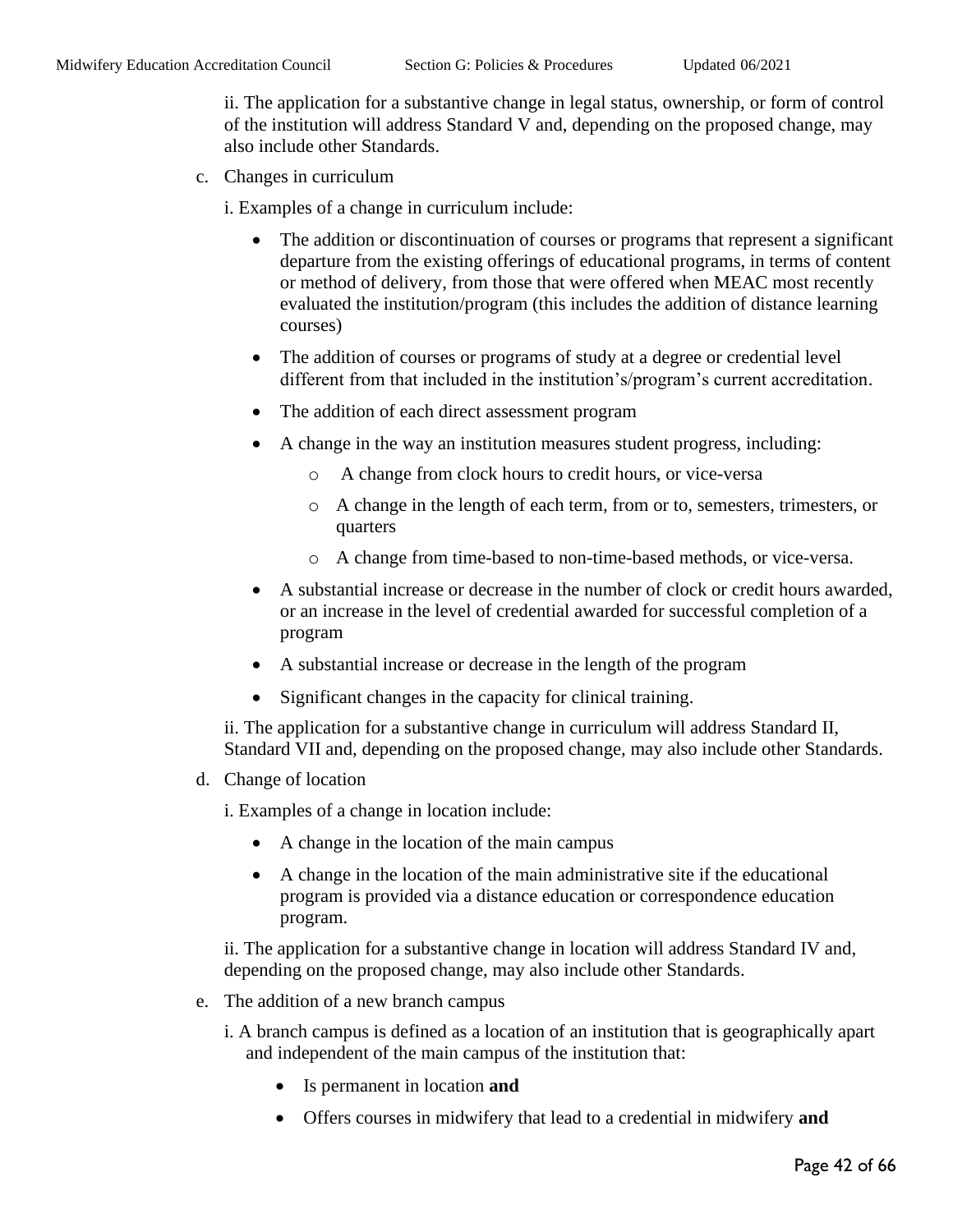ii. The application for a substantive change in legal status, ownership, or form of control of the institution will address Standard V and, depending on the proposed change, may also include other Standards.

c. Changes in curriculum

i. Examples of a change in curriculum include:

- The addition or discontinuation of courses or programs that represent a significant departure from the existing offerings of educational programs, in terms of content or method of delivery, from those that were offered when MEAC most recently evaluated the institution/program (this includes the addition of distance learning courses)
- The addition of courses or programs of study at a degree or credential level different from that included in the institution's/program's current accreditation.
- The addition of each direct assessment program
- A change in the way an institution measures student progress, including:
	- o A change from clock hours to credit hours, or vice-versa
	- o A change in the length of each term, from or to, semesters, trimesters, or quarters
	- o A change from time-based to non-time-based methods, or vice-versa.
- A substantial increase or decrease in the number of clock or credit hours awarded, or an increase in the level of credential awarded for successful completion of a program
- A substantial increase or decrease in the length of the program
- Significant changes in the capacity for clinical training.

ii. The application for a substantive change in curriculum will address Standard II, Standard VII and, depending on the proposed change, may also include other Standards.

d. Change of location

i. Examples of a change in location include:

- A change in the location of the main campus
- A change in the location of the main administrative site if the educational program is provided via a distance education or correspondence education program.

ii. The application for a substantive change in location will address Standard IV and, depending on the proposed change, may also include other Standards.

- e. The addition of a new branch campus
	- i. A branch campus is defined as a location of an institution that is geographically apart and independent of the main campus of the institution that:
		- Is permanent in location **and**
		- Offers courses in midwifery that lead to a credential in midwifery **and**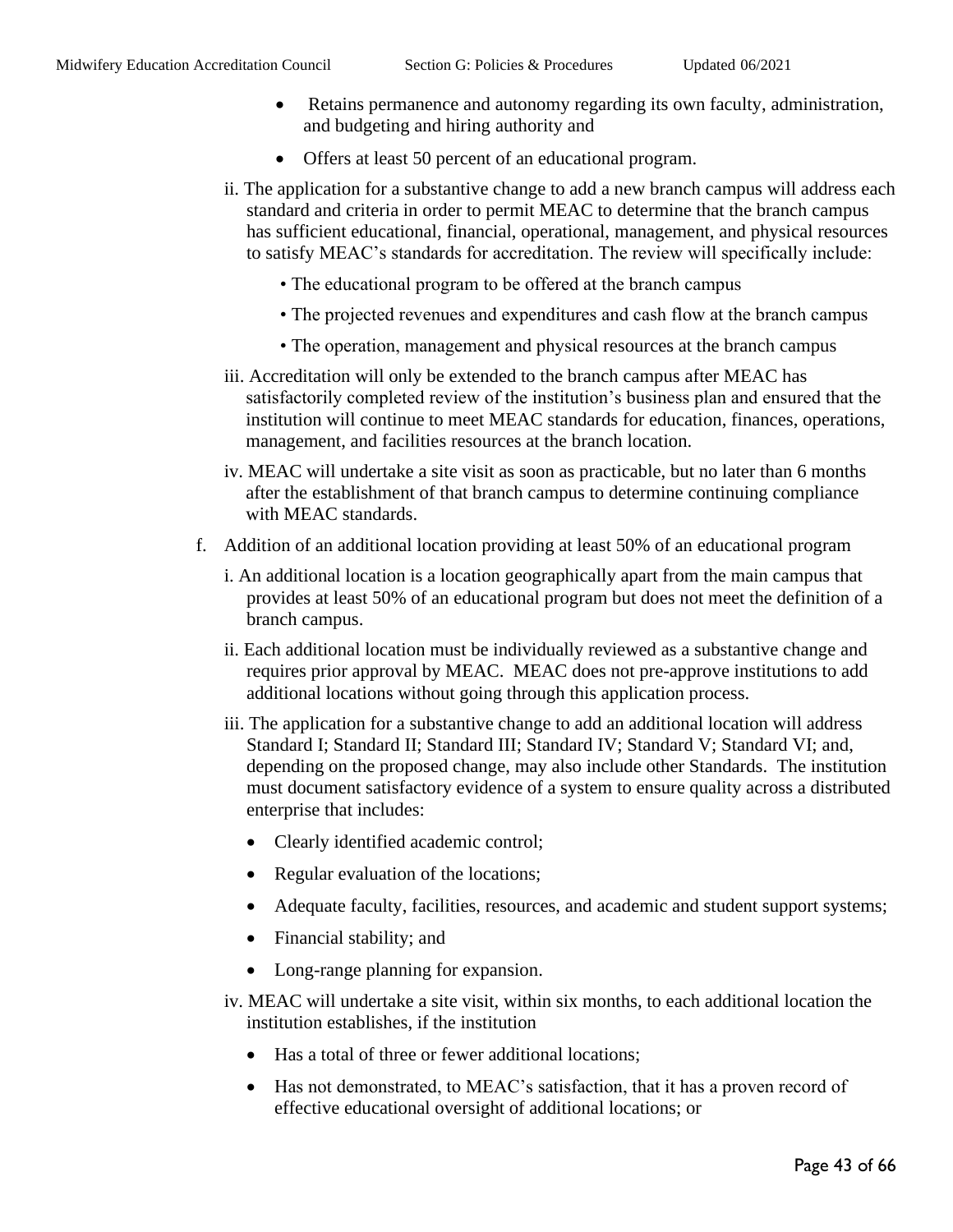- Retains permanence and autonomy regarding its own faculty, administration, and budgeting and hiring authority and
- Offers at least 50 percent of an educational program.
- ii. The application for a substantive change to add a new branch campus will address each standard and criteria in order to permit MEAC to determine that the branch campus has sufficient educational, financial, operational, management, and physical resources to satisfy MEAC's standards for accreditation. The review will specifically include:
	- The educational program to be offered at the branch campus
	- The projected revenues and expenditures and cash flow at the branch campus
	- The operation, management and physical resources at the branch campus
- iii. Accreditation will only be extended to the branch campus after MEAC has satisfactorily completed review of the institution's business plan and ensured that the institution will continue to meet MEAC standards for education, finances, operations, management, and facilities resources at the branch location.
- iv. MEAC will undertake a site visit as soon as practicable, but no later than 6 months after the establishment of that branch campus to determine continuing compliance with MEAC standards.
- f. Addition of an additional location providing at least 50% of an educational program
	- i. An additional location is a location geographically apart from the main campus that provides at least 50% of an educational program but does not meet the definition of a branch campus.
	- ii. Each additional location must be individually reviewed as a substantive change and requires prior approval by MEAC. MEAC does not pre-approve institutions to add additional locations without going through this application process.
	- iii. The application for a substantive change to add an additional location will address Standard I; Standard II; Standard III; Standard IV; Standard V; Standard VI; and, depending on the proposed change, may also include other Standards. The institution must document satisfactory evidence of a system to ensure quality across a distributed enterprise that includes:
		- Clearly identified academic control;
		- Regular evaluation of the locations;
		- Adequate faculty, facilities, resources, and academic and student support systems;
		- Financial stability; and
		- Long-range planning for expansion.
	- iv. MEAC will undertake a site visit, within six months, to each additional location the institution establishes, if the institution
		- Has a total of three or fewer additional locations:
		- Has not demonstrated, to MEAC's satisfaction, that it has a proven record of effective educational oversight of additional locations; or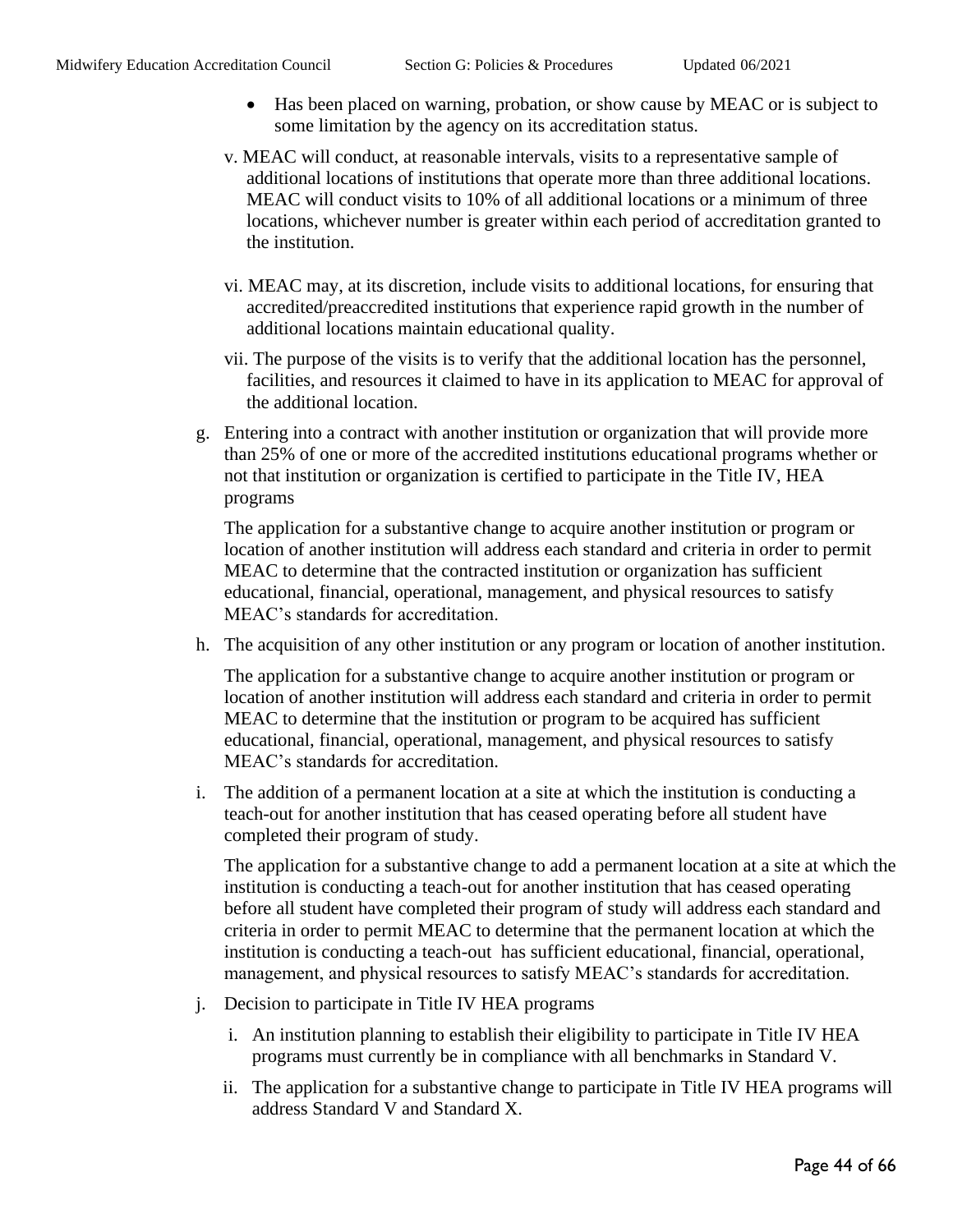- Has been placed on warning, probation, or show cause by MEAC or is subject to some limitation by the agency on its accreditation status.
- v. MEAC will conduct, at reasonable intervals, visits to a representative sample of additional locations of institutions that operate more than three additional locations. MEAC will conduct visits to 10% of all additional locations or a minimum of three locations, whichever number is greater within each period of accreditation granted to the institution.
- vi. MEAC may, at its discretion, include visits to additional locations, for ensuring that accredited/preaccredited institutions that experience rapid growth in the number of additional locations maintain educational quality.
- vii. The purpose of the visits is to verify that the additional location has the personnel, facilities, and resources it claimed to have in its application to MEAC for approval of the additional location.
- g. Entering into a contract with another institution or organization that will provide more than 25% of one or more of the accredited institutions educational programs whether or not that institution or organization is certified to participate in the Title IV, HEA programs

The application for a substantive change to acquire another institution or program or location of another institution will address each standard and criteria in order to permit MEAC to determine that the contracted institution or organization has sufficient educational, financial, operational, management, and physical resources to satisfy MEAC's standards for accreditation.

h. The acquisition of any other institution or any program or location of another institution.

The application for a substantive change to acquire another institution or program or location of another institution will address each standard and criteria in order to permit MEAC to determine that the institution or program to be acquired has sufficient educational, financial, operational, management, and physical resources to satisfy MEAC's standards for accreditation.

i. The addition of a permanent location at a site at which the institution is conducting a teach-out for another institution that has ceased operating before all student have completed their program of study.

The application for a substantive change to add a permanent location at a site at which the institution is conducting a teach-out for another institution that has ceased operating before all student have completed their program of study will address each standard and criteria in order to permit MEAC to determine that the permanent location at which the institution is conducting a teach-out has sufficient educational, financial, operational, management, and physical resources to satisfy MEAC's standards for accreditation.

- j. Decision to participate in Title IV HEA programs
	- i. An institution planning to establish their eligibility to participate in Title IV HEA programs must currently be in compliance with all benchmarks in Standard V.
	- ii. The application for a substantive change to participate in Title IV HEA programs will address Standard V and Standard X.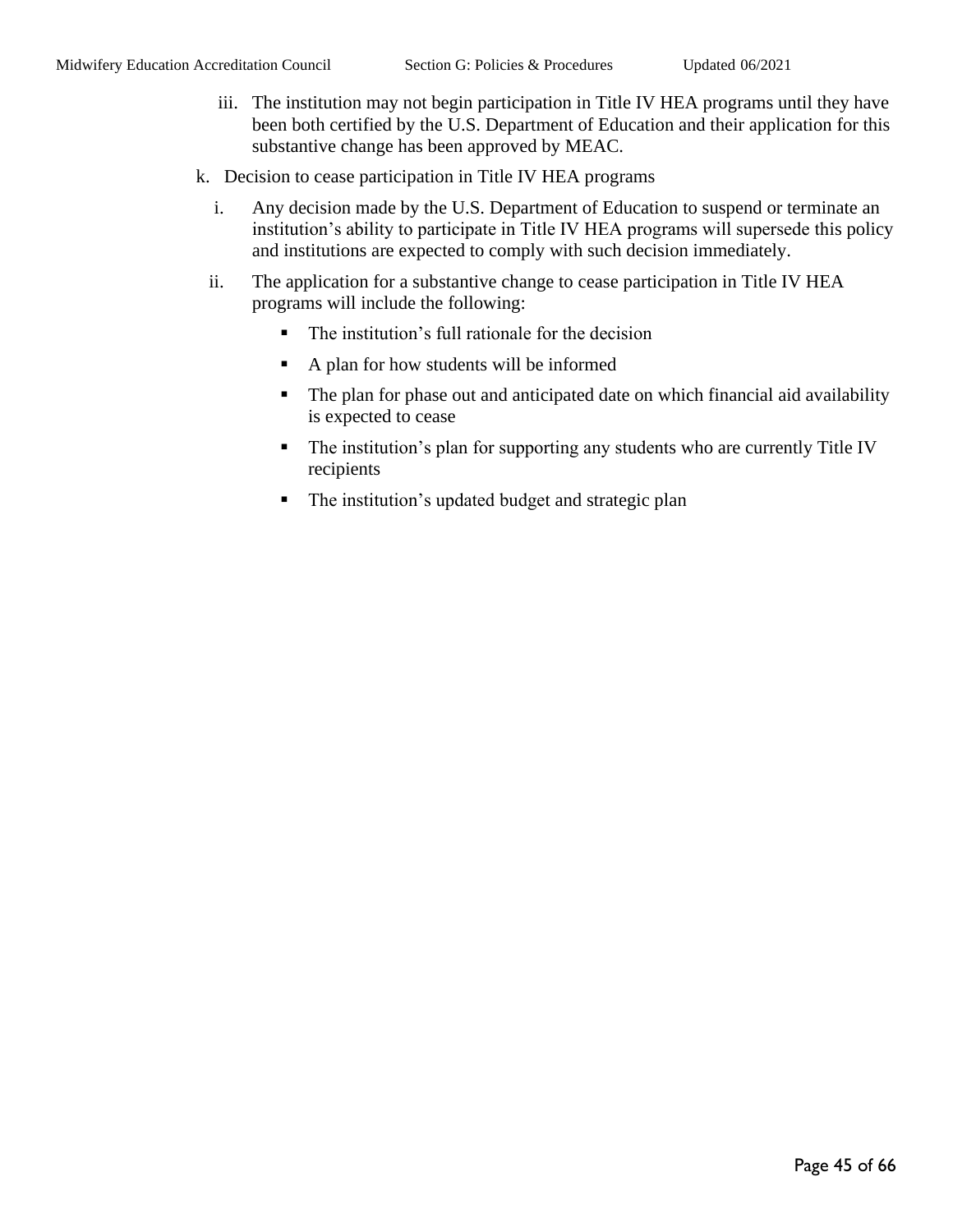- iii. The institution may not begin participation in Title IV HEA programs until they have been both certified by the U.S. Department of Education and their application for this substantive change has been approved by MEAC.
- k. Decision to cease participation in Title IV HEA programs
	- i. Any decision made by the U.S. Department of Education to suspend or terminate an institution's ability to participate in Title IV HEA programs will supersede this policy and institutions are expected to comply with such decision immediately.
	- ii. The application for a substantive change to cease participation in Title IV HEA programs will include the following:
		- The institution's full rationale for the decision
		- A plan for how students will be informed
		- The plan for phase out and anticipated date on which financial aid availability is expected to cease
		- The institution's plan for supporting any students who are currently Title IV recipients
		- The institution's updated budget and strategic plan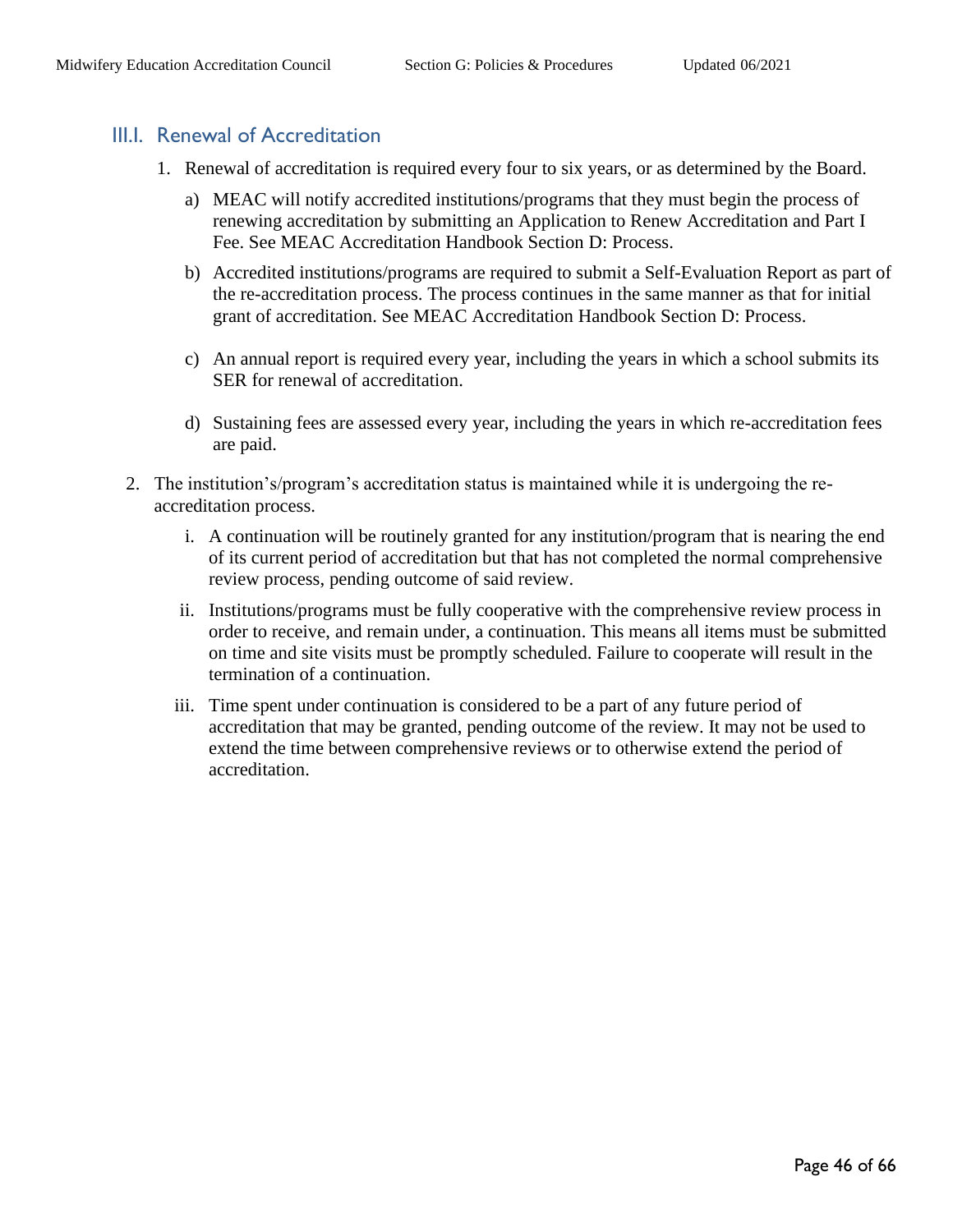### <span id="page-45-0"></span>III.I. Renewal of Accreditation

- 1. Renewal of accreditation is required every four to six years, or as determined by the Board.
	- a) MEAC will notify accredited institutions/programs that they must begin the process of renewing accreditation by submitting an Application to Renew Accreditation and Part I Fee. See MEAC Accreditation Handbook Section D: Process.
	- b) Accredited institutions/programs are required to submit a Self-Evaluation Report as part of the re-accreditation process. The process continues in the same manner as that for initial grant of accreditation. See MEAC Accreditation Handbook Section D: Process.
	- c) An annual report is required every year, including the years in which a school submits its SER for renewal of accreditation.
	- d) Sustaining fees are assessed every year, including the years in which re-accreditation fees are paid.
- 2. The institution's/program's accreditation status is maintained while it is undergoing the reaccreditation process.
	- i. A continuation will be routinely granted for any institution/program that is nearing the end of its current period of accreditation but that has not completed the normal comprehensive review process, pending outcome of said review.
	- ii. Institutions/programs must be fully cooperative with the comprehensive review process in order to receive, and remain under, a continuation. This means all items must be submitted on time and site visits must be promptly scheduled. Failure to cooperate will result in the termination of a continuation.
	- iii. Time spent under continuation is considered to be a part of any future period of accreditation that may be granted, pending outcome of the review. It may not be used to extend the time between comprehensive reviews or to otherwise extend the period of accreditation.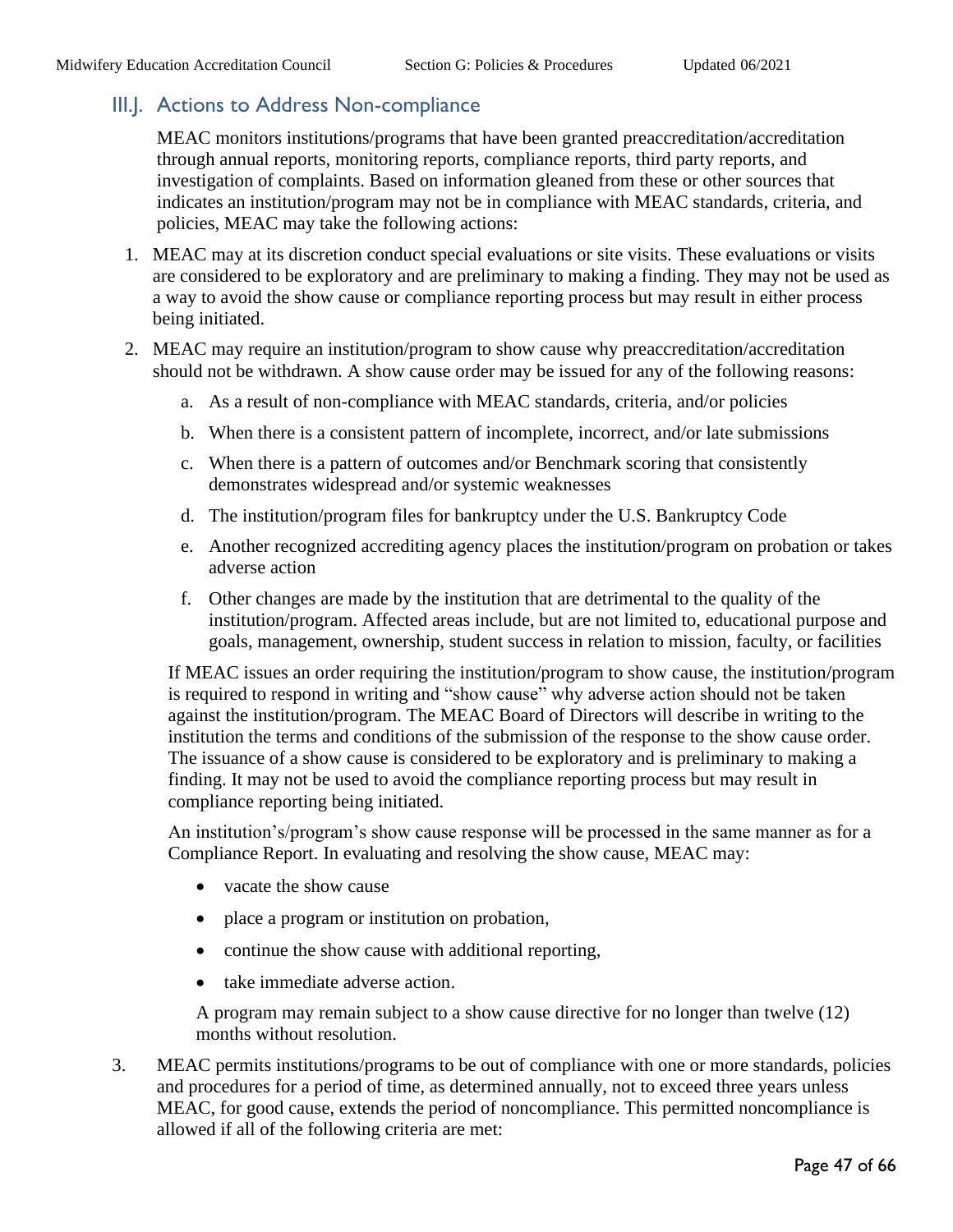## <span id="page-46-0"></span>III.J. Actions to Address Non-compliance

MEAC monitors institutions/programs that have been granted preaccreditation/accreditation through annual reports, monitoring reports, compliance reports, third party reports, and investigation of complaints. Based on information gleaned from these or other sources that indicates an institution/program may not be in compliance with MEAC standards, criteria, and policies, MEAC may take the following actions:

- 1. MEAC may at its discretion conduct special evaluations or site visits. These evaluations or visits are considered to be exploratory and are preliminary to making a finding. They may not be used as a way to avoid the show cause or compliance reporting process but may result in either process being initiated.
- 2. MEAC may require an institution/program to show cause why preaccreditation/accreditation should not be withdrawn. A show cause order may be issued for any of the following reasons:
	- a. As a result of non-compliance with MEAC standards, criteria, and/or policies
	- b. When there is a consistent pattern of incomplete, incorrect, and/or late submissions
	- c. When there is a pattern of outcomes and/or Benchmark scoring that consistently demonstrates widespread and/or systemic weaknesses
	- d. The institution/program files for bankruptcy under the U.S. Bankruptcy Code
	- e. Another recognized accrediting agency places the institution/program on probation or takes adverse action
	- f. Other changes are made by the institution that are detrimental to the quality of the institution/program. Affected areas include, but are not limited to, educational purpose and goals, management, ownership, student success in relation to mission, faculty, or facilities

If MEAC issues an order requiring the institution/program to show cause, the institution/program is required to respond in writing and "show cause" why adverse action should not be taken against the institution/program. The MEAC Board of Directors will describe in writing to the institution the terms and conditions of the submission of the response to the show cause order. The issuance of a show cause is considered to be exploratory and is preliminary to making a finding. It may not be used to avoid the compliance reporting process but may result in compliance reporting being initiated.

An institution's/program's show cause response will be processed in the same manner as for a Compliance Report. In evaluating and resolving the show cause, MEAC may:

- vacate the show cause
- place a program or institution on probation,
- continue the show cause with additional reporting,
- take immediate adverse action.

A program may remain subject to a show cause directive for no longer than twelve (12) months without resolution.

3. MEAC permits institutions/programs to be out of compliance with one or more standards, policies and procedures for a period of time, as determined annually, not to exceed three years unless MEAC, for good cause, extends the period of noncompliance. This permitted noncompliance is allowed if all of the following criteria are met: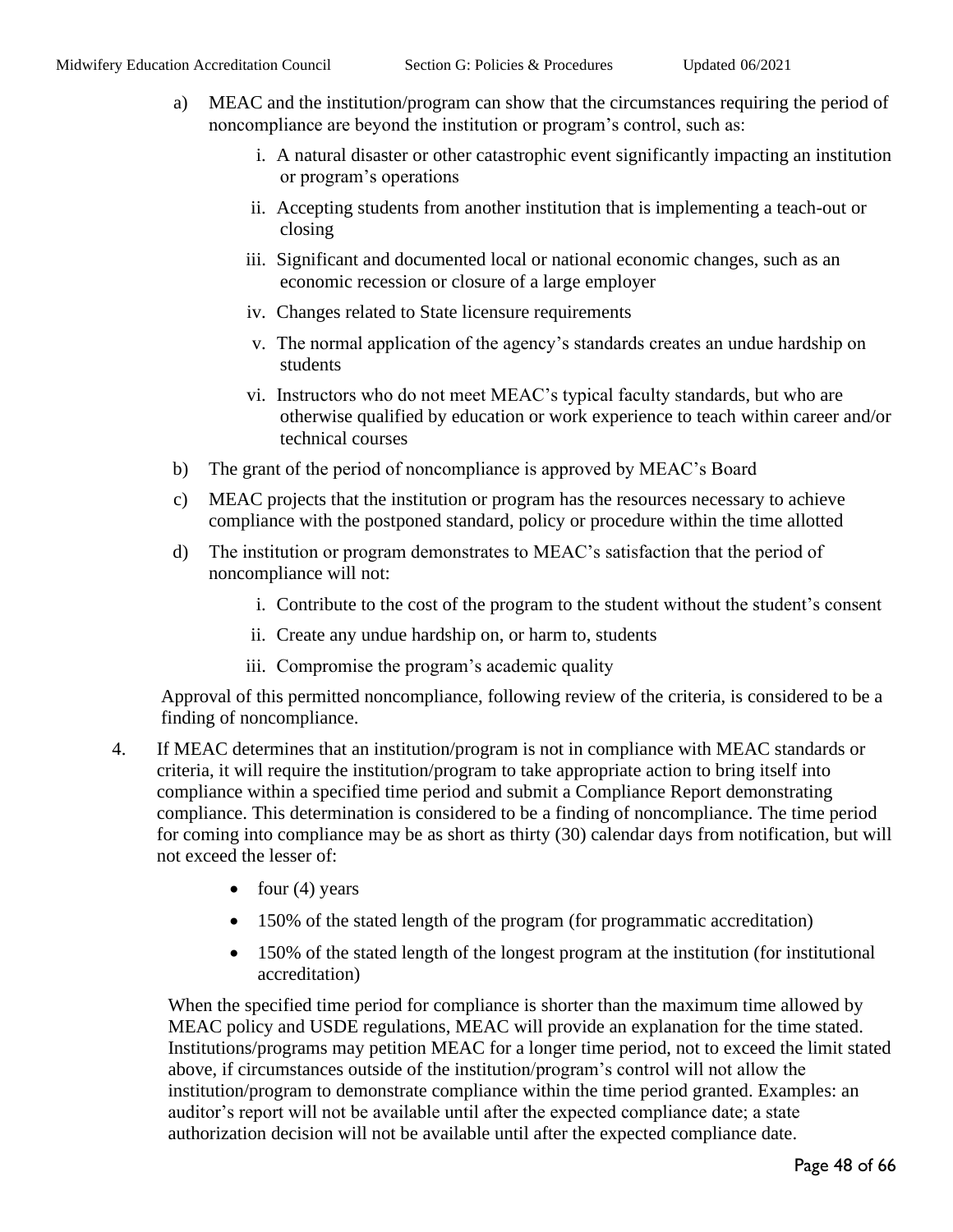- a) MEAC and the institution/program can show that the circumstances requiring the period of noncompliance are beyond the institution or program's control, such as:
	- i. A natural disaster or other catastrophic event significantly impacting an institution or program's operations
	- ii. Accepting students from another institution that is implementing a teach-out or closing
	- iii. Significant and documented local or national economic changes, such as an economic recession or closure of a large employer
	- iv. Changes related to State licensure requirements
	- v. The normal application of the agency's standards creates an undue hardship on students
	- vi. Instructors who do not meet MEAC's typical faculty standards, but who are otherwise qualified by education or work experience to teach within career and/or technical courses
- b) The grant of the period of noncompliance is approved by MEAC's Board
- c) MEAC projects that the institution or program has the resources necessary to achieve compliance with the postponed standard, policy or procedure within the time allotted
- d) The institution or program demonstrates to MEAC's satisfaction that the period of noncompliance will not:
	- i. Contribute to the cost of the program to the student without the student's consent
	- ii. Create any undue hardship on, or harm to, students
	- iii. Compromise the program's academic quality

Approval of this permitted noncompliance, following review of the criteria, is considered to be a finding of noncompliance.

- 4. If MEAC determines that an institution/program is not in compliance with MEAC standards or criteria, it will require the institution/program to take appropriate action to bring itself into compliance within a specified time period and submit a Compliance Report demonstrating compliance. This determination is considered to be a finding of noncompliance. The time period for coming into compliance may be as short as thirty (30) calendar days from notification, but will not exceed the lesser of:
	- four  $(4)$  years
	- 150% of the stated length of the program (for programmatic accreditation)
	- 150% of the stated length of the longest program at the institution (for institutional accreditation)

When the specified time period for compliance is shorter than the maximum time allowed by MEAC policy and USDE regulations, MEAC will provide an explanation for the time stated. Institutions/programs may petition MEAC for a longer time period, not to exceed the limit stated above, if circumstances outside of the institution/program's control will not allow the institution/program to demonstrate compliance within the time period granted. Examples: an auditor's report will not be available until after the expected compliance date; a state authorization decision will not be available until after the expected compliance date.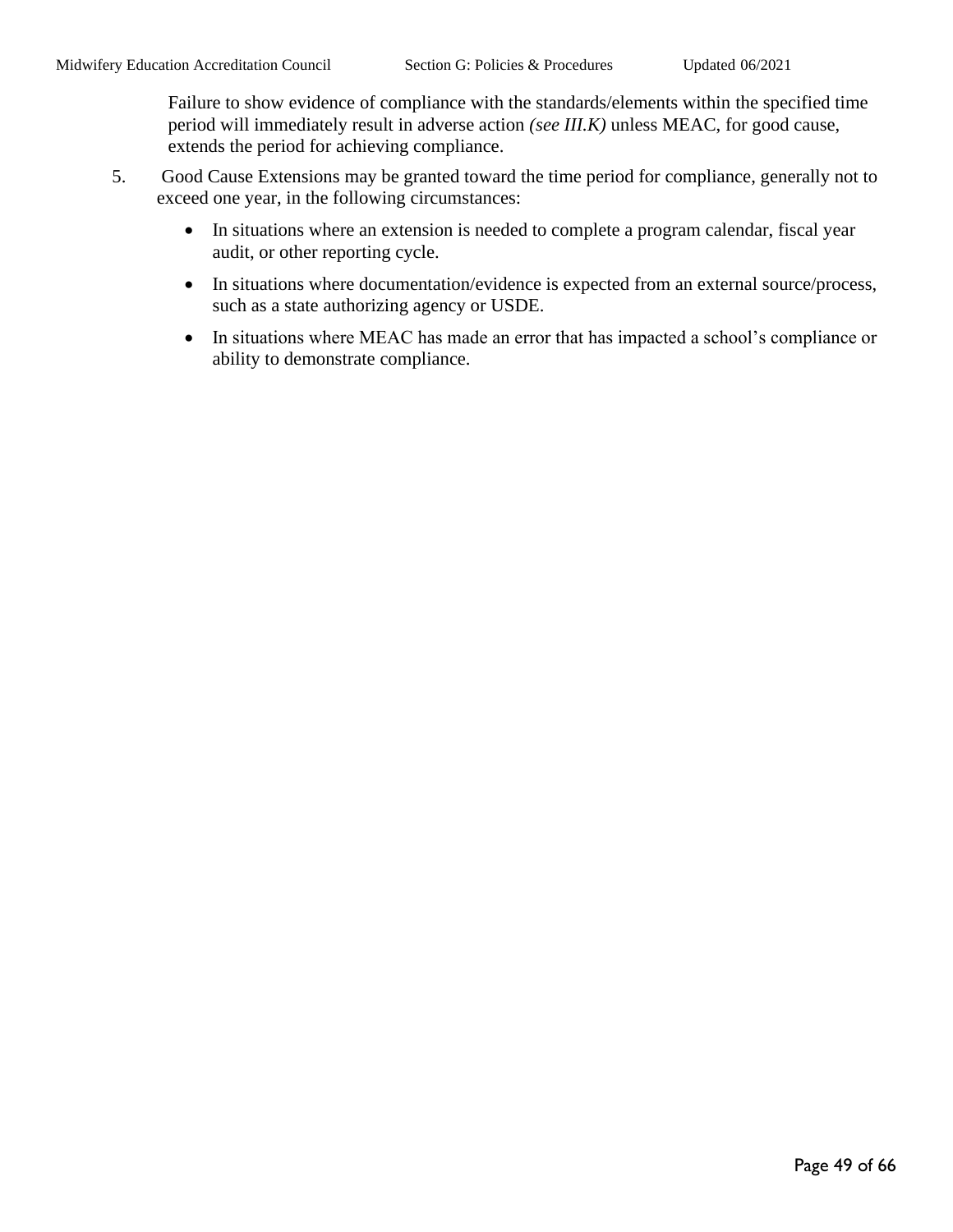Failure to show evidence of compliance with the standards/elements within the specified time period will immediately result in adverse action *(see III.K)* unless MEAC, for good cause, extends the period for achieving compliance.

- 5. Good Cause Extensions may be granted toward the time period for compliance, generally not to exceed one year, in the following circumstances:
	- In situations where an extension is needed to complete a program calendar, fiscal year audit, or other reporting cycle.
	- In situations where documentation/evidence is expected from an external source/process, such as a state authorizing agency or USDE.
	- In situations where MEAC has made an error that has impacted a school's compliance or ability to demonstrate compliance.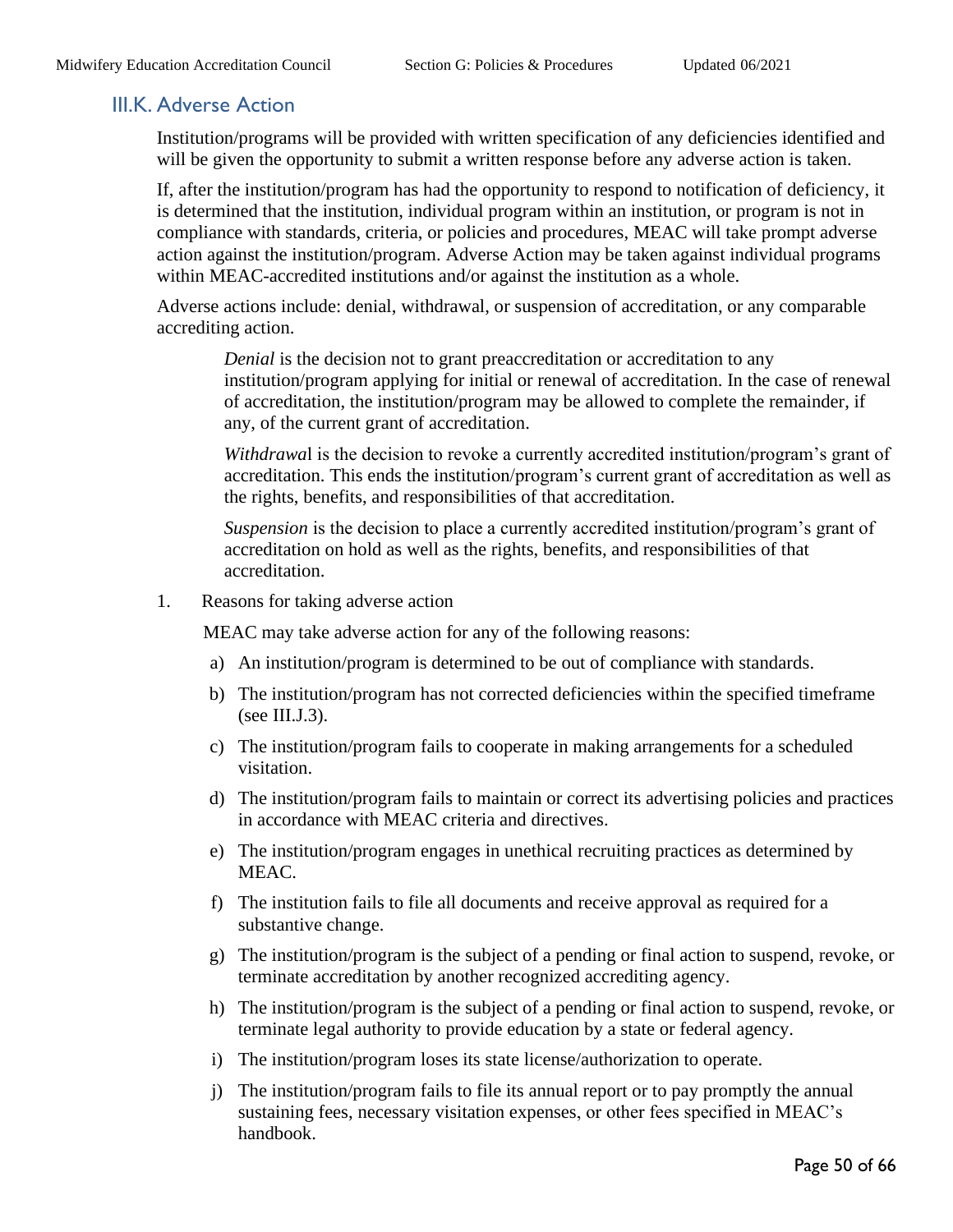#### <span id="page-49-0"></span>III.K. Adverse Action

Institution/programs will be provided with written specification of any deficiencies identified and will be given the opportunity to submit a written response before any adverse action is taken.

If, after the institution/program has had the opportunity to respond to notification of deficiency, it is determined that the institution, individual program within an institution, or program is not in compliance with standards, criteria, or policies and procedures, MEAC will take prompt adverse action against the institution/program. Adverse Action may be taken against individual programs within MEAC-accredited institutions and/or against the institution as a whole.

Adverse actions include: denial, withdrawal, or suspension of accreditation, or any comparable accrediting action.

*Denial* is the decision not to grant preaccreditation or accreditation to any institution/program applying for initial or renewal of accreditation. In the case of renewal of accreditation, the institution/program may be allowed to complete the remainder, if any, of the current grant of accreditation.

*Withdrawa*l is the decision to revoke a currently accredited institution/program's grant of accreditation. This ends the institution/program's current grant of accreditation as well as the rights, benefits, and responsibilities of that accreditation.

*Suspension* is the decision to place a currently accredited institution/program's grant of accreditation on hold as well as the rights, benefits, and responsibilities of that accreditation.

1. Reasons for taking adverse action

MEAC may take adverse action for any of the following reasons:

- a) An institution/program is determined to be out of compliance with standards.
- b) The institution/program has not corrected deficiencies within the specified timeframe  $(see III.J.3).$
- c) The institution/program fails to cooperate in making arrangements for a scheduled visitation.
- d) The institution/program fails to maintain or correct its advertising policies and practices in accordance with MEAC criteria and directives.
- e) The institution/program engages in unethical recruiting practices as determined by MEAC.
- f) The institution fails to file all documents and receive approval as required for a substantive change.
- g) The institution/program is the subject of a pending or final action to suspend, revoke, or terminate accreditation by another recognized accrediting agency.
- h) The institution/program is the subject of a pending or final action to suspend, revoke, or terminate legal authority to provide education by a state or federal agency.
- i) The institution/program loses its state license/authorization to operate.
- j) The institution/program fails to file its annual report or to pay promptly the annual sustaining fees, necessary visitation expenses, or other fees specified in MEAC's handbook.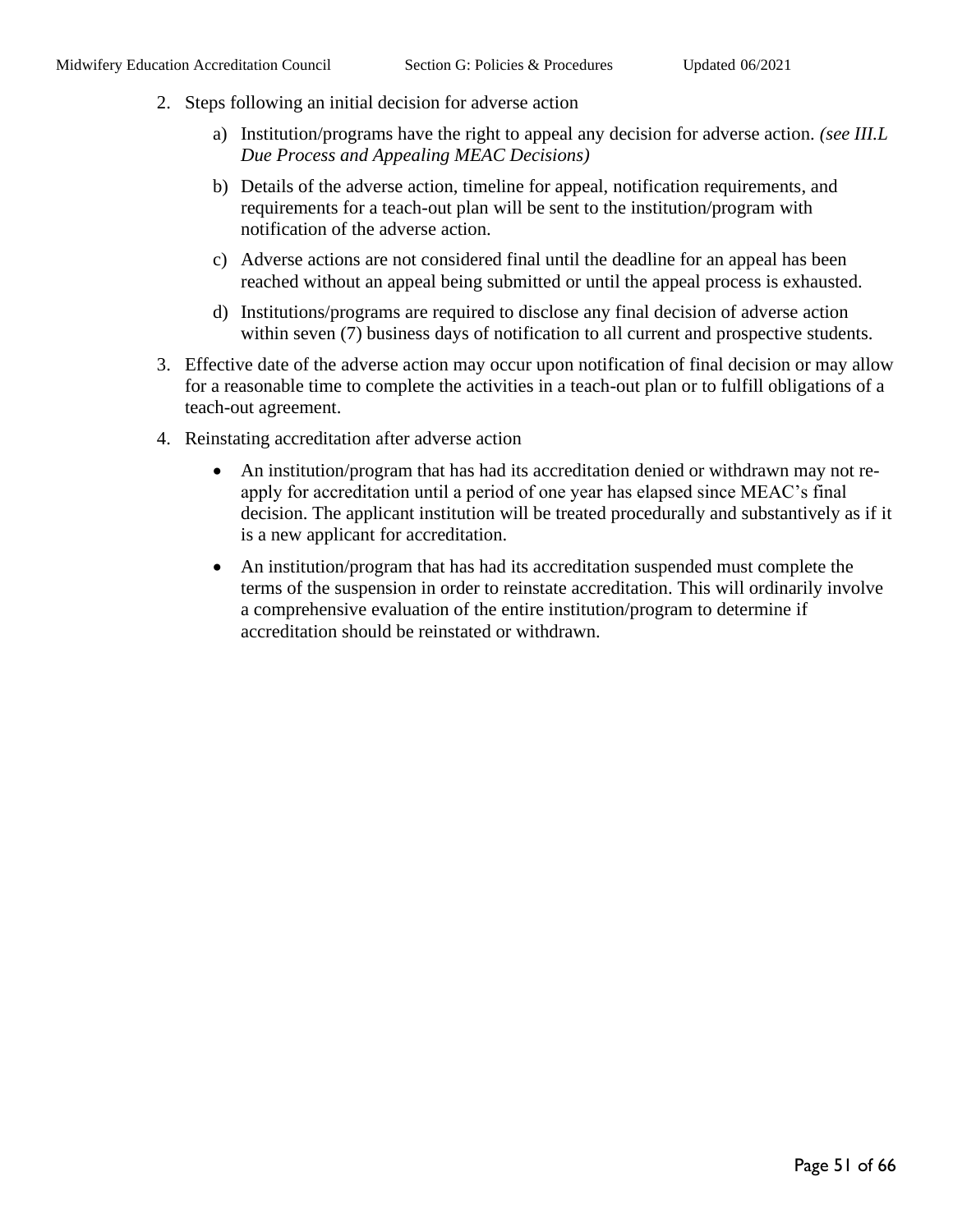- 2. Steps following an initial decision for adverse action
	- a) Institution/programs have the right to appeal any decision for adverse action. *(see III.L Due Process and Appealing MEAC Decisions)*
	- b) Details of the adverse action, timeline for appeal, notification requirements, and requirements for a teach-out plan will be sent to the institution/program with notification of the adverse action.
	- c) Adverse actions are not considered final until the deadline for an appeal has been reached without an appeal being submitted or until the appeal process is exhausted.
	- d) Institutions/programs are required to disclose any final decision of adverse action within seven (7) business days of notification to all current and prospective students.
- 3. Effective date of the adverse action may occur upon notification of final decision or may allow for a reasonable time to complete the activities in a teach-out plan or to fulfill obligations of a teach-out agreement.
- 4. Reinstating accreditation after adverse action
	- An institution/program that has had its accreditation denied or withdrawn may not reapply for accreditation until a period of one year has elapsed since MEAC's final decision. The applicant institution will be treated procedurally and substantively as if it is a new applicant for accreditation.
	- An institution/program that has had its accreditation suspended must complete the terms of the suspension in order to reinstate accreditation. This will ordinarily involve a comprehensive evaluation of the entire institution/program to determine if accreditation should be reinstated or withdrawn.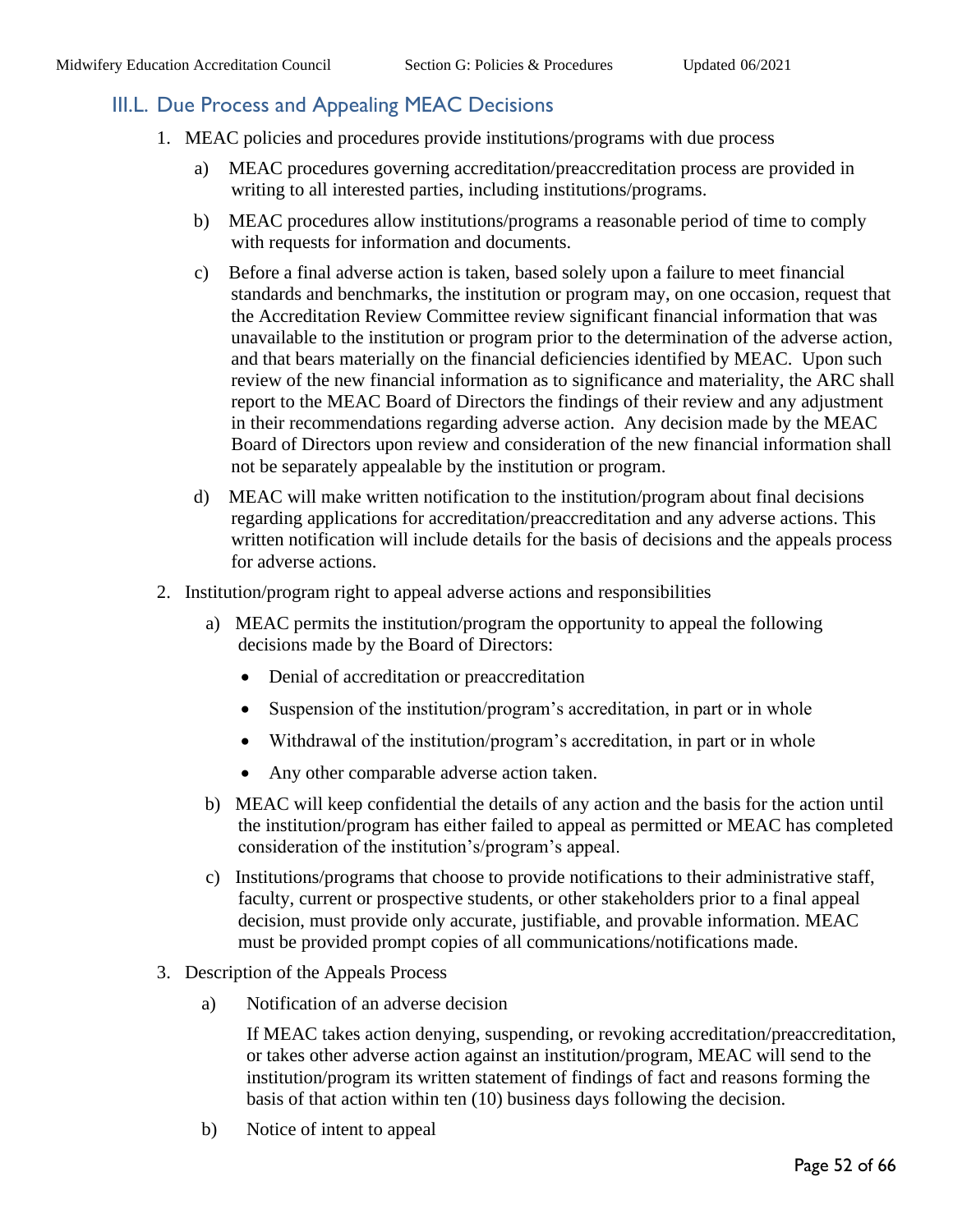## <span id="page-51-0"></span>III.L. Due Process and Appealing MEAC Decisions

- 1. MEAC policies and procedures provide institutions/programs with due process
	- a) MEAC procedures governing accreditation/preaccreditation process are provided in writing to all interested parties, including institutions/programs.
	- b) MEAC procedures allow institutions/programs a reasonable period of time to comply with requests for information and documents.
	- c) Before a final adverse action is taken, based solely upon a failure to meet financial standards and benchmarks, the institution or program may, on one occasion, request that the Accreditation Review Committee review significant financial information that was unavailable to the institution or program prior to the determination of the adverse action, and that bears materially on the financial deficiencies identified by MEAC. Upon such review of the new financial information as to significance and materiality, the ARC shall report to the MEAC Board of Directors the findings of their review and any adjustment in their recommendations regarding adverse action. Any decision made by the MEAC Board of Directors upon review and consideration of the new financial information shall not be separately appealable by the institution or program.
	- d) MEAC will make written notification to the institution/program about final decisions regarding applications for accreditation/preaccreditation and any adverse actions. This written notification will include details for the basis of decisions and the appeals process for adverse actions.
- 2. Institution/program right to appeal adverse actions and responsibilities
	- a) MEAC permits the institution/program the opportunity to appeal the following decisions made by the Board of Directors:
		- Denial of accreditation or preaccreditation
		- Suspension of the institution/program's accreditation, in part or in whole
		- Withdrawal of the institution/program's accreditation, in part or in whole
		- Any other comparable adverse action taken.
	- b) MEAC will keep confidential the details of any action and the basis for the action until the institution/program has either failed to appeal as permitted or MEAC has completed consideration of the institution's/program's appeal.
	- c) Institutions/programs that choose to provide notifications to their administrative staff, faculty, current or prospective students, or other stakeholders prior to a final appeal decision, must provide only accurate, justifiable, and provable information. MEAC must be provided prompt copies of all communications/notifications made.
- 3. Description of the Appeals Process
	- a) Notification of an adverse decision

If MEAC takes action denying, suspending, or revoking accreditation/preaccreditation, or takes other adverse action against an institution/program, MEAC will send to the institution/program its written statement of findings of fact and reasons forming the basis of that action within ten (10) business days following the decision.

b) Notice of intent to appeal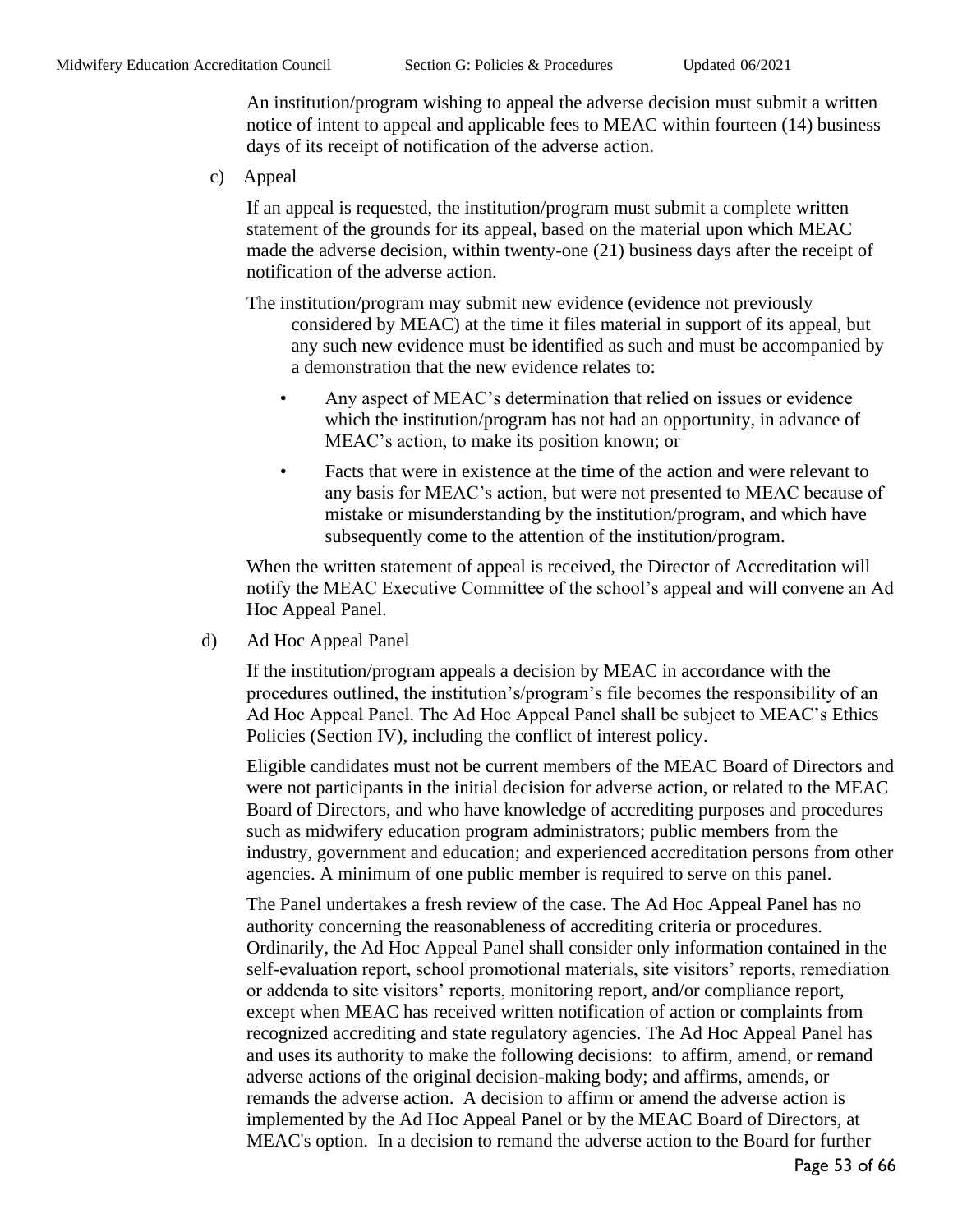An institution/program wishing to appeal the adverse decision must submit a written notice of intent to appeal and applicable fees to MEAC within fourteen (14) business days of its receipt of notification of the adverse action.

c) Appeal

If an appeal is requested, the institution/program must submit a complete written statement of the grounds for its appeal, based on the material upon which MEAC made the adverse decision, within twenty-one (21) business days after the receipt of notification of the adverse action.

The institution/program may submit new evidence (evidence not previously considered by MEAC) at the time it files material in support of its appeal, but any such new evidence must be identified as such and must be accompanied by a demonstration that the new evidence relates to:

- Any aspect of MEAC's determination that relied on issues or evidence which the institution/program has not had an opportunity, in advance of MEAC's action, to make its position known; or
- Facts that were in existence at the time of the action and were relevant to any basis for MEAC's action, but were not presented to MEAC because of mistake or misunderstanding by the institution/program, and which have subsequently come to the attention of the institution/program.

When the written statement of appeal is received, the Director of Accreditation will notify the MEAC Executive Committee of the school's appeal and will convene an Ad Hoc Appeal Panel.

d) Ad Hoc Appeal Panel

If the institution/program appeals a decision by MEAC in accordance with the procedures outlined, the institution's/program's file becomes the responsibility of an Ad Hoc Appeal Panel. The Ad Hoc Appeal Panel shall be subject to MEAC's Ethics Policies (Section IV), including the conflict of interest policy.

Eligible candidates must not be current members of the MEAC Board of Directors and were not participants in the initial decision for adverse action, or related to the MEAC Board of Directors, and who have knowledge of accrediting purposes and procedures such as midwifery education program administrators; public members from the industry, government and education; and experienced accreditation persons from other agencies. A minimum of one public member is required to serve on this panel.

The Panel undertakes a fresh review of the case. The Ad Hoc Appeal Panel has no authority concerning the reasonableness of accrediting criteria or procedures. Ordinarily, the Ad Hoc Appeal Panel shall consider only information contained in the self-evaluation report, school promotional materials, site visitors' reports, remediation or addenda to site visitors' reports, monitoring report, and/or compliance report, except when MEAC has received written notification of action or complaints from recognized accrediting and state regulatory agencies. The Ad Hoc Appeal Panel has and uses its authority to make the following decisions: to affirm, amend, or remand adverse actions of the original decision-making body; and affirms, amends, or remands the adverse action. A decision to affirm or amend the adverse action is implemented by the Ad Hoc Appeal Panel or by the MEAC Board of Directors, at MEAC's option. In a decision to remand the adverse action to the Board for further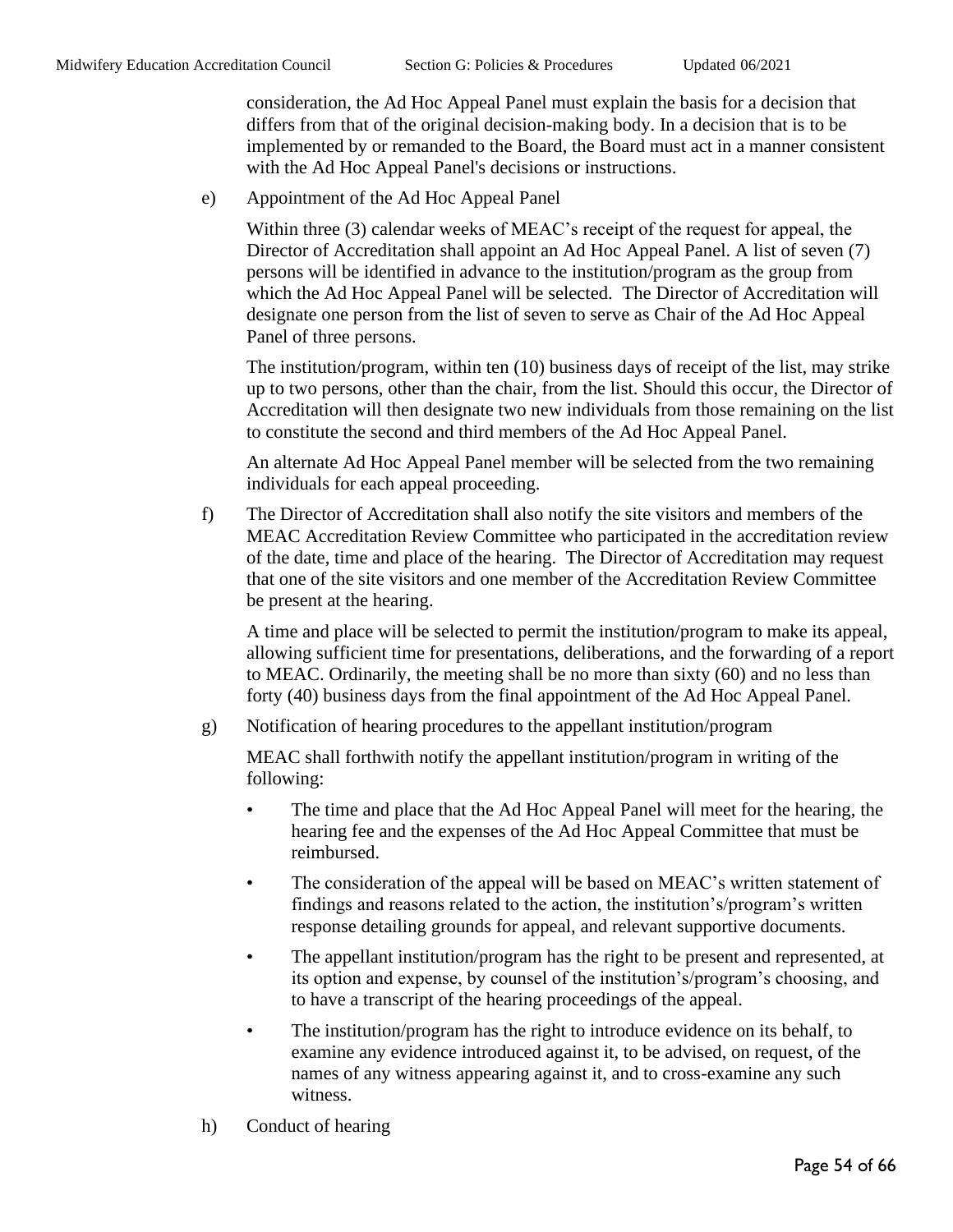consideration, the Ad Hoc Appeal Panel must explain the basis for a decision that differs from that of the original decision-making body. In a decision that is to be implemented by or remanded to the Board, the Board must act in a manner consistent with the Ad Hoc Appeal Panel's decisions or instructions.

e) Appointment of the Ad Hoc Appeal Panel

Within three (3) calendar weeks of MEAC's receipt of the request for appeal, the Director of Accreditation shall appoint an Ad Hoc Appeal Panel. A list of seven (7) persons will be identified in advance to the institution/program as the group from which the Ad Hoc Appeal Panel will be selected. The Director of Accreditation will designate one person from the list of seven to serve as Chair of the Ad Hoc Appeal Panel of three persons.

The institution/program, within ten (10) business days of receipt of the list, may strike up to two persons, other than the chair, from the list. Should this occur, the Director of Accreditation will then designate two new individuals from those remaining on the list to constitute the second and third members of the Ad Hoc Appeal Panel.

An alternate Ad Hoc Appeal Panel member will be selected from the two remaining individuals for each appeal proceeding.

f) The Director of Accreditation shall also notify the site visitors and members of the MEAC Accreditation Review Committee who participated in the accreditation review of the date, time and place of the hearing. The Director of Accreditation may request that one of the site visitors and one member of the Accreditation Review Committee be present at the hearing.

A time and place will be selected to permit the institution/program to make its appeal, allowing sufficient time for presentations, deliberations, and the forwarding of a report to MEAC. Ordinarily, the meeting shall be no more than sixty (60) and no less than forty (40) business days from the final appointment of the Ad Hoc Appeal Panel.

g) Notification of hearing procedures to the appellant institution/program

MEAC shall forthwith notify the appellant institution/program in writing of the following:

- The time and place that the Ad Hoc Appeal Panel will meet for the hearing, the hearing fee and the expenses of the Ad Hoc Appeal Committee that must be reimbursed.
- The consideration of the appeal will be based on MEAC's written statement of findings and reasons related to the action, the institution's/program's written response detailing grounds for appeal, and relevant supportive documents.
- The appellant institution/program has the right to be present and represented, at its option and expense, by counsel of the institution's/program's choosing, and to have a transcript of the hearing proceedings of the appeal.
- The institution/program has the right to introduce evidence on its behalf, to examine any evidence introduced against it, to be advised, on request, of the names of any witness appearing against it, and to cross-examine any such witness.
- h) Conduct of hearing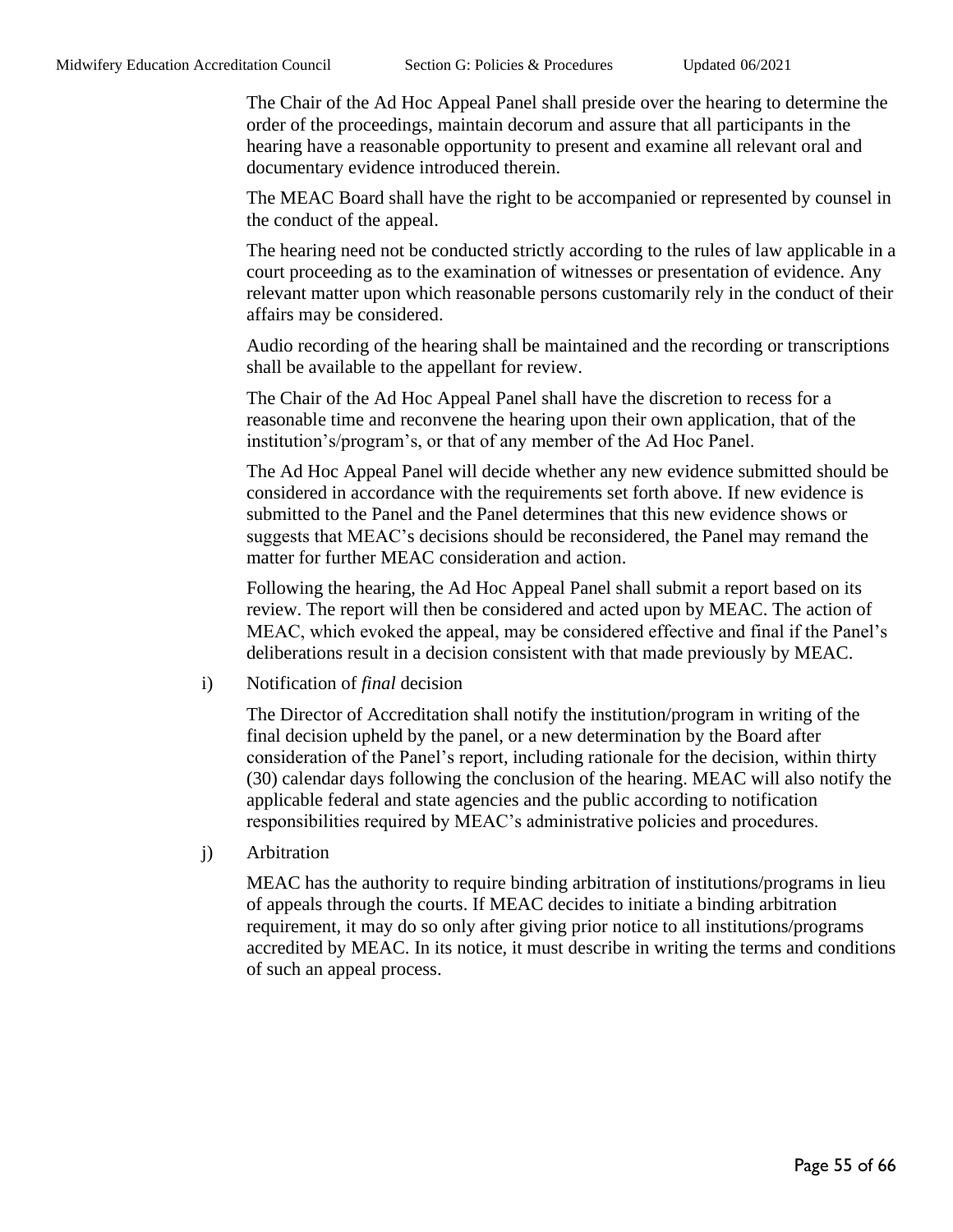The Chair of the Ad Hoc Appeal Panel shall preside over the hearing to determine the order of the proceedings, maintain decorum and assure that all participants in the hearing have a reasonable opportunity to present and examine all relevant oral and documentary evidence introduced therein.

The MEAC Board shall have the right to be accompanied or represented by counsel in the conduct of the appeal.

The hearing need not be conducted strictly according to the rules of law applicable in a court proceeding as to the examination of witnesses or presentation of evidence. Any relevant matter upon which reasonable persons customarily rely in the conduct of their affairs may be considered.

Audio recording of the hearing shall be maintained and the recording or transcriptions shall be available to the appellant for review.

The Chair of the Ad Hoc Appeal Panel shall have the discretion to recess for a reasonable time and reconvene the hearing upon their own application, that of the institution's/program's, or that of any member of the Ad Hoc Panel.

The Ad Hoc Appeal Panel will decide whether any new evidence submitted should be considered in accordance with the requirements set forth above. If new evidence is submitted to the Panel and the Panel determines that this new evidence shows or suggests that MEAC's decisions should be reconsidered, the Panel may remand the matter for further MEAC consideration and action.

Following the hearing, the Ad Hoc Appeal Panel shall submit a report based on its review. The report will then be considered and acted upon by MEAC. The action of MEAC, which evoked the appeal, may be considered effective and final if the Panel's deliberations result in a decision consistent with that made previously by MEAC.

i) Notification of *final* decision

The Director of Accreditation shall notify the institution/program in writing of the final decision upheld by the panel, or a new determination by the Board after consideration of the Panel's report, including rationale for the decision, within thirty (30) calendar days following the conclusion of the hearing. MEAC will also notify the applicable federal and state agencies and the public according to notification responsibilities required by MEAC's administrative policies and procedures.

j) Arbitration

MEAC has the authority to require binding arbitration of institutions/programs in lieu of appeals through the courts. If MEAC decides to initiate a binding arbitration requirement, it may do so only after giving prior notice to all institutions/programs accredited by MEAC. In its notice, it must describe in writing the terms and conditions of such an appeal process.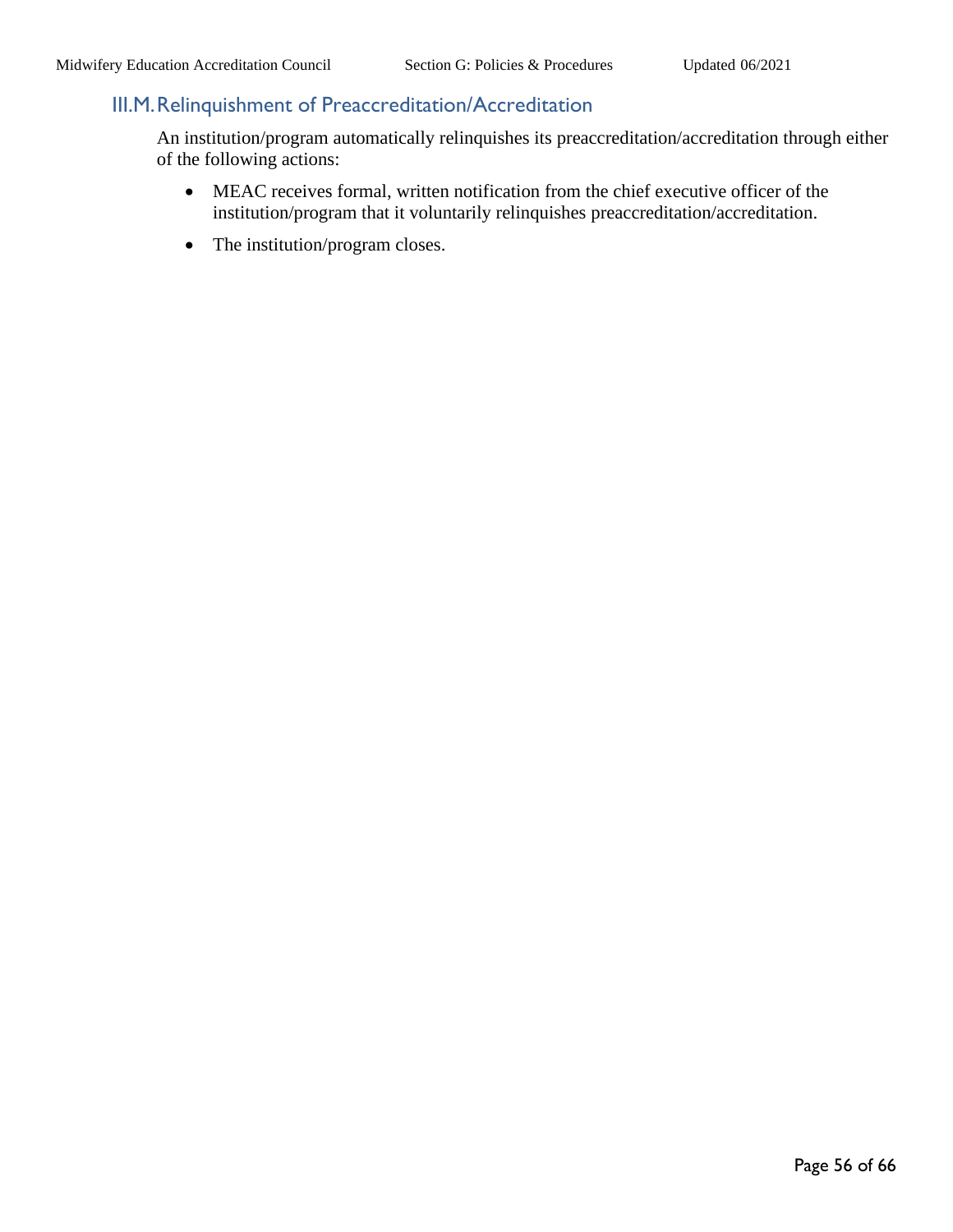## <span id="page-55-0"></span>III.M.Relinquishment of Preaccreditation/Accreditation

An institution/program automatically relinquishes its preaccreditation/accreditation through either of the following actions:

- MEAC receives formal, written notification from the chief executive officer of the institution/program that it voluntarily relinquishes preaccreditation/accreditation.
- The institution/program closes.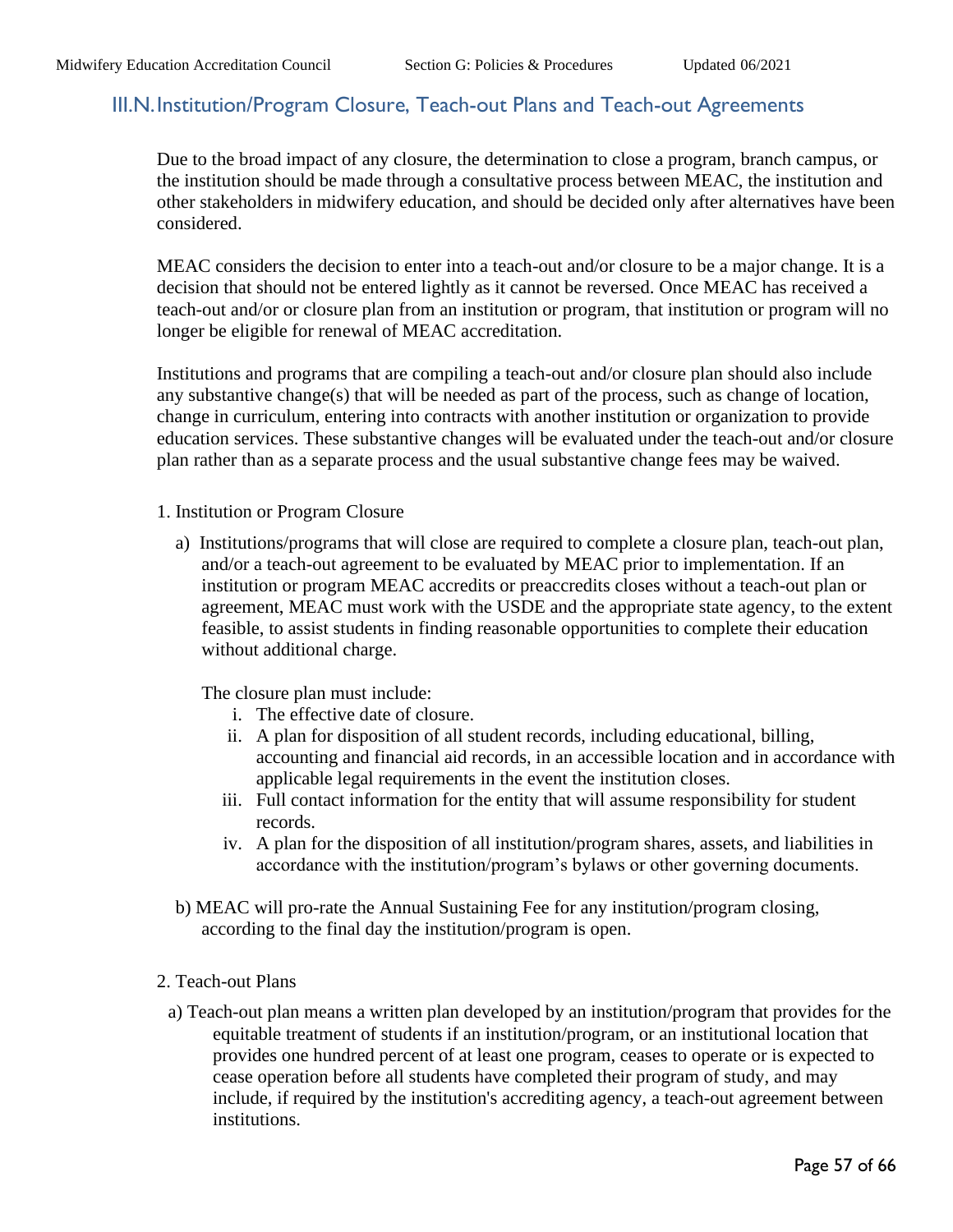#### <span id="page-56-0"></span>III.N.Institution/Program Closure, Teach-out Plans and Teach-out Agreements

Due to the broad impact of any closure, the determination to close a program, branch campus, or the institution should be made through a consultative process between MEAC, the institution and other stakeholders in midwifery education, and should be decided only after alternatives have been considered.

MEAC considers the decision to enter into a teach-out and/or closure to be a major change. It is a decision that should not be entered lightly as it cannot be reversed. Once MEAC has received a teach-out and/or or closure plan from an institution or program, that institution or program will no longer be eligible for renewal of MEAC accreditation.

Institutions and programs that are compiling a teach-out and/or closure plan should also include any substantive change(s) that will be needed as part of the process, such as change of location, change in curriculum, entering into contracts with another institution or organization to provide education services. These substantive changes will be evaluated under the teach-out and/or closure plan rather than as a separate process and the usual substantive change fees may be waived.

- 1. Institution or Program Closure
	- a) Institutions/programs that will close are required to complete a closure plan, teach-out plan, and/or a teach-out agreement to be evaluated by MEAC prior to implementation. If an institution or program MEAC accredits or preaccredits closes without a teach-out plan or agreement, MEAC must work with the USDE and the appropriate state agency, to the extent feasible, to assist students in finding reasonable opportunities to complete their education without additional charge.

The closure plan must include:

- i. The effective date of closure.
- ii. A plan for disposition of all student records, including educational, billing, accounting and financial aid records, in an accessible location and in accordance with applicable legal requirements in the event the institution closes.
- iii. Full contact information for the entity that will assume responsibility for student records.
- iv. A plan for the disposition of all institution/program shares, assets, and liabilities in accordance with the institution/program's bylaws or other governing documents.
- b) MEAC will pro-rate the Annual Sustaining Fee for any institution/program closing, according to the final day the institution/program is open.

#### 2. Teach-out Plans

a) Teach-out plan means a written plan developed by an institution/program that provides for the equitable treatment of students if an institution/program, or an institutional location that provides one hundred percent of at least one program, ceases to operate or is expected to cease operation before all students have completed their program of study, and may include, if required by the institution's accrediting agency, a teach-out agreement between institutions.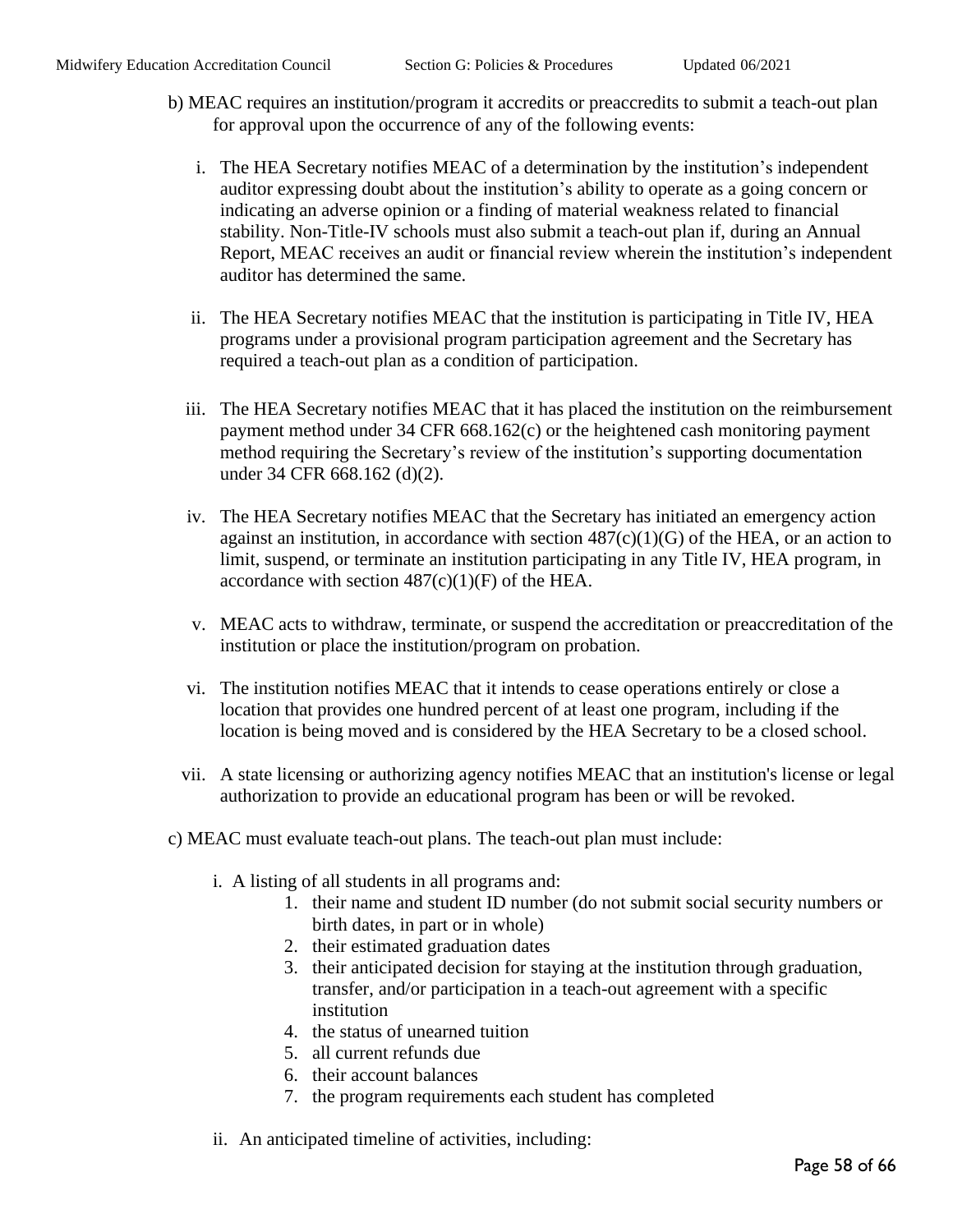- b) MEAC requires an institution/program it accredits or preaccredits to submit a teach-out plan for approval upon the occurrence of any of the following events:
	- i. The HEA Secretary notifies MEAC of a determination by the institution's independent auditor expressing doubt about the institution's ability to operate as a going concern or indicating an adverse opinion or a finding of material weakness related to financial stability. Non-Title-IV schools must also submit a teach-out plan if, during an Annual Report, MEAC receives an audit or financial review wherein the institution's independent auditor has determined the same.
	- ii. The HEA Secretary notifies MEAC that the institution is participating in Title IV, HEA programs under a provisional program participation agreement and the Secretary has required a teach-out plan as a condition of participation.
	- iii. The HEA Secretary notifies MEAC that it has placed the institution on the reimbursement payment method under 34 CFR 668.162(c) or the heightened cash monitoring payment method requiring the Secretary's review of the institution's supporting documentation under 34 CFR 668.162 (d)(2).
	- iv. The HEA Secretary notifies MEAC that the Secretary has initiated an emergency action against an institution, in accordance with section  $487(c)(1)(G)$  of the HEA, or an action to limit, suspend, or terminate an institution participating in any Title IV, HEA program, in accordance with section  $487(c)(1)(F)$  of the HEA.
	- v. MEAC acts to withdraw, terminate, or suspend the accreditation or preaccreditation of the institution or place the institution/program on probation.
	- vi. The institution notifies MEAC that it intends to cease operations entirely or close a location that provides one hundred percent of at least one program, including if the location is being moved and is considered by the HEA Secretary to be a closed school.
	- vii. A state licensing or authorizing agency notifies MEAC that an institution's license or legal authorization to provide an educational program has been or will be revoked.
- c) MEAC must evaluate teach-out plans. The teach-out plan must include:
	- i. A listing of all students in all programs and:
		- 1. their name and student ID number (do not submit social security numbers or birth dates, in part or in whole)
		- 2. their estimated graduation dates
		- 3. their anticipated decision for staying at the institution through graduation, transfer, and/or participation in a teach-out agreement with a specific institution
		- 4. the status of unearned tuition
		- 5. all current refunds due
		- 6. their account balances
		- 7. the program requirements each student has completed
	- ii. An anticipated timeline of activities, including: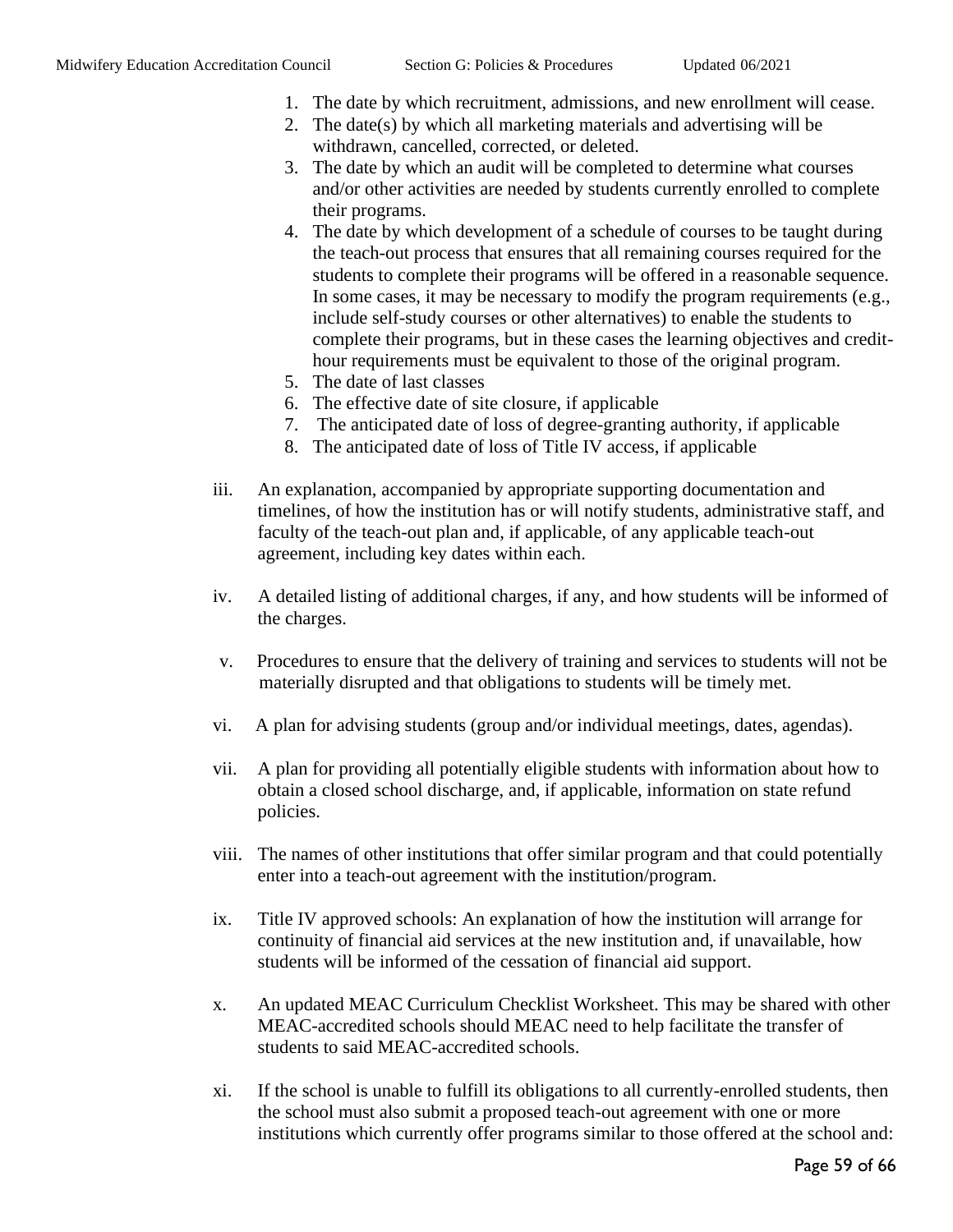- 1. The date by which recruitment, admissions, and new enrollment will cease.
- 2. The date(s) by which all marketing materials and advertising will be withdrawn, cancelled, corrected, or deleted.
- 3. The date by which an audit will be completed to determine what courses and/or other activities are needed by students currently enrolled to complete their programs.
- 4. The date by which development of a schedule of courses to be taught during the teach-out process that ensures that all remaining courses required for the students to complete their programs will be offered in a reasonable sequence. In some cases, it may be necessary to modify the program requirements (e.g., include self-study courses or other alternatives) to enable the students to complete their programs, but in these cases the learning objectives and credithour requirements must be equivalent to those of the original program.
- 5. The date of last classes
- 6. The effective date of site closure, if applicable
- 7. The anticipated date of loss of degree-granting authority, if applicable
- 8. The anticipated date of loss of Title IV access, if applicable
- iii. An explanation, accompanied by appropriate supporting documentation and timelines, of how the institution has or will notify students, administrative staff, and faculty of the teach-out plan and, if applicable, of any applicable teach-out agreement, including key dates within each.
- iv. A detailed listing of additional charges, if any, and how students will be informed of the charges.
- v. Procedures to ensure that the delivery of training and services to students will not be materially disrupted and that obligations to students will be timely met.
- vi. A plan for advising students (group and/or individual meetings, dates, agendas).
- vii. A plan for providing all potentially eligible students with information about how to obtain a closed school discharge, and, if applicable, information on state refund policies.
- viii. The names of other institutions that offer similar program and that could potentially enter into a teach-out agreement with the institution/program.
- ix. Title IV approved schools: An explanation of how the institution will arrange for continuity of financial aid services at the new institution and, if unavailable, how students will be informed of the cessation of financial aid support.
- x. An updated MEAC Curriculum Checklist Worksheet. This may be shared with other MEAC-accredited schools should MEAC need to help facilitate the transfer of students to said MEAC-accredited schools.
- xi. If the school is unable to fulfill its obligations to all currently-enrolled students, then the school must also submit a proposed teach-out agreement with one or more institutions which currently offer programs similar to those offered at the school and: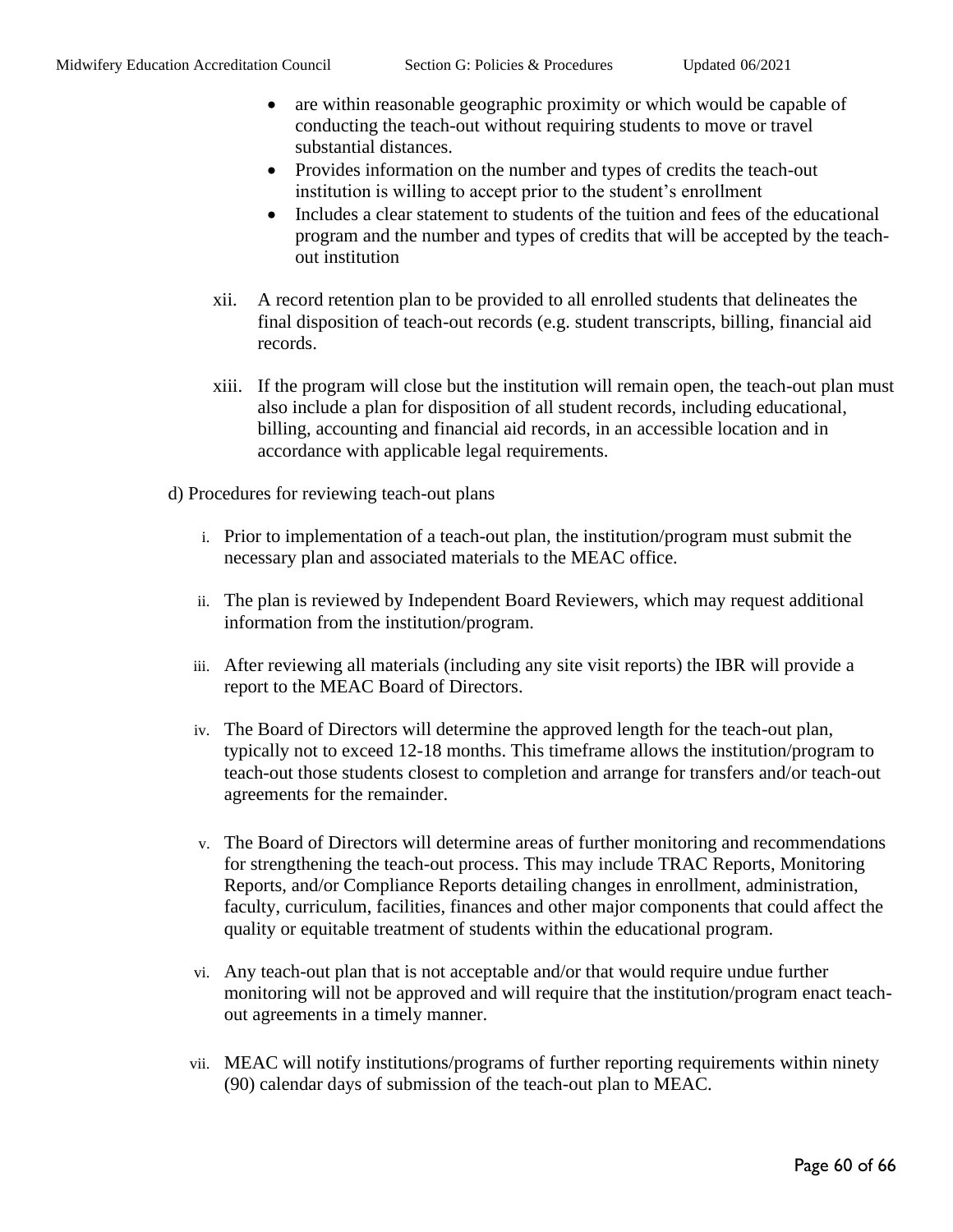- are within reasonable geographic proximity or which would be capable of conducting the teach-out without requiring students to move or travel substantial distances.
- Provides information on the number and types of credits the teach-out institution is willing to accept prior to the student's enrollment
- Includes a clear statement to students of the tuition and fees of the educational program and the number and types of credits that will be accepted by the teachout institution
- xii. A record retention plan to be provided to all enrolled students that delineates the final disposition of teach-out records (e.g. student transcripts, billing, financial aid records.
- xiii. If the program will close but the institution will remain open, the teach-out plan must also include a plan for disposition of all student records, including educational, billing, accounting and financial aid records, in an accessible location and in accordance with applicable legal requirements.
- d) Procedures for reviewing teach-out plans
	- i. Prior to implementation of a teach-out plan, the institution/program must submit the necessary plan and associated materials to the MEAC office.
	- ii. The plan is reviewed by Independent Board Reviewers, which may request additional information from the institution/program.
	- iii. After reviewing all materials (including any site visit reports) the IBR will provide a report to the MEAC Board of Directors.
	- iv. The Board of Directors will determine the approved length for the teach-out plan, typically not to exceed 12-18 months. This timeframe allows the institution/program to teach-out those students closest to completion and arrange for transfers and/or teach-out agreements for the remainder.
	- v. The Board of Directors will determine areas of further monitoring and recommendations for strengthening the teach-out process. This may include TRAC Reports, Monitoring Reports, and/or Compliance Reports detailing changes in enrollment, administration, faculty, curriculum, facilities, finances and other major components that could affect the quality or equitable treatment of students within the educational program.
	- vi. Any teach-out plan that is not acceptable and/or that would require undue further monitoring will not be approved and will require that the institution/program enact teachout agreements in a timely manner.
	- vii. MEAC will notify institutions/programs of further reporting requirements within ninety (90) calendar days of submission of the teach-out plan to MEAC.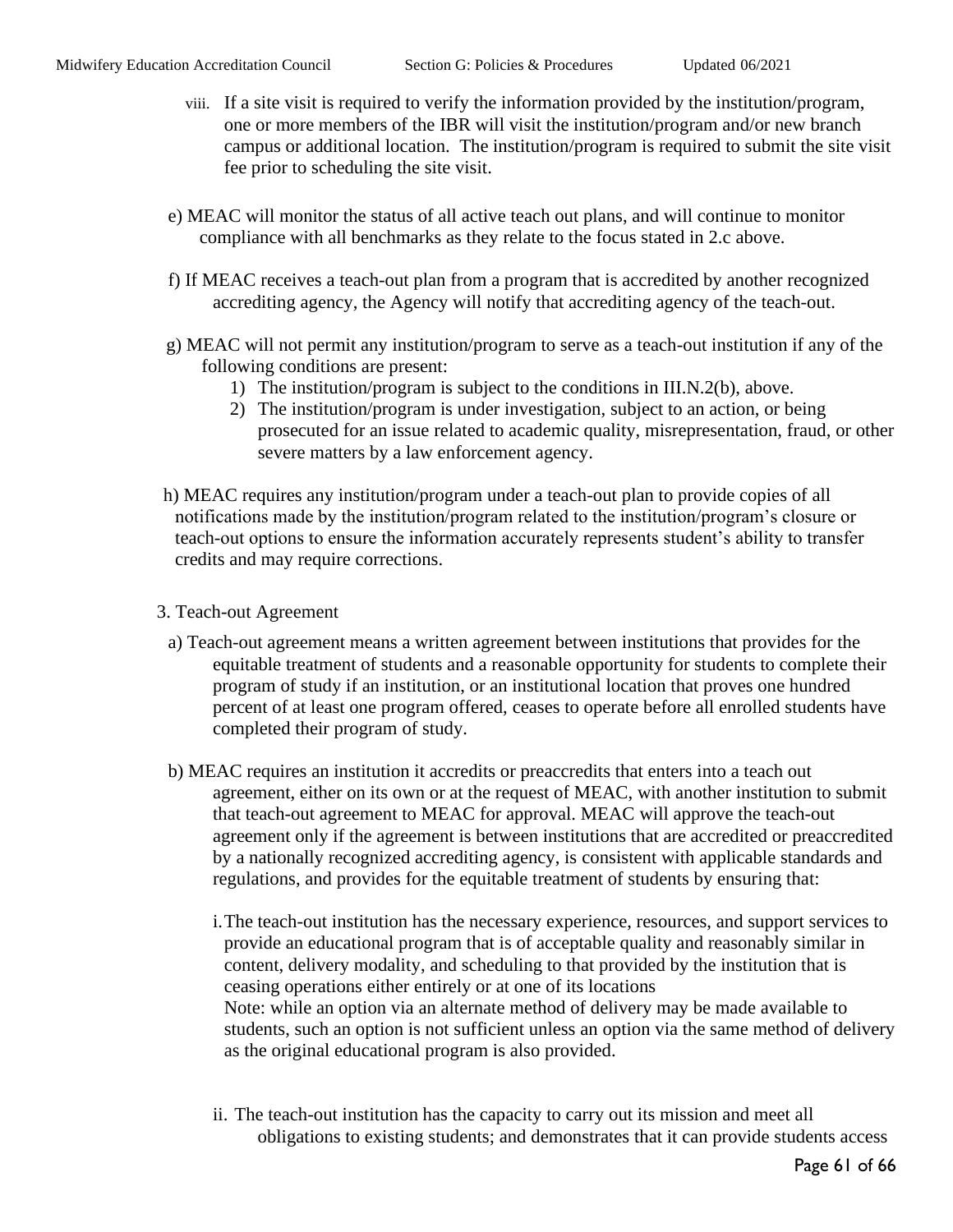- viii. If a site visit is required to verify the information provided by the institution/program, one or more members of the IBR will visit the institution/program and/or new branch campus or additional location. The institution/program is required to submit the site visit fee prior to scheduling the site visit.
- e) MEAC will monitor the status of all active teach out plans, and will continue to monitor compliance with all benchmarks as they relate to the focus stated in 2.c above.
- f) If MEAC receives a teach-out plan from a program that is accredited by another recognized accrediting agency, the Agency will notify that accrediting agency of the teach-out.
- g) MEAC will not permit any institution/program to serve as a teach-out institution if any of the following conditions are present:
	- 1) The institution/program is subject to the conditions in III.N.2(b), above.
	- 2) The institution/program is under investigation, subject to an action, or being prosecuted for an issue related to academic quality, misrepresentation, fraud, or other severe matters by a law enforcement agency.
- h) MEAC requires any institution/program under a teach-out plan to provide copies of all notifications made by the institution/program related to the institution/program's closure or teach-out options to ensure the information accurately represents student's ability to transfer credits and may require corrections.
- 3. Teach-out Agreement
	- a) Teach-out agreement means a written agreement between institutions that provides for the equitable treatment of students and a reasonable opportunity for students to complete their program of study if an institution, or an institutional location that proves one hundred percent of at least one program offered, ceases to operate before all enrolled students have completed their program of study.
	- b) MEAC requires an institution it accredits or preaccredits that enters into a teach out agreement, either on its own or at the request of MEAC, with another institution to submit that teach-out agreement to MEAC for approval. MEAC will approve the teach-out agreement only if the agreement is between institutions that are accredited or preaccredited by a nationally recognized accrediting agency, is consistent with applicable standards and regulations, and provides for the equitable treatment of students by ensuring that:
		- i.The teach-out institution has the necessary experience, resources, and support services to provide an educational program that is of acceptable quality and reasonably similar in content, delivery modality, and scheduling to that provided by the institution that is ceasing operations either entirely or at one of its locations Note: while an option via an alternate method of delivery may be made available to students, such an option is not sufficient unless an option via the same method of delivery as the original educational program is also provided.
		- ii. The teach-out institution has the capacity to carry out its mission and meet all obligations to existing students; and demonstrates that it can provide students access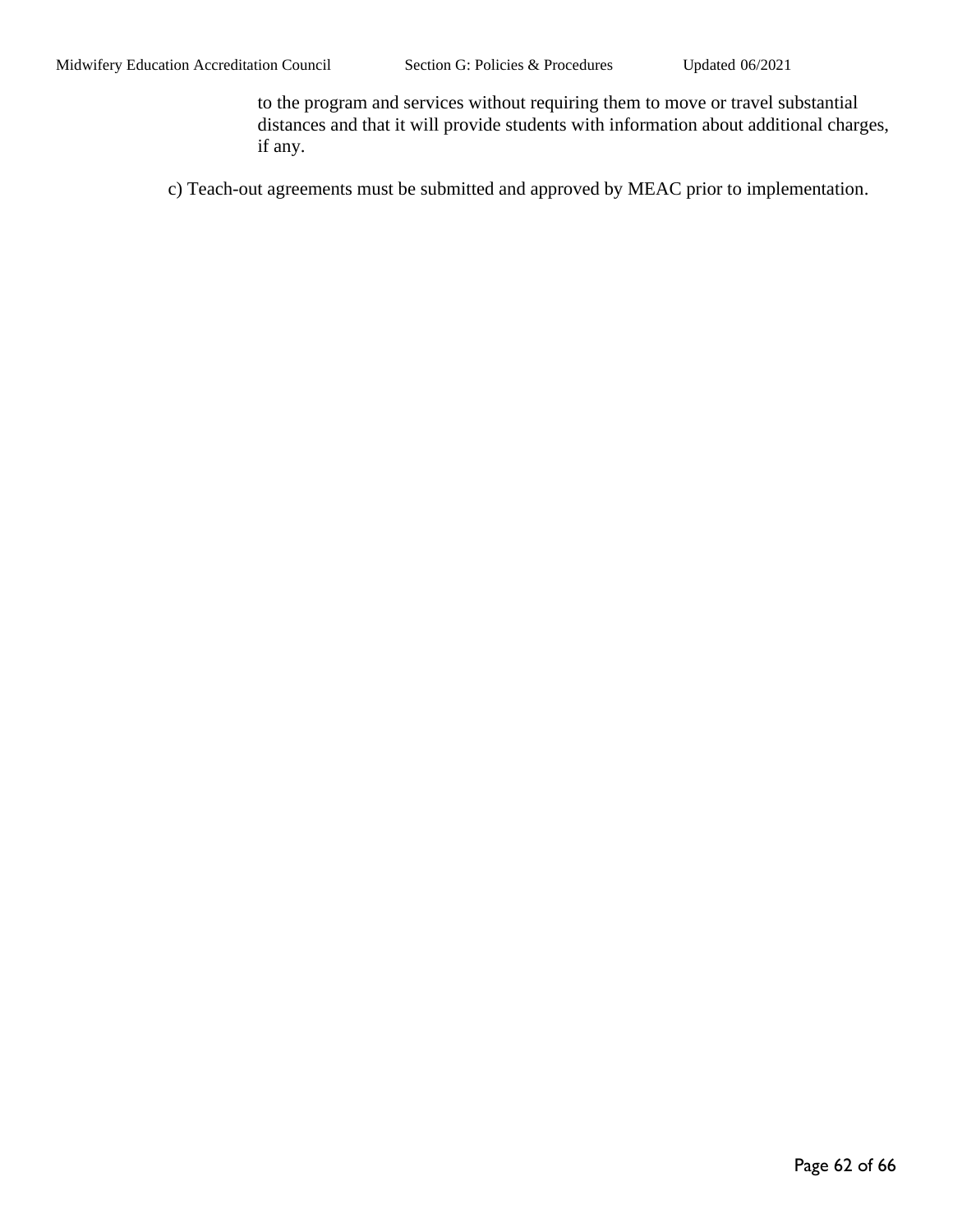to the program and services without requiring them to move or travel substantial distances and that it will provide students with information about additional charges, if any.

c) Teach-out agreements must be submitted and approved by MEAC prior to implementation.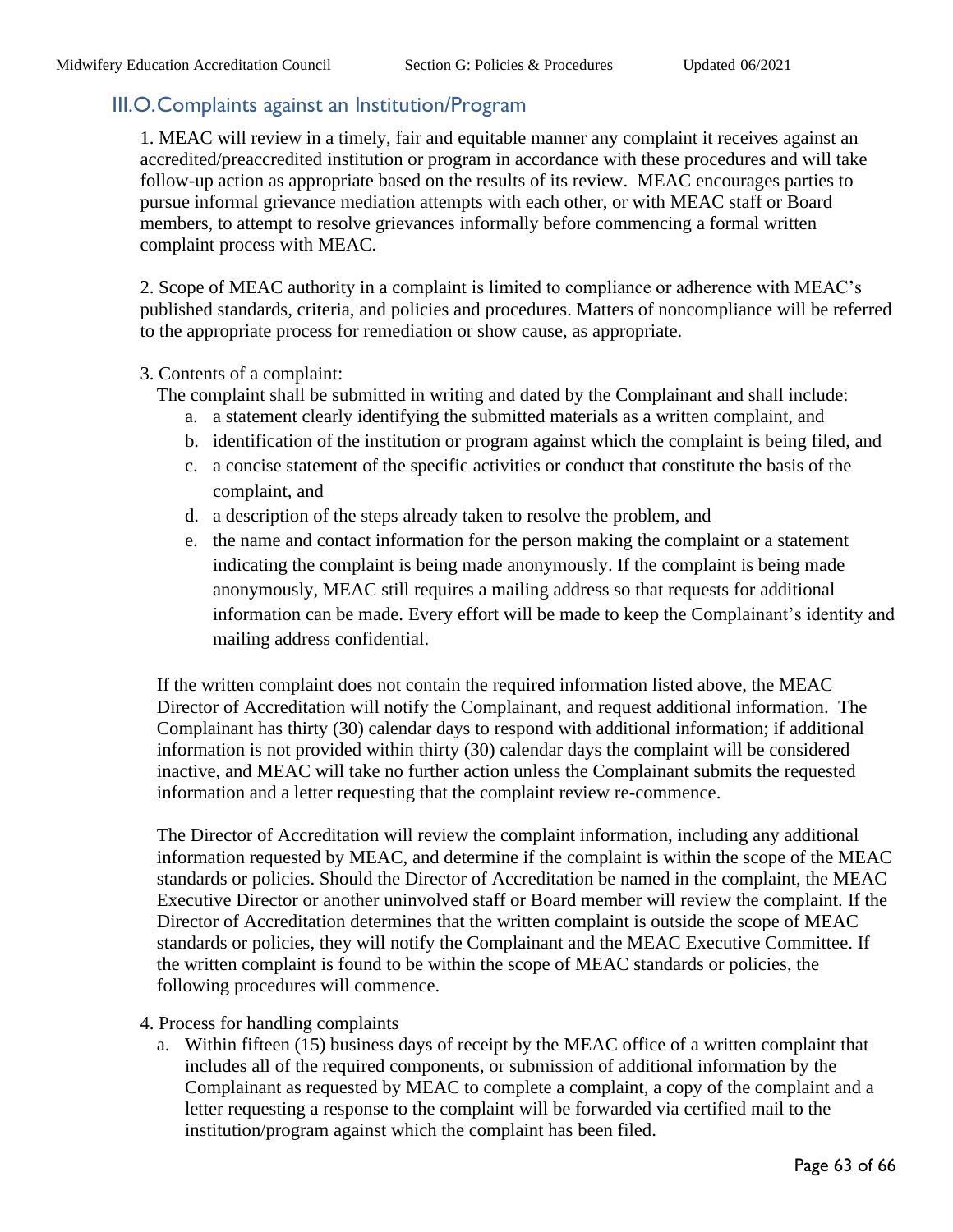## <span id="page-62-0"></span>III.O.Complaints against an Institution/Program

1. MEAC will review in a timely, fair and equitable manner any complaint it receives against an accredited/preaccredited institution or program in accordance with these procedures and will take follow-up action as appropriate based on the results of its review. MEAC encourages parties to pursue informal grievance mediation attempts with each other, or with MEAC staff or Board members, to attempt to resolve grievances informally before commencing a formal written complaint process with MEAC.

2. Scope of MEAC authority in a complaint is limited to compliance or adherence with MEAC's published standards, criteria, and policies and procedures. Matters of noncompliance will be referred to the appropriate process for remediation or show cause, as appropriate.

#### 3. Contents of a complaint:

The complaint shall be submitted in writing and dated by the Complainant and shall include:

- a. a statement clearly identifying the submitted materials as a written complaint, and
- b. identification of the institution or program against which the complaint is being filed, and
- c. a concise statement of the specific activities or conduct that constitute the basis of the complaint, and
- d. a description of the steps already taken to resolve the problem, and
- e. the name and contact information for the person making the complaint or a statement indicating the complaint is being made anonymously. If the complaint is being made anonymously, MEAC still requires a mailing address so that requests for additional information can be made. Every effort will be made to keep the Complainant's identity and mailing address confidential.

If the written complaint does not contain the required information listed above, the MEAC Director of Accreditation will notify the Complainant, and request additional information. The Complainant has thirty (30) calendar days to respond with additional information; if additional information is not provided within thirty (30) calendar days the complaint will be considered inactive, and MEAC will take no further action unless the Complainant submits the requested information and a letter requesting that the complaint review re-commence.

The Director of Accreditation will review the complaint information, including any additional information requested by MEAC, and determine if the complaint is within the scope of the MEAC standards or policies. Should the Director of Accreditation be named in the complaint, the MEAC Executive Director or another uninvolved staff or Board member will review the complaint. If the Director of Accreditation determines that the written complaint is outside the scope of MEAC standards or policies, they will notify the Complainant and the MEAC Executive Committee. If the written complaint is found to be within the scope of MEAC standards or policies, the following procedures will commence.

- 4. Process for handling complaints
	- a. Within fifteen (15) business days of receipt by the MEAC office of a written complaint that includes all of the required components, or submission of additional information by the Complainant as requested by MEAC to complete a complaint, a copy of the complaint and a letter requesting a response to the complaint will be forwarded via certified mail to the institution/program against which the complaint has been filed.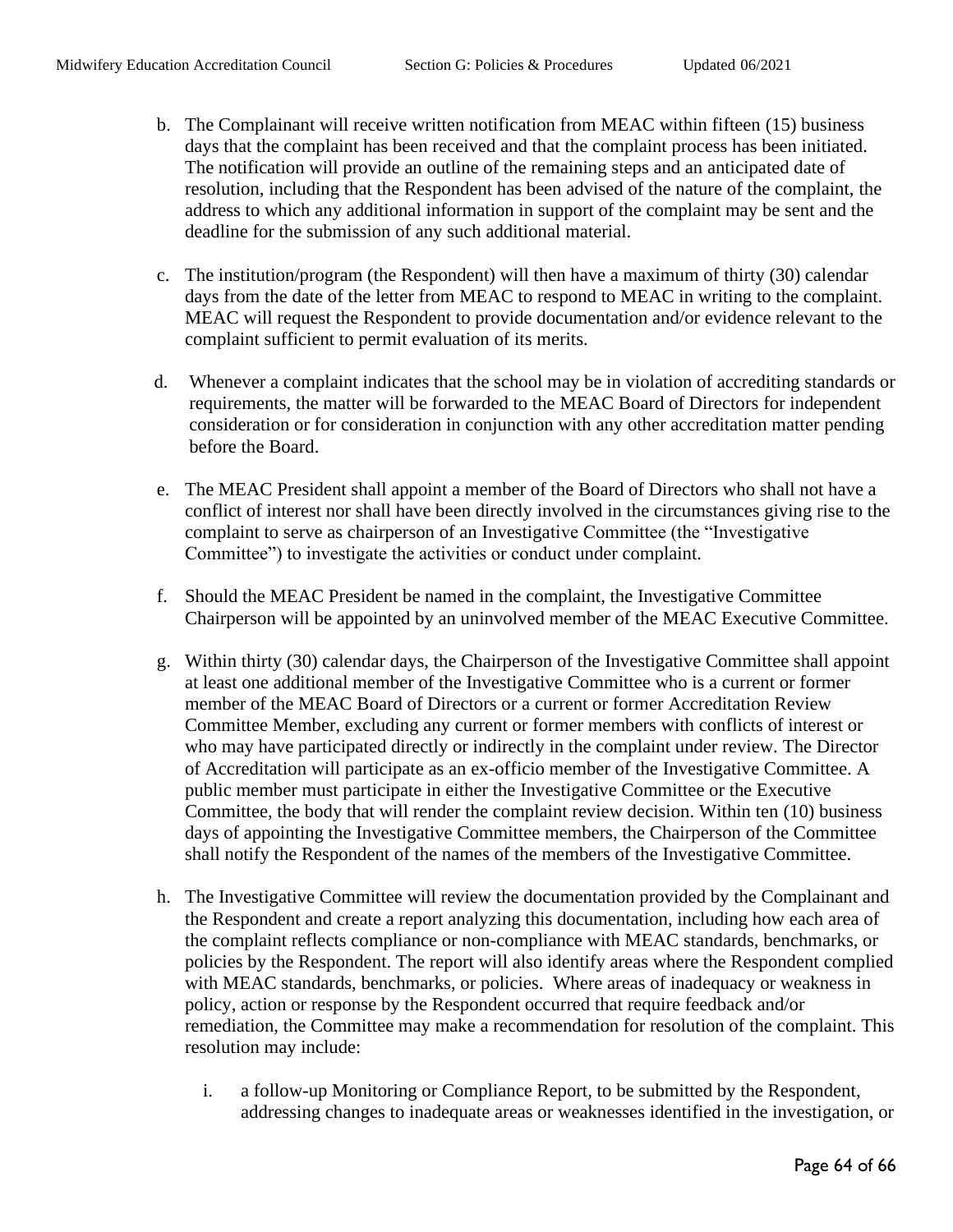- b. The Complainant will receive written notification from MEAC within fifteen (15) business days that the complaint has been received and that the complaint process has been initiated. The notification will provide an outline of the remaining steps and an anticipated date of resolution, including that the Respondent has been advised of the nature of the complaint, the address to which any additional information in support of the complaint may be sent and the deadline for the submission of any such additional material.
- c. The institution/program (the Respondent) will then have a maximum of thirty (30) calendar days from the date of the letter from MEAC to respond to MEAC in writing to the complaint. MEAC will request the Respondent to provide documentation and/or evidence relevant to the complaint sufficient to permit evaluation of its merits.
- d. Whenever a complaint indicates that the school may be in violation of accrediting standards or requirements, the matter will be forwarded to the MEAC Board of Directors for independent consideration or for consideration in conjunction with any other accreditation matter pending before the Board.
- e. The MEAC President shall appoint a member of the Board of Directors who shall not have a conflict of interest nor shall have been directly involved in the circumstances giving rise to the complaint to serve as chairperson of an Investigative Committee (the "Investigative Committee") to investigate the activities or conduct under complaint.
- f. Should the MEAC President be named in the complaint, the Investigative Committee Chairperson will be appointed by an uninvolved member of the MEAC Executive Committee.
- g. Within thirty (30) calendar days, the Chairperson of the Investigative Committee shall appoint at least one additional member of the Investigative Committee who is a current or former member of the MEAC Board of Directors or a current or former Accreditation Review Committee Member, excluding any current or former members with conflicts of interest or who may have participated directly or indirectly in the complaint under review. The Director of Accreditation will participate as an ex-officio member of the Investigative Committee. A public member must participate in either the Investigative Committee or the Executive Committee, the body that will render the complaint review decision. Within ten (10) business days of appointing the Investigative Committee members, the Chairperson of the Committee shall notify the Respondent of the names of the members of the Investigative Committee.
- h. The Investigative Committee will review the documentation provided by the Complainant and the Respondent and create a report analyzing this documentation, including how each area of the complaint reflects compliance or non-compliance with MEAC standards, benchmarks, or policies by the Respondent. The report will also identify areas where the Respondent complied with MEAC standards, benchmarks, or policies. Where areas of inadequacy or weakness in policy, action or response by the Respondent occurred that require feedback and/or remediation, the Committee may make a recommendation for resolution of the complaint. This resolution may include:
	- i. a follow-up Monitoring or Compliance Report, to be submitted by the Respondent, addressing changes to inadequate areas or weaknesses identified in the investigation, or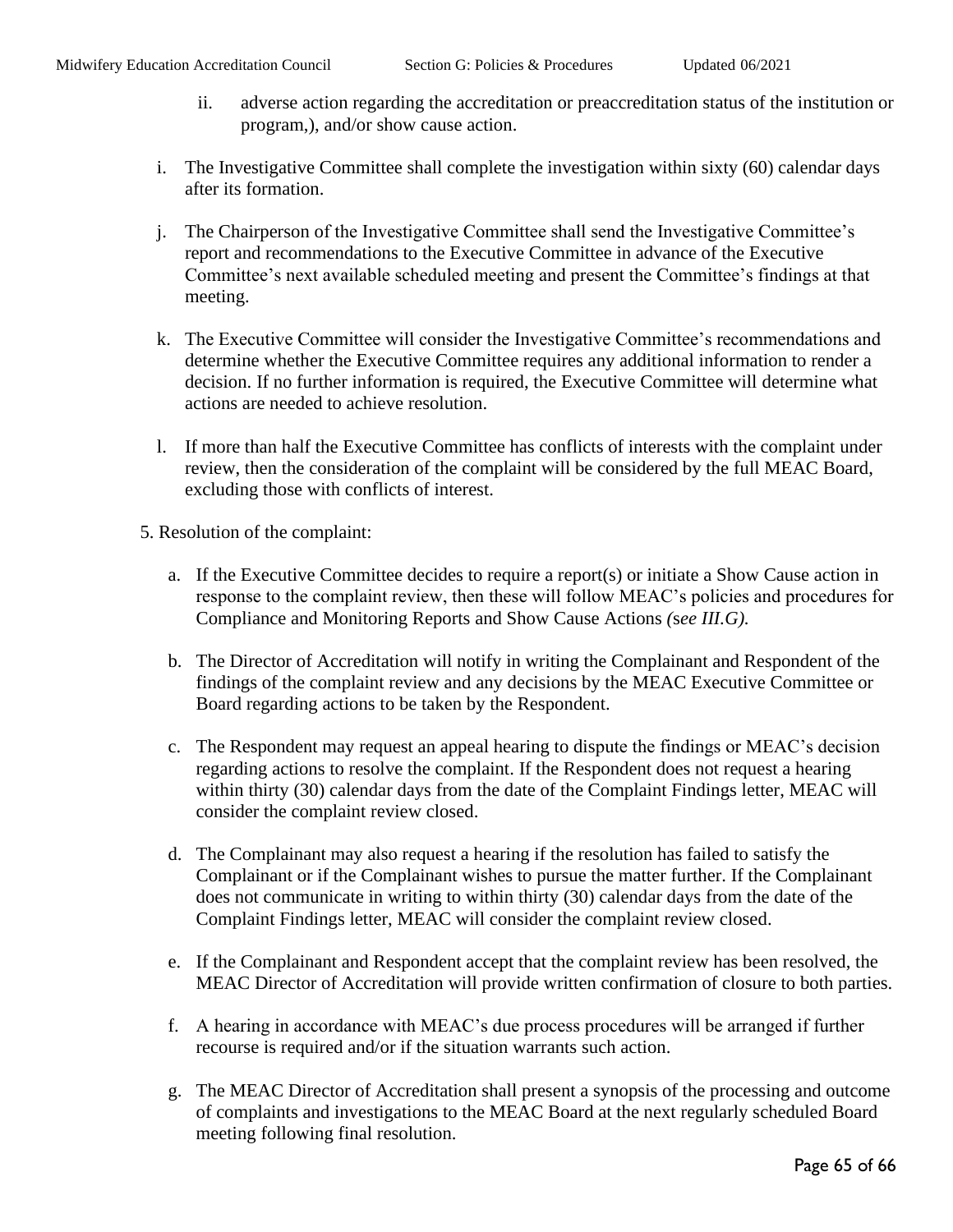- ii. adverse action regarding the accreditation or preaccreditation status of the institution or program,), and/or show cause action.
- i. The Investigative Committee shall complete the investigation within sixty (60) calendar days after its formation.
- j. The Chairperson of the Investigative Committee shall send the Investigative Committee's report and recommendations to the Executive Committee in advance of the Executive Committee's next available scheduled meeting and present the Committee's findings at that meeting.
- k. The Executive Committee will consider the Investigative Committee's recommendations and determine whether the Executive Committee requires any additional information to render a decision. If no further information is required, the Executive Committee will determine what actions are needed to achieve resolution.
- l. If more than half the Executive Committee has conflicts of interests with the complaint under review, then the consideration of the complaint will be considered by the full MEAC Board, excluding those with conflicts of interest.
- 5. Resolution of the complaint:
	- a. If the Executive Committee decides to require a report(s) or initiate a Show Cause action in response to the complaint review, then these will follow MEAC's policies and procedures for Compliance and Monitoring Reports and Show Cause Actions *(*s*ee III.G).*
	- b. The Director of Accreditation will notify in writing the Complainant and Respondent of the findings of the complaint review and any decisions by the MEAC Executive Committee or Board regarding actions to be taken by the Respondent.
	- c. The Respondent may request an appeal hearing to dispute the findings or MEAC's decision regarding actions to resolve the complaint. If the Respondent does not request a hearing within thirty (30) calendar days from the date of the Complaint Findings letter, MEAC will consider the complaint review closed.
	- d. The Complainant may also request a hearing if the resolution has failed to satisfy the Complainant or if the Complainant wishes to pursue the matter further. If the Complainant does not communicate in writing to within thirty (30) calendar days from the date of the Complaint Findings letter, MEAC will consider the complaint review closed.
	- e. If the Complainant and Respondent accept that the complaint review has been resolved, the MEAC Director of Accreditation will provide written confirmation of closure to both parties.
	- f. A hearing in accordance with MEAC's due process procedures will be arranged if further recourse is required and/or if the situation warrants such action.
	- g. The MEAC Director of Accreditation shall present a synopsis of the processing and outcome of complaints and investigations to the MEAC Board at the next regularly scheduled Board meeting following final resolution.